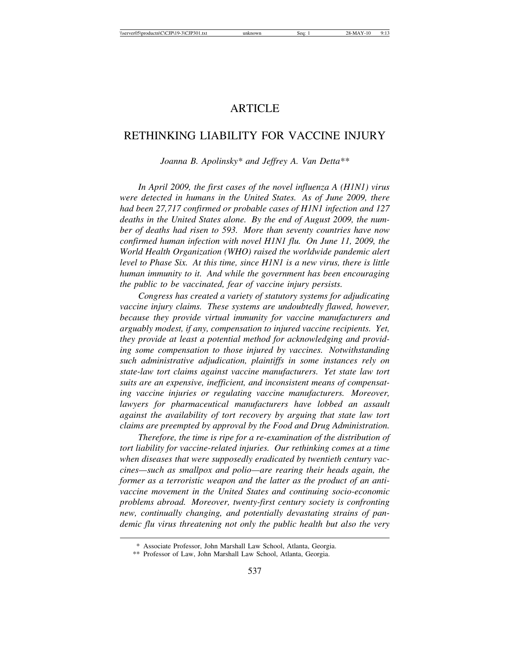# **ARTICLE**

# RETHINKING LIABILITY FOR VACCINE INJURY

*Joanna B. Apolinsky\* and Jeffrey A. Van Detta\*\**

*In April 2009, the first cases of the novel influenza A (H1N1) virus were detected in humans in the United States. As of June 2009, there had been 27,717 confirmed or probable cases of H1N1 infection and 127 deaths in the United States alone. By the end of August 2009, the number of deaths had risen to 593. More than seventy countries have now confirmed human infection with novel H1N1 flu. On June 11, 2009, the World Health Organization (WHO) raised the worldwide pandemic alert level to Phase Six. At this time, since H1N1 is a new virus, there is little human immunity to it. And while the government has been encouraging the public to be vaccinated, fear of vaccine injury persists.*

*Congress has created a variety of statutory systems for adjudicating vaccine injury claims. These systems are undoubtedly flawed, however, because they provide virtual immunity for vaccine manufacturers and arguably modest, if any, compensation to injured vaccine recipients. Yet, they provide at least a potential method for acknowledging and providing some compensation to those injured by vaccines. Notwithstanding such administrative adjudication, plaintiffs in some instances rely on state-law tort claims against vaccine manufacturers. Yet state law tort suits are an expensive, inefficient, and inconsistent means of compensating vaccine injuries or regulating vaccine manufacturers. Moreover, lawyers for pharmaceutical manufacturers have lobbed an assault against the availability of tort recovery by arguing that state law tort claims are preempted by approval by the Food and Drug Administration.*

*Therefore, the time is ripe for a re-examination of the distribution of tort liability for vaccine-related injuries. Our rethinking comes at a time when diseases that were supposedly eradicated by twentieth century vaccines—such as smallpox and polio—are rearing their heads again, the former as a terroristic weapon and the latter as the product of an antivaccine movement in the United States and continuing socio-economic problems abroad. Moreover, twenty-first century society is confronting new, continually changing, and potentially devastating strains of pandemic flu virus threatening not only the public health but also the very*

<sup>\*</sup> Associate Professor, John Marshall Law School, Atlanta, Georgia.

<sup>\*\*</sup> Professor of Law, John Marshall Law School, Atlanta, Georgia.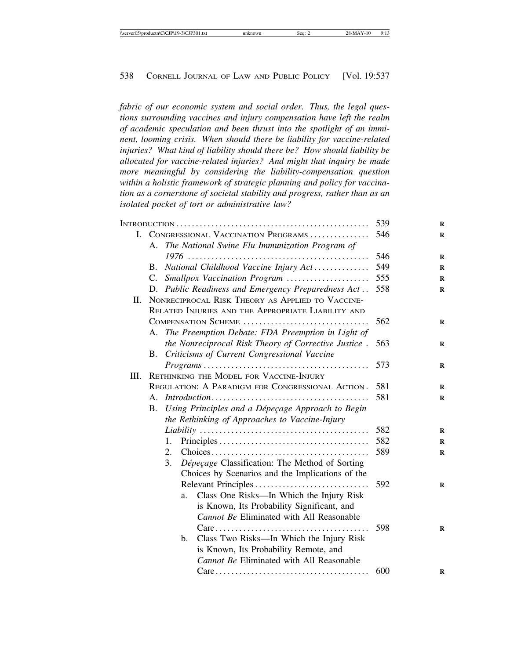*fabric of our economic system and social order. Thus, the legal questions surrounding vaccines and injury compensation have left the realm of academic speculation and been thrust into the spotlight of an imminent, looming crisis. When should there be liability for vaccine-related injuries? What kind of liability should there be? How should liability be allocated for vaccine-related injuries? And might that inquiry be made more meaningful by considering the liability-compensation question within a holistic framework of strategic planning and policy for vaccination as a cornerstone of societal stability and progress, rather than as an isolated pocket of tort or administrative law?*

|     | 539                                                |                                                                                                                                                         |     |
|-----|----------------------------------------------------|---------------------------------------------------------------------------------------------------------------------------------------------------------|-----|
|     | I. CONGRESSIONAL VACCINATION PROGRAMS              | 546                                                                                                                                                     |     |
|     |                                                    | A. The National Swine Flu Immunization Program of                                                                                                       |     |
|     |                                                    |                                                                                                                                                         | 546 |
|     | B.                                                 | National Childhood Vaccine Injury Act                                                                                                                   | 549 |
|     | $C_{\cdot}$                                        | Smallpox Vaccination Program                                                                                                                            | 555 |
|     |                                                    | D. Public Readiness and Emergency Preparedness Act                                                                                                      | 558 |
| II. | NONRECIPROCAL RISK THEORY AS APPLIED TO VACCINE-   |                                                                                                                                                         |     |
|     | RELATED INJURIES AND THE APPROPRIATE LIABILITY AND |                                                                                                                                                         |     |
|     | COMPENSATION SCHEME                                | 562                                                                                                                                                     |     |
|     |                                                    | A. The Preemption Debate: FDA Preemption in Light of                                                                                                    |     |
|     |                                                    | the Nonreciprocal Risk Theory of Corrective Justice.                                                                                                    | 563 |
|     | В.                                                 | Criticisms of Current Congressional Vaccine                                                                                                             |     |
|     |                                                    | $Programs \ldots \ldots \ldots \ldots \ldots \ldots \ldots \ldots \ldots \ldots \ldots \ldots \ldots$                                                   | 573 |
| Ш.  | RETHINKING THE MODEL FOR VACCINE-INJURY            |                                                                                                                                                         |     |
|     | REGULATION: A PARADIGM FOR CONGRESSIONAL ACTION.   | 581                                                                                                                                                     |     |
|     | $A_{\cdot}$                                        | $Introduction \dots \dots \dots \dots \dots \dots \dots \dots \dots \dots \dots \dots \dots \dots$<br>Using Principles and a Dépeçage Approach to Begin | 581 |
|     | <b>B.</b>                                          |                                                                                                                                                         |     |
|     |                                                    | the Rethinking of Approaches to Vaccine-Injury                                                                                                          |     |
|     |                                                    |                                                                                                                                                         | 582 |
|     |                                                    | 1.                                                                                                                                                      | 582 |
|     |                                                    | 2.                                                                                                                                                      | 589 |
|     |                                                    | 3.<br>Dépeçage Classification: The Method of Sorting                                                                                                    |     |
|     |                                                    | Choices by Scenarios and the Implications of the                                                                                                        |     |
|     |                                                    |                                                                                                                                                         | 592 |
|     |                                                    | Class One Risks—In Which the Injury Risk<br>a.                                                                                                          |     |
|     |                                                    | is Known, Its Probability Significant, and                                                                                                              |     |
|     |                                                    | <b>Cannot Be Eliminated with All Reasonable</b>                                                                                                         |     |
|     |                                                    | $Care \dots \dots \dots \dots \dots \dots \dots \dots \dots \dots \dots \dots \dots$                                                                    | 598 |
|     |                                                    | Class Two Risks—In Which the Injury Risk<br>b.                                                                                                          |     |
|     |                                                    | is Known, Its Probability Remote, and                                                                                                                   |     |
|     |                                                    | <b>Cannot Be Eliminated with All Reasonable</b>                                                                                                         |     |
|     |                                                    | $Care \dots \dots \dots \dots \dots \dots \dots \dots \dots \dots \dots \dots$                                                                          | 600 |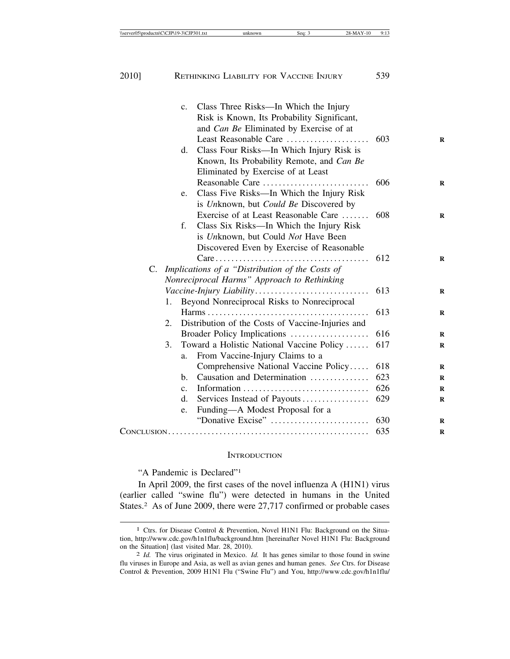|    | C <sub>1</sub> | Class Three Risks—In Which the Injury                                                |     |
|----|----------------|--------------------------------------------------------------------------------------|-----|
|    |                | Risk is Known, Its Probability Significant,                                          |     |
|    |                | and Can Be Eliminated by Exercise of at                                              |     |
|    |                | Least Reasonable Care                                                                | 603 |
|    | d.             | Class Four Risks-In Which Injury Risk is                                             |     |
|    |                | Known, Its Probability Remote, and Can Be                                            |     |
|    |                | Eliminated by Exercise of at Least                                                   |     |
|    |                | Reasonable Care                                                                      | 606 |
|    | e.             | Class Five Risks-In Which the Injury Risk                                            |     |
|    |                | is Unknown, but Could Be Discovered by                                               |     |
|    |                | Exercise of at Least Reasonable Care                                                 | 608 |
|    | f.             | Class Six Risks—In Which the Injury Risk                                             |     |
|    |                | is Unknown, but Could Not Have Been                                                  |     |
|    |                | Discovered Even by Exercise of Reasonable                                            |     |
|    |                | $Care \dots \dots \dots \dots \dots \dots \dots \dots \dots \dots \dots \dots \dots$ | 612 |
| C. |                | Implications of a "Distribution of the Costs of                                      |     |
|    |                | Nonreciprocal Harms" Approach to Rethinking                                          |     |
|    |                | Vaccine-Injury Liability                                                             | 613 |
|    | 1.             | Beyond Nonreciprocal Risks to Nonreciprocal                                          |     |
|    |                |                                                                                      | 613 |
|    | 2.             | Distribution of the Costs of Vaccine-Injuries and                                    |     |
|    |                | Broader Policy Implications                                                          | 616 |
|    | 3.             | Toward a Holistic National Vaccine Policy                                            | 617 |
|    | a.             | From Vaccine-Injury Claims to a                                                      |     |
|    |                | Comprehensive National Vaccine Policy                                                | 618 |
|    | h.             | Causation and Determination                                                          | 623 |
|    | $\mathbf{c}$ . |                                                                                      | 626 |
|    | d.             | Services Instead of Payouts                                                          | 629 |
|    | e.             | Funding-A Modest Proposal for a                                                      |     |
|    |                | "Donative Excise"                                                                    | 630 |
|    | 635            |                                                                                      |     |
|    |                |                                                                                      |     |

#### **INTRODUCTION**

"A Pandemic is Declared"1

In April 2009, the first cases of the novel influenza A (H1N1) virus (earlier called "swine flu") were detected in humans in the United States.<sup>2</sup> As of June 2009, there were 27,717 confirmed or probable cases

<sup>1</sup> Ctrs. for Disease Control & Prevention, Novel H1N1 Flu: Background on the Situation, http://www.cdc.gov/h1n1flu/background.htm [hereinafter Novel H1N1 Flu: Background on the Situation] (last visited Mar. 28, 2010). <sup>2</sup> *Id.* The virus originated in Mexico. *Id.* It has genes similar to those found in swine

flu viruses in Europe and Asia, as well as avian genes and human genes. *See* Ctrs. for Disease Control & Prevention, 2009 H1N1 Flu ("Swine Flu") and You, http://www.cdc.gov/h1n1flu/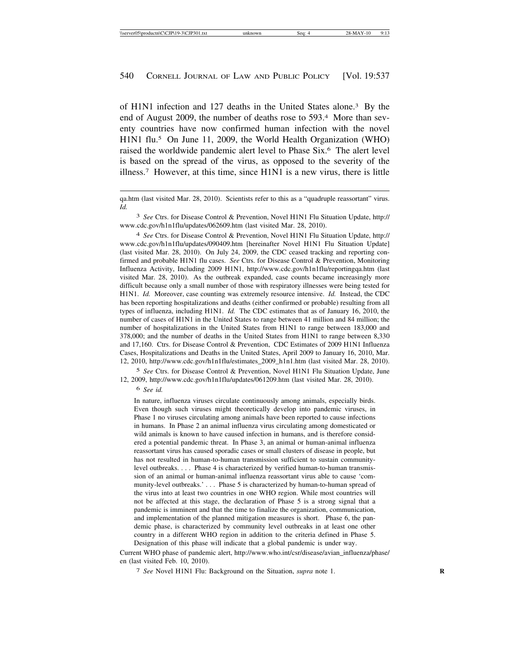of H1N1 infection and 127 deaths in the United States alone.3 By the end of August 2009, the number of deaths rose to 593.4 More than seventy countries have now confirmed human infection with the novel H1N1 flu.5 On June 11, 2009, the World Health Organization (WHO) raised the worldwide pandemic alert level to Phase Six.6 The alert level is based on the spread of the virus, as opposed to the severity of the illness.7 However, at this time, since H1N1 is a new virus, there is little

3 *See* Ctrs. for Disease Control & Prevention, Novel H1N1 Flu Situation Update, http:// www.cdc.gov/h1n1flu/updates/062609.htm (last visited Mar. 28, 2010).

4 *See* Ctrs. for Disease Control & Prevention, Novel H1N1 Flu Situation Update, http:// www.cdc.gov/h1n1flu/updates/090409.htm [hereinafter Novel H1N1 Flu Situation Update] (last visited Mar. 28, 2010). On July 24, 2009, the CDC ceased tracking and reporting confirmed and probable H1N1 flu cases. *See* Ctrs. for Disease Control & Prevention, Monitoring Influenza Activity, Including 2009 H1N1, http://www.cdc.gov/h1n1flu/reportingqa.htm (last visited Mar. 28, 2010). As the outbreak expanded, case counts became increasingly more difficult because only a small number of those with respiratory illnesses were being tested for H1N1. *Id.* Moreover, case counting was extremely resource intensive. *Id.* Instead, the CDC has been reporting hospitalizations and deaths (either confirmed or probable) resulting from all types of influenza, including H1N1. *Id.* The CDC estimates that as of January 16, 2010, the number of cases of H1N1 in the United States to range between 41 million and 84 million; the number of hospitalizations in the United States from H1N1 to range between 183,000 and 378,000; and the number of deaths in the United States from H1N1 to range between 8,330 and 17,160. Ctrs. for Disease Control & Prevention, CDC Estimates of 2009 H1N1 Influenza Cases, Hospitalizations and Deaths in the United States, April 2009 to January 16, 2010, Mar. 12, 2010, http://www.cdc.gov/h1n1flu/estimates\_2009\_h1n1.htm (last visited Mar. 28, 2010).

5 *See* Ctrs. for Disease Control & Prevention, Novel H1N1 Flu Situation Update, June 12, 2009, http://www.cdc.gov/h1n1flu/updates/061209.htm (last visited Mar. 28, 2010).

6 *See id.*

In nature, influenza viruses circulate continuously among animals, especially birds. Even though such viruses might theoretically develop into pandemic viruses, in Phase 1 no viruses circulating among animals have been reported to cause infections in humans. In Phase 2 an animal influenza virus circulating among domesticated or wild animals is known to have caused infection in humans, and is therefore considered a potential pandemic threat. In Phase 3, an animal or human-animal influenza reassortant virus has caused sporadic cases or small clusters of disease in people, but has not resulted in human-to-human transmission sufficient to sustain communitylevel outbreaks. . . . Phase 4 is characterized by verified human-to-human transmission of an animal or human-animal influenza reassortant virus able to cause 'community-level outbreaks.' . . . Phase 5 is characterized by human-to-human spread of the virus into at least two countries in one WHO region. While most countries will not be affected at this stage, the declaration of Phase 5 is a strong signal that a pandemic is imminent and that the time to finalize the organization, communication, and implementation of the planned mitigation measures is short. Phase 6, the pandemic phase, is characterized by community level outbreaks in at least one other country in a different WHO region in addition to the criteria defined in Phase 5. Designation of this phase will indicate that a global pandemic is under way.

Current WHO phase of pandemic alert, http://www.who.int/csr/disease/avian\_influenza/phase/ en (last visited Feb. 10, 2010).

7 *See* Novel H1N1 Flu: Background on the Situation, *supra* note 1. **R**

qa.htm (last visited Mar. 28, 2010). Scientists refer to this as a "quadruple reassortant" virus. *Id.*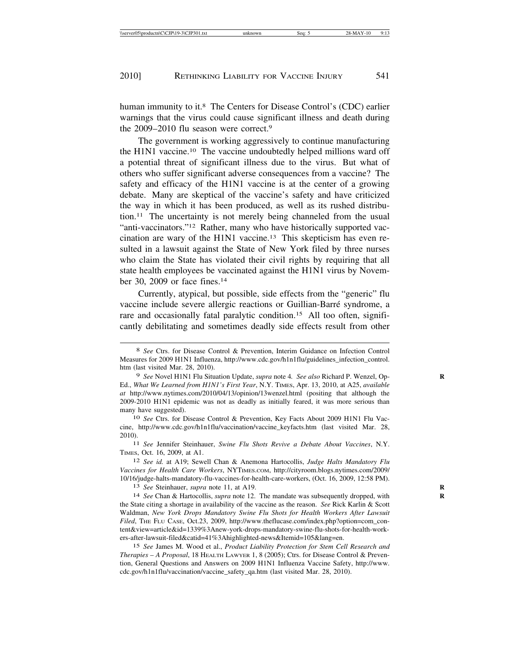human immunity to it.<sup>8</sup> The Centers for Disease Control's (CDC) earlier warnings that the virus could cause significant illness and death during the 2009–2010 flu season were correct.9

The government is working aggressively to continue manufacturing the H1N1 vaccine.10 The vaccine undoubtedly helped millions ward off a potential threat of significant illness due to the virus. But what of others who suffer significant adverse consequences from a vaccine? The safety and efficacy of the H1N1 vaccine is at the center of a growing debate. Many are skeptical of the vaccine's safety and have criticized the way in which it has been produced, as well as its rushed distribution.11 The uncertainty is not merely being channeled from the usual "anti-vaccinators."<sup>12</sup> Rather, many who have historically supported vaccination are wary of the H1N1 vaccine.13 This skepticism has even resulted in a lawsuit against the State of New York filed by three nurses who claim the State has violated their civil rights by requiring that all state health employees be vaccinated against the H1N1 virus by November 30, 2009 or face fines.14

Currently, atypical, but possible, side effects from the "generic" flu vaccine include severe allergic reactions or Guillian-Barré syndrome, a rare and occasionally fatal paralytic condition.<sup>15</sup> All too often, significantly debilitating and sometimes deadly side effects result from other

11 *See* Jennifer Steinhauer, *Swine Flu Shots Revive a Debate About Vaccines*, N.Y. TIMES, Oct. 16, 2009, at A1.

12 *See id.* at A19; Sewell Chan & Anemona Hartocollis, *Judge Halts Mandatory Flu Vaccines for Health Care Workers*, NYTIMES.COM, http://cityroom.blogs.nytimes.com/2009/ 10/16/judge-halts-mandatory-flu-vaccines-for-health-care-workers, (Oct. 16, 2009, 12:58 PM).

13 *See* Steinhauer, *supra* note 11, at A19. **R**

14 *See* Chan & Hartocollis, *supra* note 12. The mandate was subsequently dropped, with **R** the State citing a shortage in availability of the vaccine as the reason. *See* Rick Karlin & Scott Waldman, *New York Drops Mandatory Swine Flu Shots for Health Workers After Lawsuit Filed*, THE FLU CASE, Oct.23, 2009, http://www.theflucase.com/index.php?option=com\_content&view=article&id=1339%3Anew-york-drops-mandatory-swine-flu-shots-for-health-workers-after-lawsuit-filed&catid=41%3Ahighlighted-news&Itemid=105&lang=en.

15 *See* James M. Wood et al., *Product Liability Protection for Stem Cell Research and Therapies – A Proposal*, 18 HEALTH LAWYER 1, 8 (2005); Ctrs. for Disease Control & Prevention, General Questions and Answers on 2009 H1N1 Influenza Vaccine Safety, http://www. cdc.gov/h1n1flu/vaccination/vaccine\_safety\_qa.htm (last visited Mar. 28, 2010).

<sup>8</sup> *See* Ctrs. for Disease Control & Prevention, Interim Guidance on Infection Control Measures for 2009 H1N1 Influenza, http://www.cdc.gov/h1n1flu/guidelines\_infection\_control. htm (last visited Mar. 28, 2010).

<sup>9</sup> *See* Novel H1N1 Flu Situation Update, *supra* note 4*. See also* Richard P. Wenzel, Op- **R** Ed., *What We Learned from H1N1's First Year*, N.Y. TIMES, Apr. 13, 2010, at A25, *available at* http://www.nytimes.com/2010/04/13/opinion/13wenzel.html (positing that although the 2009-2010 H1N1 epidemic was not as deadly as initially feared, it was more serious than many have suggested).

<sup>10</sup> *See* Ctrs. for Disease Control & Prevention, Key Facts About 2009 H1N1 Flu Vaccine, http://www.cdc.gov/h1n1flu/vaccination/vaccine\_keyfacts.htm (last visited Mar. 28, 2010).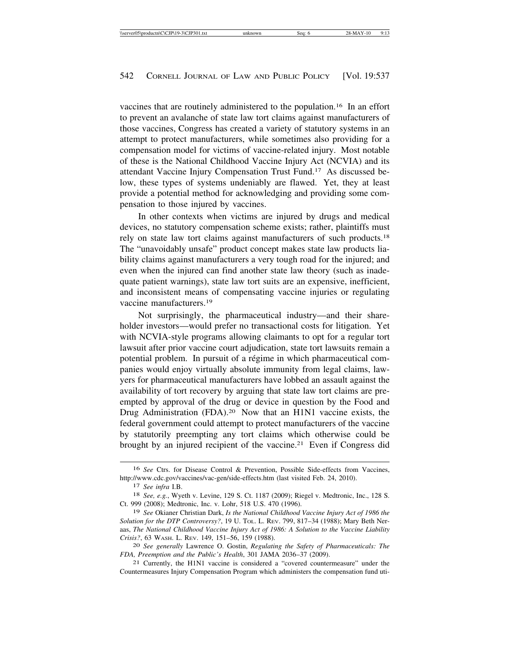vaccines that are routinely administered to the population.16 In an effort to prevent an avalanche of state law tort claims against manufacturers of those vaccines, Congress has created a variety of statutory systems in an attempt to protect manufacturers, while sometimes also providing for a compensation model for victims of vaccine-related injury. Most notable of these is the National Childhood Vaccine Injury Act (NCVIA) and its attendant Vaccine Injury Compensation Trust Fund.17 As discussed below, these types of systems undeniably are flawed. Yet, they at least provide a potential method for acknowledging and providing some compensation to those injured by vaccines.

In other contexts when victims are injured by drugs and medical devices, no statutory compensation scheme exists; rather, plaintiffs must rely on state law tort claims against manufacturers of such products.18 The "unavoidably unsafe" product concept makes state law products liability claims against manufacturers a very tough road for the injured; and even when the injured can find another state law theory (such as inadequate patient warnings), state law tort suits are an expensive, inefficient, and inconsistent means of compensating vaccine injuries or regulating vaccine manufacturers.19

Not surprisingly, the pharmaceutical industry—and their shareholder investors—would prefer no transactional costs for litigation. Yet with NCVIA-style programs allowing claimants to opt for a regular tort lawsuit after prior vaccine court adjudication, state tort lawsuits remain a potential problem. In pursuit of a régime in which pharmaceutical companies would enjoy virtually absolute immunity from legal claims, lawyers for pharmaceutical manufacturers have lobbed an assault against the availability of tort recovery by arguing that state law tort claims are preempted by approval of the drug or device in question by the Food and Drug Administration (FDA).<sup>20</sup> Now that an H1N1 vaccine exists, the federal government could attempt to protect manufacturers of the vaccine by statutorily preempting any tort claims which otherwise could be brought by an injured recipient of the vaccine.21 Even if Congress did

<sup>16</sup> *See* Ctrs. for Disease Control & Prevention, Possible Side-effects from Vaccines, http://www.cdc.gov/vaccines/vac-gen/side-effects.htm (last visited Feb. 24, 2010).

<sup>17</sup> *See infra* I.B.

<sup>18</sup> *See, e.g.*, Wyeth v. Levine, 129 S. Ct. 1187 (2009); Riegel v. Medtronic, Inc., 128 S. Ct. 999 (2008); Medtronic, Inc. v. Lohr, 518 U.S. 470 (1996).

<sup>19</sup> *See* Okianer Christian Dark, *Is the National Childhood Vaccine Injury Act of 1986 the Solution for the DTP Controversy?*, 19 U. TOL. L. REV. 799, 817–34 (1988); Mary Beth Neraas, *The National Childhood Vaccine Injury Act of 1986: A Solution to the Vaccine Liability Crisis?*, 63 WASH. L. REV. 149, 151–56, 159 (1988).

<sup>20</sup> *See generally* Lawrence O. Gostin, *Regulating the Safety of Pharmaceuticals: The FDA, Preemption and the Public's Health*, 301 JAMA 2036–37 (2009).<br><sup>21</sup> Currently, the H1N1 vaccine is considered a "covered countermeasure" under the

Countermeasures Injury Compensation Program which administers the compensation fund uti-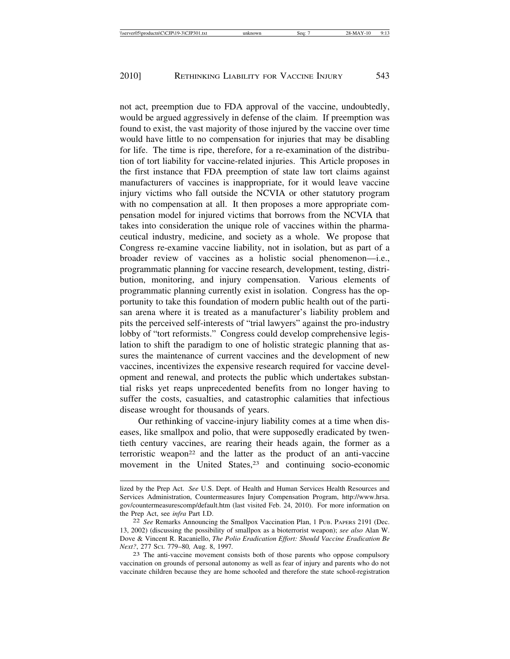not act, preemption due to FDA approval of the vaccine, undoubtedly, would be argued aggressively in defense of the claim. If preemption was found to exist, the vast majority of those injured by the vaccine over time would have little to no compensation for injuries that may be disabling for life. The time is ripe, therefore, for a re-examination of the distribution of tort liability for vaccine-related injuries. This Article proposes in the first instance that FDA preemption of state law tort claims against manufacturers of vaccines is inappropriate, for it would leave vaccine injury victims who fall outside the NCVIA or other statutory program with no compensation at all. It then proposes a more appropriate compensation model for injured victims that borrows from the NCVIA that takes into consideration the unique role of vaccines within the pharmaceutical industry, medicine, and society as a whole. We propose that Congress re-examine vaccine liability, not in isolation, but as part of a broader review of vaccines as a holistic social phenomenon—i.e., programmatic planning for vaccine research, development, testing, distribution, monitoring, and injury compensation. Various elements of programmatic planning currently exist in isolation. Congress has the opportunity to take this foundation of modern public health out of the partisan arena where it is treated as a manufacturer's liability problem and pits the perceived self-interests of "trial lawyers" against the pro-industry lobby of "tort reformists." Congress could develop comprehensive legislation to shift the paradigm to one of holistic strategic planning that assures the maintenance of current vaccines and the development of new vaccines, incentivizes the expensive research required for vaccine development and renewal, and protects the public which undertakes substantial risks yet reaps unprecedented benefits from no longer having to suffer the costs, casualties, and catastrophic calamities that infectious disease wrought for thousands of years.

Our rethinking of vaccine-injury liability comes at a time when diseases, like smallpox and polio, that were supposedly eradicated by twentieth century vaccines, are rearing their heads again, the former as a terroristic weapon<sup>22</sup> and the latter as the product of an anti-vaccine movement in the United States,<sup>23</sup> and continuing socio-economic

lized by the Prep Act. *See* U.S. Dept. of Health and Human Services Health Resources and Services Administration, Countermeasures Injury Compensation Program, http://www.hrsa. gov/countermeasurescomp/default.htm (last visited Feb. 24, 2010). For more information on the Prep Act, see *infra* Part I.D. <sup>22</sup> *See* Remarks Announcing the Smallpox Vaccination Plan, 1 PUB. PAPERS 2191 (Dec.

<sup>13, 2002) (</sup>discussing the possibility of smallpox as a bioterrorist weapon); *see also* Alan W. Dove & Vincent R. Racaniello, *The Polio Eradication Effort: Should Vaccine Eradication Be*

<sup>&</sup>lt;sup>23</sup> The anti-vaccine movement consists both of those parents who oppose compulsory vaccination on grounds of personal autonomy as well as fear of injury and parents who do not vaccinate children because they are home schooled and therefore the state school-registration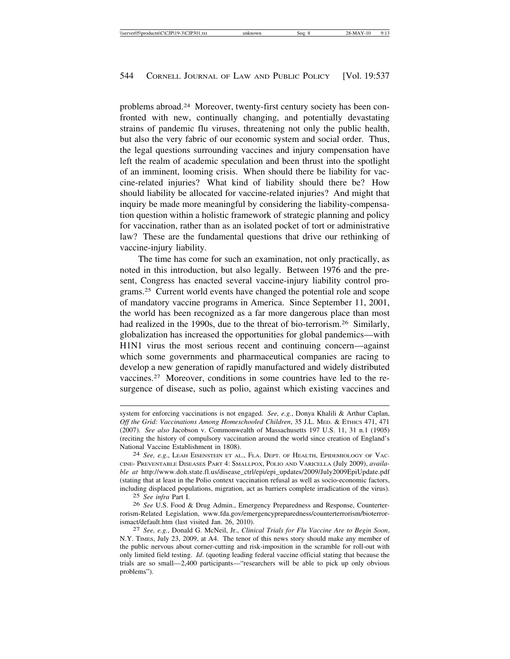problems abroad.24 Moreover, twenty-first century society has been confronted with new, continually changing, and potentially devastating strains of pandemic flu viruses, threatening not only the public health, but also the very fabric of our economic system and social order. Thus, the legal questions surrounding vaccines and injury compensation have left the realm of academic speculation and been thrust into the spotlight of an imminent, looming crisis. When should there be liability for vaccine-related injuries? What kind of liability should there be? How should liability be allocated for vaccine-related injuries? And might that inquiry be made more meaningful by considering the liability-compensation question within a holistic framework of strategic planning and policy for vaccination, rather than as an isolated pocket of tort or administrative law? These are the fundamental questions that drive our rethinking of vaccine-injury liability.

The time has come for such an examination, not only practically, as noted in this introduction, but also legally. Between 1976 and the present, Congress has enacted several vaccine-injury liability control programs.25 Current world events have changed the potential role and scope of mandatory vaccine programs in America. Since September 11, 2001, the world has been recognized as a far more dangerous place than most had realized in the 1990s, due to the threat of bio-terrorism.<sup>26</sup> Similarly, globalization has increased the opportunities for global pandemics—with H1N1 virus the most serious recent and continuing concern—against which some governments and pharmaceutical companies are racing to develop a new generation of rapidly manufactured and widely distributed vaccines.27 Moreover, conditions in some countries have led to the resurgence of disease, such as polio, against which existing vaccines and

system for enforcing vaccinations is not engaged. *See, e.g.*, Donya Khalili & Arthur Caplan, *Off the Grid: Vaccinations Among Homeschooled Children*, 35 J.L. MED. & ETHICS 471, 471 (2007). *See also* Jacobson v. Commonwealth of Massachusetts 197 U.S. 11, 31 n.1 (1905) (reciting the history of compulsory vaccination around the world since creation of England's National Vaccine Establishment in 1808).<br><sup>24</sup> *See, e.g.*, LEAH EISENSTEIN ET AL., FLA. DEPT. OF HEALTH, EPIDEMIOLOGY OF VAC-

CINE- PREVENTABLE DISEASES PART 4: SMALLPOX, POLIO AND VARICELLA (July 2009), *available at* http://www.doh.state.fl.us/disease\_ctrl/epi/epi\_updates/2009/July2009EpiUpdate.pdf (stating that at least in the Polio context vaccination refusal as well as socio-economic factors, including displaced populations, migration, act as barriers complete irradication of the virus).

<sup>25</sup> *See infra* Part I.

<sup>26</sup> *See* U.S. Food & Drug Admin., Emergency Preparedness and Response, Counterterrorism-Related Legislation, www.fda.gov/emergencypreparedness/counterterrorism/bioterrorismact/default.htm (last visited Jan. 26, 2010). <sup>27</sup> *See, e.g.*, Donald G. McNeil, Jr., *Clinical Trials for Flu Vaccine Are to Begin Soon*,

N.Y. TIMES, July 23, 2009, at A4. The tenor of this news story should make any member of the public nervous about corner-cutting and risk-imposition in the scramble for roll-out with only limited field testing. *Id*. (quoting leading federal vaccine official stating that because the trials are so small—2,400 participants—"researchers will be able to pick up only obvious problems").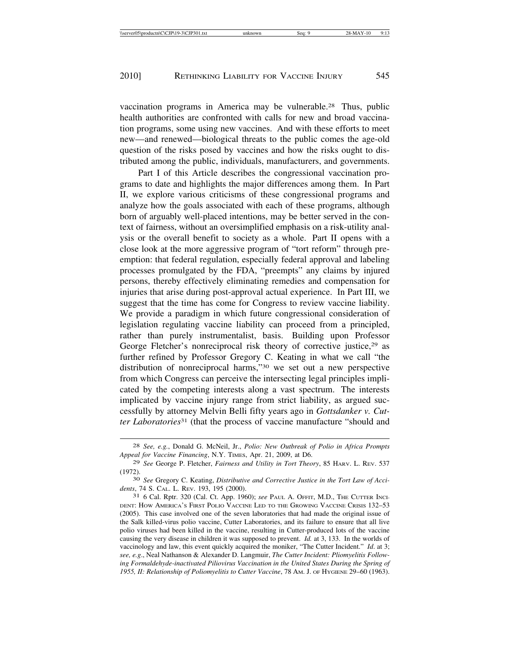vaccination programs in America may be vulnerable.28 Thus, public health authorities are confronted with calls for new and broad vaccination programs, some using new vaccines. And with these efforts to meet new—and renewed—biological threats to the public comes the age-old question of the risks posed by vaccines and how the risks ought to distributed among the public, individuals, manufacturers, and governments.

Part I of this Article describes the congressional vaccination programs to date and highlights the major differences among them. In Part II, we explore various criticisms of these congressional programs and analyze how the goals associated with each of these programs, although born of arguably well-placed intentions, may be better served in the context of fairness, without an oversimplified emphasis on a risk-utility analysis or the overall benefit to society as a whole. Part II opens with a close look at the more aggressive program of "tort reform" through preemption: that federal regulation, especially federal approval and labeling processes promulgated by the FDA, "preempts" any claims by injured persons, thereby effectively eliminating remedies and compensation for injuries that arise during post-approval actual experience. In Part III, we suggest that the time has come for Congress to review vaccine liability. We provide a paradigm in which future congressional consideration of legislation regulating vaccine liability can proceed from a principled, rather than purely instrumentalist, basis. Building upon Professor George Fletcher's nonreciprocal risk theory of corrective justice,<sup>29</sup> as further refined by Professor Gregory C. Keating in what we call "the distribution of nonreciprocal harms,"30 we set out a new perspective from which Congress can perceive the intersecting legal principles implicated by the competing interests along a vast spectrum. The interests implicated by vaccine injury range from strict liability, as argued successfully by attorney Melvin Belli fifty years ago in *Gottsdanker v. Cutter Laboratories*31 (that the process of vaccine manufacture "should and

<sup>28</sup> *See, e.g.*, Donald G. McNeil, Jr., *Polio: New Outbreak of Polio in Africa Prompts Appeal for Vaccine Financing*, N.Y. TIMES, Apr. 21, 2009, at D6.

<sup>29</sup> *See* George P. Fletcher, *Fairness and Utility in Tort Theory*, 85 HARV. L. REV. 537

<sup>(1972).</sup> <sup>30</sup> *See* Gregory C. Keating, *Distributive and Corrective Justice in the Tort Law of Acci-*

<sup>&</sup>lt;sup>31</sup> 6 Cal. Rptr. 320 (Cal. Ct. App. 1960); *see* PAUL A. OFFIT, M.D., THE CUTTER INCI-DENT: HOW AMERICA'S FIRST POLIO VACCINE LED TO THE GROWING VACCINE CRISIS 132–53 (2005). This case involved one of the seven laboratories that had made the original issue of the Salk killed-virus polio vaccine, Cutter Laboratories, and its failure to ensure that all live polio viruses had been killed in the vaccine, resulting in Cutter-produced lots of the vaccine causing the very disease in children it was supposed to prevent. *Id.* at 3, 133. In the worlds of vaccinology and law, this event quickly acquired the moniker, "The Cutter Incident." *Id*. at 3; *see, e.g*., Neal Nathanson & Alexander D. Langmuir, *The Cutter Incident: Pliomyelitis Following Formaldehyde-inactivated Piliovirus Vaccination in the United States During the Spring of 1955, II: Relationship of Poliomyelitis to Cutter Vaccine*, 78 AM. J. OF HYGIENE 29–60 (1963).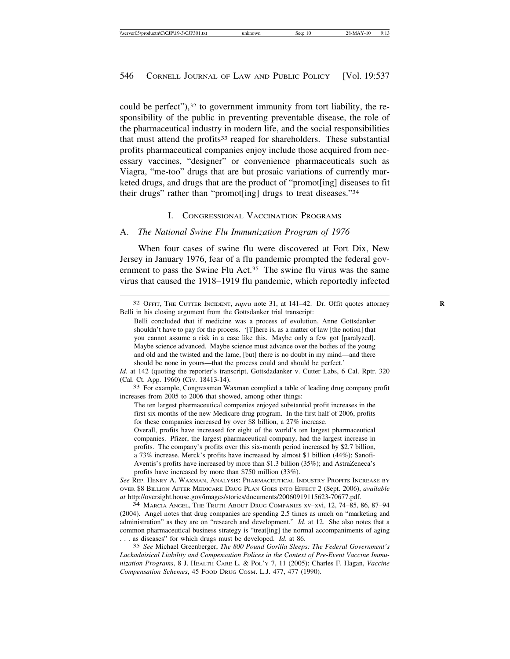could be perfect"),<sup>32</sup> to government immunity from tort liability, the responsibility of the public in preventing preventable disease, the role of the pharmaceutical industry in modern life, and the social responsibilities that must attend the profits<sup>33</sup> reaped for shareholders. These substantial profits pharmaceutical companies enjoy include those acquired from necessary vaccines, "designer" or convenience pharmaceuticals such as Viagra, "me-too" drugs that are but prosaic variations of currently marketed drugs, and drugs that are the product of "promot[ing] diseases to fit their drugs" rather than "promot[ing] drugs to treat diseases."34

### I. CONGRESSIONAL VACCINATION PROGRAMS

#### A. *The National Swine Flu Immunization Program of 1976*

When four cases of swine flu were discovered at Fort Dix, New Jersey in January 1976, fear of a flu pandemic prompted the federal government to pass the Swine Flu Act.<sup>35</sup> The swine flu virus was the same virus that caused the 1918–1919 flu pandemic, which reportedly infected

Overall, profits have increased for eight of the world's ten largest pharmaceutical companies. Pfizer, the largest pharmaceutical company, had the largest increase in profits. The company's profits over this six-month period increased by \$2.7 billion, a 73% increase. Merck's profits have increased by almost \$1 billion (44%); Sanofi-Aventis's profits have increased by more than \$1.3 billion (35%); and AstraZeneca's profits have increased by more than \$750 million (33%).

*See* REP. HENRY A. WAXMAN, ANALYSIS: PHARMACEUTICAL INDUSTRY PROFITS INCREASE BY OVER \$8 BILLION AFTER MEDICARE DRUG PLAN GOES INTO EFFECT 2 (Sept. 2006), *available at* http://oversight.house.gov/images/stories/documents/20060919115623-70677.pdf. <sup>34</sup> MARCIA ANGEL, THE TRUTH ABOUT DRUG COMPANIES xv–xvi, 12, 74–85, 86, 87–94

(2004). Angel notes that drug companies are spending 2.5 times as much on "marketing and administration" as they are on "research and development." *Id*. at 12. She also notes that a common pharmaceutical business strategy is "treat[ing] the normal accompaniments of aging . . . as diseases" for which drugs must be developed. *Id*. at 86.

35 *See* Michael Greenberger, *The 800 Pound Gorilla Sleeps: The Federal Government's Lackadaisical Liability and Compensation Polices in the Context of Pre-Event Vaccine Immunization Programs*, 8 J. HEALTH CARE L. & POL'Y 7, 11 (2005); Charles F. Hagan, *Vaccine Compensation Schemes*, 45 FOOD DRUG COSM. L.J. 477, 477 (1990).

<sup>32</sup> OFFIT, THE CUTTER INCIDENT, *supra* note 31, at 141–42. Dr. Offit quotes attorney **R** Belli in his closing argument from the Gottsdanker trial transcript:

Belli concluded that if medicine was a process of evolution, Anne Gottsdanker shouldn't have to pay for the process. '[T]here is, as a matter of law [the notion] that you cannot assume a risk in a case like this. Maybe only a few got [paralyzed]. Maybe science advanced. Maybe science must advance over the bodies of the young and old and the twisted and the lame, [but] there is no doubt in my mind—and there should be none in yours—that the process could and should be perfect.'

*Id.* at 142 (quoting the reporter's transcript, Gottsdadanker v. Cutter Labs, 6 Cal. Rptr. 320 (Cal. Ct. App. 1960) (Civ. 18413-14).

<sup>33</sup> For example, Congressman Waxman complied a table of leading drug company profit increases from 2005 to 2006 that showed, among other things:

The ten largest pharmaceutical companies enjoyed substantial profit increases in the first six months of the new Medicare drug program. In the first half of 2006, profits for these companies increased by over \$8 billion, a 27% increase.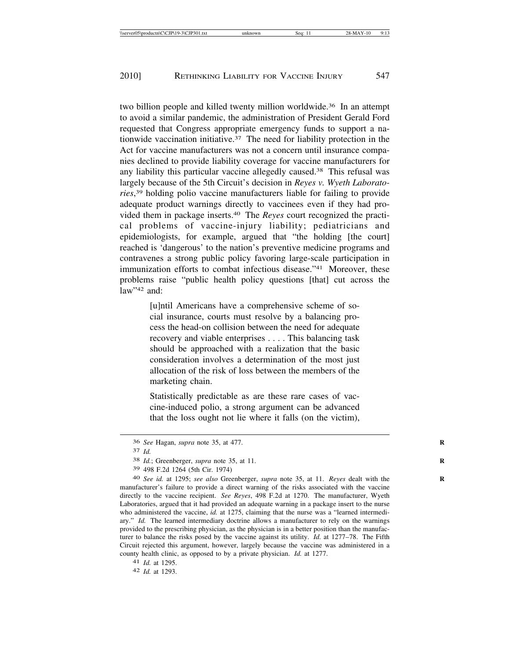two billion people and killed twenty million worldwide.<sup>36</sup> In an attempt to avoid a similar pandemic, the administration of President Gerald Ford requested that Congress appropriate emergency funds to support a nationwide vaccination initiative.<sup>37</sup> The need for liability protection in the Act for vaccine manufacturers was not a concern until insurance companies declined to provide liability coverage for vaccine manufacturers for any liability this particular vaccine allegedly caused.38 This refusal was largely because of the 5th Circuit's decision in *Reyes v. Wyeth Laboratories*, 39 holding polio vaccine manufacturers liable for failing to provide adequate product warnings directly to vaccinees even if they had provided them in package inserts.40 The *Reyes* court recognized the practical problems of vaccine-injury liability; pediatricians and epidemiologists, for example, argued that "the holding [the court] reached is 'dangerous' to the nation's preventive medicine programs and contravenes a strong public policy favoring large-scale participation in immunization efforts to combat infectious disease."<sup>41</sup> Moreover, these problems raise "public health policy questions [that] cut across the law"<sup>42</sup> and:

> [u]ntil Americans have a comprehensive scheme of social insurance, courts must resolve by a balancing process the head-on collision between the need for adequate recovery and viable enterprises . . . . This balancing task should be approached with a realization that the basic consideration involves a determination of the most just allocation of the risk of loss between the members of the marketing chain.

> Statistically predictable as are these rare cases of vaccine-induced polio, a strong argument can be advanced that the loss ought not lie where it falls (on the victim),

<sup>36</sup> *See* Hagan, *supra* note 35, at 477. **R**

<sup>37</sup> *Id.*

<sup>38</sup> *Id.*; Greenberger, *supra* note 35, at 11. **R**

<sup>39</sup> 498 F.2d 1264 (5th Cir. 1974)

<sup>&</sup>lt;sup>40</sup> *See id.* at 1295; *see also* Greenberger, *supra* note 35, at 11. *Reyes* dealt with the manufacturer's failure to provide a direct warning of the risks associated with the vaccine directly to the vaccine recipient. *See Reyes*, 498 F.2d at 1270. The manufacturer, Wyeth Laboratories, argued that it had provided an adequate warning in a package insert to the nurse who administered the vaccine, *id.* at 1275, claiming that the nurse was a "learned intermediary." *Id.* The learned intermediary doctrine allows a manufacturer to rely on the warnings provided to the prescribing physician, as the physician is in a better position than the manufacturer to balance the risks posed by the vaccine against its utility. *Id.* at 1277–78. The Fifth Circuit rejected this argument, however, largely because the vaccine was administered in a county health clinic, as opposed to by a private physician. *Id.* at 1277.

<sup>41</sup> *Id.* at 1295.

<sup>42</sup> *Id.* at 1293.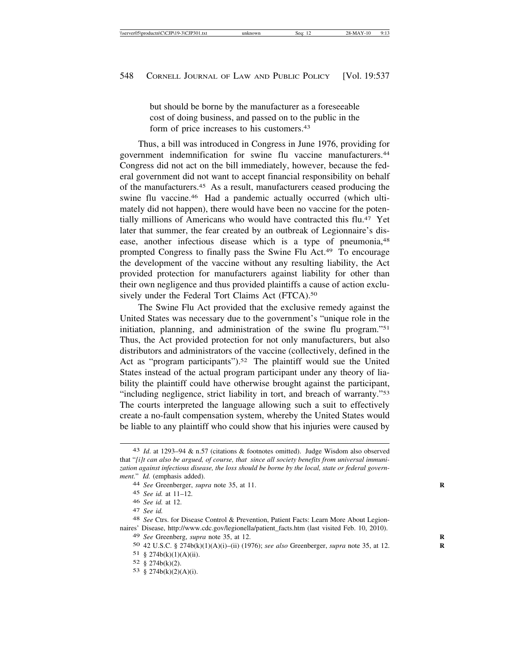but should be borne by the manufacturer as a foreseeable cost of doing business, and passed on to the public in the form of price increases to his customers.43

Thus, a bill was introduced in Congress in June 1976, providing for government indemnification for swine flu vaccine manufacturers.44 Congress did not act on the bill immediately, however, because the federal government did not want to accept financial responsibility on behalf of the manufacturers.45 As a result, manufacturers ceased producing the swine flu vaccine.46 Had a pandemic actually occurred (which ultimately did not happen), there would have been no vaccine for the potentially millions of Americans who would have contracted this flu.47 Yet later that summer, the fear created by an outbreak of Legionnaire's disease, another infectious disease which is a type of pneumonia,<sup>48</sup> prompted Congress to finally pass the Swine Flu Act.49 To encourage the development of the vaccine without any resulting liability, the Act provided protection for manufacturers against liability for other than their own negligence and thus provided plaintiffs a cause of action exclusively under the Federal Tort Claims Act (FTCA).<sup>50</sup>

The Swine Flu Act provided that the exclusive remedy against the United States was necessary due to the government's "unique role in the initiation, planning, and administration of the swine flu program."51 Thus, the Act provided protection for not only manufacturers, but also distributors and administrators of the vaccine (collectively, defined in the Act as "program participants").<sup>52</sup> The plaintiff would sue the United States instead of the actual program participant under any theory of liability the plaintiff could have otherwise brought against the participant, "including negligence, strict liability in tort, and breach of warranty."53 The courts interpreted the language allowing such a suit to effectively create a no-fault compensation system, whereby the United States would be liable to any plaintiff who could show that his injuries were caused by

<sup>43</sup> *Id*. at 1293–94 & n.57 (citations & footnotes omitted). Judge Wisdom also observed that "*[i]t can also be argued, of course, that since all society benefits from universal immunization against infectious disease, the loss should be borne by the local, state or federal government.*" *Id.* (emphasis added). 44 *See* Greenberger, *supra* note 35, at 11.

<sup>45</sup> *See id.* at 11–12.

<sup>46</sup> *See id.* at 12.

<sup>47</sup> *See id.*

<sup>48</sup> *See* Ctrs. for Disease Control & Prevention, Patient Facts: Learn More About Legionnaires' Disease, http://www.cdc.gov/legionella/patient\_facts.htm (last visited Feb. 10, 2010). 49 *See* Greenberg, *supra* note 35, at 12. **R**

<sup>50</sup> 42 U.S.C. § 274b(k)(1)(A)(i)–(ii) (1976); *see also* Greenberger, *supra* note 35, at 12. **R**

<sup>51</sup> § 274b(k)(1)(A)(ii).

<sup>52</sup> § 274b(k)(2).

<sup>53</sup> § 274b(k)(2)(A)(i).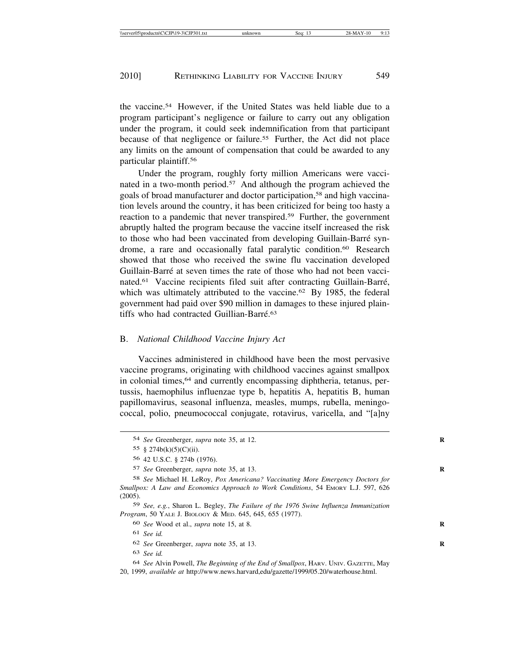the vaccine.54 However, if the United States was held liable due to a program participant's negligence or failure to carry out any obligation under the program, it could seek indemnification from that participant because of that negligence or failure.<sup>55</sup> Further, the Act did not place any limits on the amount of compensation that could be awarded to any particular plaintiff.56

Under the program, roughly forty million Americans were vaccinated in a two-month period.57 And although the program achieved the goals of broad manufacturer and doctor participation,58 and high vaccination levels around the country, it has been criticized for being too hasty a reaction to a pandemic that never transpired.59 Further, the government abruptly halted the program because the vaccine itself increased the risk to those who had been vaccinated from developing Guillain-Barré syndrome, a rare and occasionally fatal paralytic condition.<sup>60</sup> Research showed that those who received the swine flu vaccination developed Guillain-Barré at seven times the rate of those who had not been vaccinated.<sup>61</sup> Vaccine recipients filed suit after contracting Guillain-Barré, which was ultimately attributed to the vaccine.<sup>62</sup> By 1985, the federal government had paid over \$90 million in damages to these injured plaintiffs who had contracted Guillian-Barré. $63$ 

### B. *National Childhood Vaccine Injury Act*

Vaccines administered in childhood have been the most pervasive vaccine programs, originating with childhood vaccines against smallpox in colonial times,<sup>64</sup> and currently encompassing diphtheria, tetanus, pertussis, haemophilus influenzae type b, hepatitis A, hepatitis B, human papillomavirus, seasonal influenza, measles, mumps, rubella, meningococcal, polio, pneumococcal conjugate, rotavirus, varicella, and "[a]ny

59 *See, e.g.*, Sharon L. Begley, *The Failure of the 1976 Swine Influenza Immunization Program*, 50 YALE J. BIOLOGY & MED. 645, 645, 655 (1977).

64 *See* Alvin Powell, *The Beginning of the End of Smallpox*, HARV. UNIV. GAZETTE, May 20, 1999, *available at* http://www.news.harvard,edu/gazette/1999/05.20/waterhouse.html.

<sup>54</sup> *See* Greenberger, *supra* note 35, at 12. **R**

<sup>55</sup>  $§$  274b(k)(5)(C)(ii).

<sup>56</sup> 42 U.S.C. § 274b (1976).

<sup>57</sup> *See* Greenberger, *supra* note 35, at 13. **R**

<sup>58</sup> *See* Michael H. LeRoy, *Pox Americana? Vaccinating More Emergency Doctors for Smallpox: A Law and Economics Approach to Work Conditions*, 54 EMORY L.J. 597, 626 (2005).

<sup>60</sup> *See* Wood et al., *supra* note 15, at 8. **R**

<sup>61</sup> *See id.*

<sup>62</sup> *See* Greenberger, *supra* note 35, at 13. **R**

<sup>63</sup> *See id.*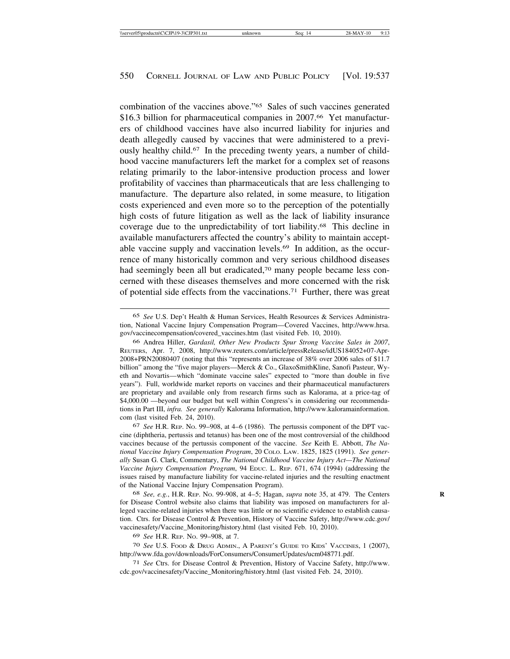combination of the vaccines above."65 Sales of such vaccines generated \$16.3 billion for pharmaceutical companies in 2007.<sup>66</sup> Yet manufacturers of childhood vaccines have also incurred liability for injuries and death allegedly caused by vaccines that were administered to a previously healthy child.67 In the preceding twenty years, a number of childhood vaccine manufacturers left the market for a complex set of reasons relating primarily to the labor-intensive production process and lower profitability of vaccines than pharmaceuticals that are less challenging to manufacture. The departure also related, in some measure, to litigation costs experienced and even more so to the perception of the potentially high costs of future litigation as well as the lack of liability insurance coverage due to the unpredictability of tort liability.68 This decline in available manufacturers affected the country's ability to maintain acceptable vaccine supply and vaccination levels.69 In addition, as the occurrence of many historically common and very serious childhood diseases had seemingly been all but eradicated,<sup>70</sup> many people became less concerned with these diseases themselves and more concerned with the risk of potential side effects from the vaccinations.71 Further, there was great

67 *See* H.R. REP. NO. 99–908, at 4–6 (1986). The pertussis component of the DPT vaccine (diphtheria, pertussis and tetanus) has been one of the most controversial of the childhood vaccines because of the pertussis component of the vaccine. *See* Keith E. Abbott, *The National Vaccine Injury Compensation Program*, 20 COLO. LAW. 1825, 1825 (1991). *See generally* Susan G. Clark, Commentary, *The National Childhood Vaccine Injury Act—The National Vaccine Injury Compensation Program*, 94 EDUC. L. REP. 671, 674 (1994) (addressing the issues raised by manufacture liability for vaccine-related injuries and the resulting enactment of the National Vaccine Injury Compensation Program).

68 *See, e.g.*, H.R. REP. NO. 99-908, at 4–5; Hagan, *supra* note 35, at 479. The Centers **R** for Disease Control website also claims that liability was imposed on manufacturers for alleged vaccine-related injuries when there was little or no scientific evidence to establish causation. Ctrs. for Disease Control & Prevention, History of Vaccine Safety, http://www.cdc.gov/ vaccinesafety/Vaccine\_Monitoring/history.html (last visited Feb. 10, 2010).

69 *See* H.R. REP. NO. 99–908, at 7.

70 *See* U.S. FOOD & DRUG ADMIN., A PARENT'S GUIDE TO KIDS' VACCINES, 1 (2007), http://www.fda.gov/downloads/ForConsumers/ConsumerUpdates/ucm048771.pdf.

71 *See* Ctrs. for Disease Control & Prevention, History of Vaccine Safety, http://www. cdc.gov/vaccinesafety/Vaccine\_Monitoring/history.html (last visited Feb. 24, 2010).

<sup>65</sup> *See* U.S. Dep't Health & Human Services, Health Resources & Services Administration, National Vaccine Injury Compensation Program—Covered Vaccines, http://www.hrsa. gov/vaccinecompensation/covered\_vaccines.htm (last visited Feb. 10, 2010).

<sup>66</sup> Andrea Hiller, *Gardasil, Other New Products Spur Strong Vaccine Sales in 2007*, REUTERS, Apr. 7, 2008, http://www.reuters.com/article/pressRelease/idUS184052+07-Apr-2008+PRN20080407 (noting that this "represents an increase of 38% over 2006 sales of \$11.7 billion" among the "five major players—Merck & Co., GlaxoSmithKline, Sanofi Pasteur, Wyeth and Novartis—which "dominate vaccine sales" expected to "more than double in five years"). Full, worldwide market reports on vaccines and their pharmaceutical manufacturers are proprietary and available only from research firms such as Kalorama, at a price-tag of \$4,000.00 —beyond our budget but well within Congress's in considering our recommendations in Part III, *infra. See generally* Kalorama Information, http://www.kaloramainformation. com (last visited Feb. 24, 2010).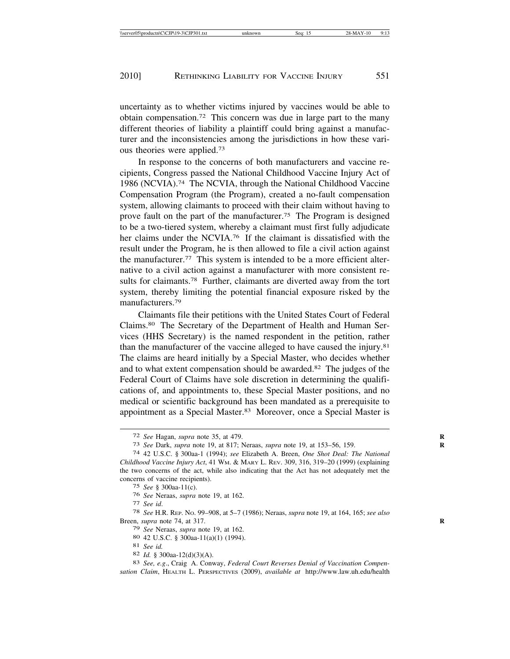uncertainty as to whether victims injured by vaccines would be able to obtain compensation.72 This concern was due in large part to the many different theories of liability a plaintiff could bring against a manufacturer and the inconsistencies among the jurisdictions in how these various theories were applied.73

In response to the concerns of both manufacturers and vaccine recipients, Congress passed the National Childhood Vaccine Injury Act of 1986 (NCVIA).74 The NCVIA, through the National Childhood Vaccine Compensation Program (the Program), created a no-fault compensation system, allowing claimants to proceed with their claim without having to prove fault on the part of the manufacturer.75 The Program is designed to be a two-tiered system, whereby a claimant must first fully adjudicate her claims under the NCVIA.<sup>76</sup> If the claimant is dissatisfied with the result under the Program, he is then allowed to file a civil action against the manufacturer.77 This system is intended to be a more efficient alternative to a civil action against a manufacturer with more consistent results for claimants.78 Further, claimants are diverted away from the tort system, thereby limiting the potential financial exposure risked by the manufacturers.79

Claimants file their petitions with the United States Court of Federal Claims.80 The Secretary of the Department of Health and Human Services (HHS Secretary) is the named respondent in the petition, rather than the manufacturer of the vaccine alleged to have caused the injury.81 The claims are heard initially by a Special Master, who decides whether and to what extent compensation should be awarded.82 The judges of the Federal Court of Claims have sole discretion in determining the qualifications of, and appointments to, these Special Master positions, and no medical or scientific background has been mandated as a prerequisite to appointment as a Special Master.<sup>83</sup> Moreover, once a Special Master is

79 See Neraas, *supra* note 19, at 162.<br>
80 42 U.S.C. § 300aa-11(a)(1) (1994).<br>
81 See id.<br>
82 Id. § 300aa-12(d)(3)(A).<br>
83 See, e.g., Craig A. Conway, *Federal Court Reverses Denial of Vaccination Compen-*

*sation Claim*, HEALTH L. PERSPECTIVES (2009), *available at* http://www.law.uh.edu/health

<sup>72</sup> *See* Hagan, *supra* note 35, at 479. **R**

<sup>73</sup> *See* Dark, *supra* note 19, at 817; Neraas, *supra* note 19, at 153–56, 159. **R**

<sup>74</sup> 42 U.S.C. § 300aa-1 (1994); *see* Elizabeth A. Breen, *One Shot Deal: The National Childhood Vaccine Injury Act*, 41 WM. & MARY L. REV. 309, 316, 319–20 (1999) (explaining the two concerns of the act, while also indicating that the Act has not adequately met the concerns of vaccine recipients).

<sup>75</sup> *See* § 300aa-11(c).

<sup>76</sup> *See* Neraas, *supra* note 19, at 162. <sup>77</sup> *See id*. <sup>78</sup> *See* H.R. REP. NO. 99–908, at 5–7 (1986); Neraas, *supra* note 19, at 164, 165; *see also* Breen, *supra* note 74, at 317. **R**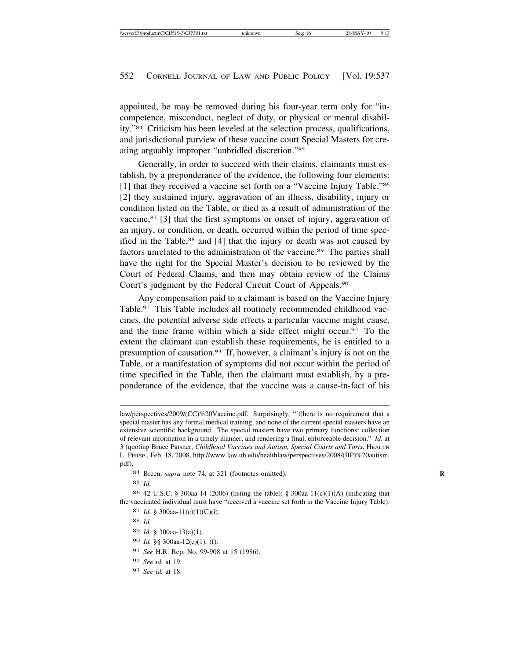appointed, he may be removed during his four-year term only for "incompetence, misconduct, neglect of duty, or physical or mental disability."84 Criticism has been leveled at the selection process, qualifications, and jurisdictional purview of these vaccine court Special Masters for creating arguably improper "unbridled discretion."85

Generally, in order to succeed with their claims, claimants must establish, by a preponderance of the evidence, the following four elements: [1] that they received a vaccine set forth on a "Vaccine Injury Table,"86 [2] they sustained injury, aggravation of an illness, disability, injury or condition listed on the Table, or died as a result of administration of the vaccine,87 [3] that the first symptoms or onset of injury, aggravation of an injury, or condition, or death, occurred within the period of time specified in the Table,<sup>88</sup> and [4] that the injury or death was not caused by factors unrelated to the administration of the vaccine.89 The parties shall have the right for the Special Master's decision to be reviewed by the Court of Federal Claims, and then may obtain review of the Claims Court's judgment by the Federal Circuit Court of Appeals.90

Any compensation paid to a claimant is based on the Vaccine Injury Table.91 This Table includes all routinely recommended childhood vaccines, the potential adverse side effects a particular vaccine might cause, and the time frame within which a side effect might occur.92 To the extent the claimant can establish these requirements, he is entitled to a presumption of causation.93 If, however, a claimant's injury is not on the Table, or a manifestation of symptoms did not occur within the period of time specified in the Table, then the claimant must establish, by a preponderance of the evidence, that the vaccine was a cause-in-fact of his

84 Breen, *supra* note 74, at 321 (footnotes omitted).

85 *Id*.

86 42 U.S.C. § 300aa-14 (2006) (listing the table); § 300aa-11(c)(1)(A) (indicating that the vaccinated individual must have "received a vaccine set forth in the Vaccine Injury Table).

- 89 *Id.* § 300aa-13(a)(1).
- 90 *Id.* §§ 300aa-12(e)(1), (f).
- 91 *See* H.R. Rep. No. 99-908 at 15 (1986).
- 92 *See id.* at 19.
- 93 *See id.* at 18.

law/perspectives/2009/(CC)%20Vaccine.pdf. Surprisingly, "[t]here is no requirement that a special master has any formal medical training, and none of the current special masters have an extensive scientific background. The special masters have two primary functions: collection of relevant information in a timely manner, and rendering a final, enforceable decision." *Id*. at 3 (quoting Bruce Patsner, *Childhood Vaccines and Autism, Special Courts and Torts*, HEALTH L. PERSP., Feb. 18, 2008, http://www.law.uh.edu/healthlaw/perspectives/2008/(BP)%20autism. pdf).

<sup>87</sup> *Id.* § 300aa-11(c)(1)(C)(i).

<sup>88</sup> *Id.*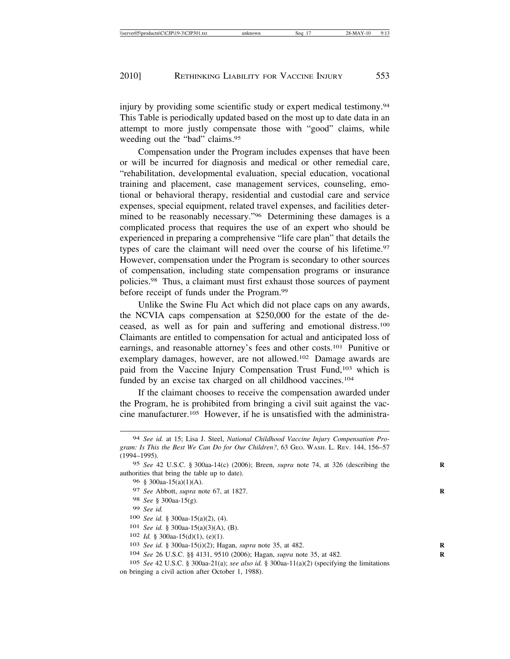injury by providing some scientific study or expert medical testimony.94 This Table is periodically updated based on the most up to date data in an attempt to more justly compensate those with "good" claims, while weeding out the "bad" claims.<sup>95</sup>

Compensation under the Program includes expenses that have been or will be incurred for diagnosis and medical or other remedial care, "rehabilitation, developmental evaluation, special education, vocational training and placement, case management services, counseling, emotional or behavioral therapy, residential and custodial care and service expenses, special equipment, related travel expenses, and facilities determined to be reasonably necessary."96 Determining these damages is a complicated process that requires the use of an expert who should be experienced in preparing a comprehensive "life care plan" that details the types of care the claimant will need over the course of his lifetime.<sup>97</sup> However, compensation under the Program is secondary to other sources of compensation, including state compensation programs or insurance policies.98 Thus, a claimant must first exhaust those sources of payment before receipt of funds under the Program.99

Unlike the Swine Flu Act which did not place caps on any awards, the NCVIA caps compensation at \$250,000 for the estate of the deceased, as well as for pain and suffering and emotional distress.100 Claimants are entitled to compensation for actual and anticipated loss of earnings, and reasonable attorney's fees and other costs.101 Punitive or exemplary damages, however, are not allowed.102 Damage awards are paid from the Vaccine Injury Compensation Trust Fund,103 which is funded by an excise tax charged on all childhood vaccines.<sup>104</sup>

If the claimant chooses to receive the compensation awarded under the Program, he is prohibited from bringing a civil suit against the vaccine manufacturer.105 However, if he is unsatisfied with the administra-

- 98 *See* § 300aa-15(g).
- 99 *See id.*
- 100 *See id.* § 300aa-15(a)(2), (4).

- 102 *Id.* § 300aa-15(d)(1), (e)(1).
- 103 *See id.* § 300aa-15(i)(2); Hagan, *supra* note 35, at 482. **R**
- 104 *See* 26 U.S.C. §§ 4131, 9510 (2006); Hagan, *supra* note 35, at 482. **R**
- 105 *See* 42 U.S.C. § 300aa-21(a); *see also id.* § 300aa-11(a)(2) (specifying the limitations on bringing a civil action after October 1, 1988).

<sup>94</sup> *See id.* at 15; Lisa J. Steel, *National Childhood Vaccine Injury Compensation Program: Is This the Best We Can Do for Our Children?*, 63 GEO. WASH. L. REV. 144, 156–57 (1994–1995).

<sup>95</sup> *See* 42 U.S.C. § 300aa-14(c) (2006); Breen, *supra* note 74, at 326 (describing the **R** authorities that bring the table up to date).

<sup>96</sup> § 300aa-15(a)(1)(A).

<sup>97</sup> *See* Abbott, *supra* note 67, at 1827. **R**

<sup>101</sup> *See id.* § 300aa-15(a)(3)(A), (B).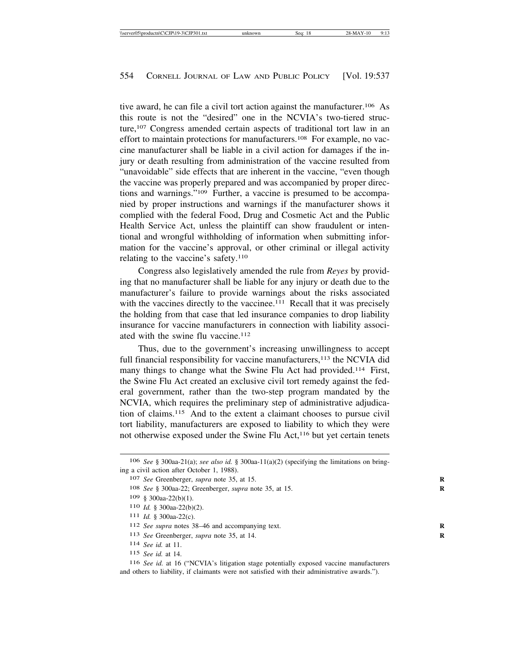tive award, he can file a civil tort action against the manufacturer.<sup>106</sup> As this route is not the "desired" one in the NCVIA's two-tiered structure,<sup>107</sup> Congress amended certain aspects of traditional tort law in an effort to maintain protections for manufacturers.<sup>108</sup> For example, no vaccine manufacturer shall be liable in a civil action for damages if the injury or death resulting from administration of the vaccine resulted from "unavoidable" side effects that are inherent in the vaccine, "even though the vaccine was properly prepared and was accompanied by proper directions and warnings."109 Further, a vaccine is presumed to be accompanied by proper instructions and warnings if the manufacturer shows it complied with the federal Food, Drug and Cosmetic Act and the Public Health Service Act, unless the plaintiff can show fraudulent or intentional and wrongful withholding of information when submitting information for the vaccine's approval, or other criminal or illegal activity relating to the vaccine's safety.<sup>110</sup>

Congress also legislatively amended the rule from *Reyes* by providing that no manufacturer shall be liable for any injury or death due to the manufacturer's failure to provide warnings about the risks associated with the vaccines directly to the vaccinee.<sup>111</sup> Recall that it was precisely the holding from that case that led insurance companies to drop liability insurance for vaccine manufacturers in connection with liability associated with the swine flu vaccine.<sup>112</sup>

Thus, due to the government's increasing unwillingness to accept full financial responsibility for vaccine manufacturers,<sup>113</sup> the NCVIA did many things to change what the Swine Flu Act had provided.<sup>114</sup> First, the Swine Flu Act created an exclusive civil tort remedy against the federal government, rather than the two-step program mandated by the NCVIA, which requires the preliminary step of administrative adjudication of claims.115 And to the extent a claimant chooses to pursue civil tort liability, manufacturers are exposed to liability to which they were not otherwise exposed under the Swine Flu Act,<sup>116</sup> but yet certain tenets

111 *Id.* § 300aa-22(c).

- 113 *See* Greenberger, *supra* note 35, at 14. **R**
- 114 *See id.* at 11.

<sup>106</sup> *See* § 300aa-21(a); *see also id.* § 300aa-11(a)(2) (specifying the limitations on bringing a civil action after October 1, 1988).

<sup>107</sup> *See* Greenberger, *supra* note 35, at 15. **R**

<sup>108</sup> *See* § 300aa-22; Greenberger, *supra* note 35, at 15. **R**

<sup>109</sup> § 300aa-22(b)(1).

<sup>110</sup> *Id.* § 300aa-22(b)(2).

<sup>112</sup> *See supra* notes 38–46 and accompanying text. **R**

<sup>115</sup> *See id.* at 14.

<sup>116</sup> *See id.* at 16 ("NCVIA's litigation stage potentially exposed vaccine manufacturers and others to liability, if claimants were not satisfied with their administrative awards.").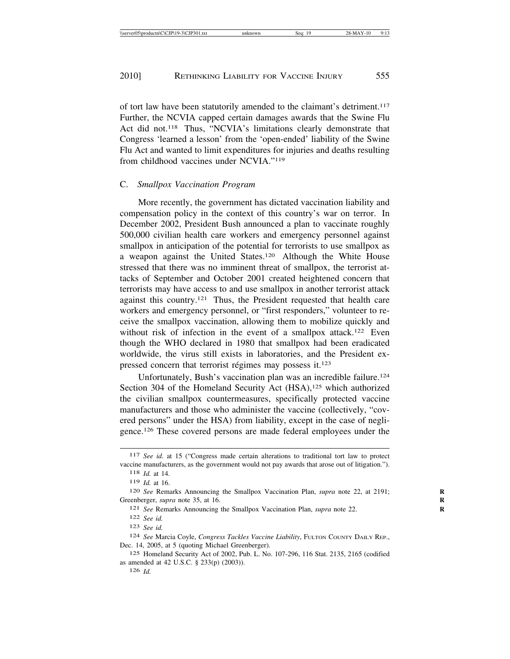of tort law have been statutorily amended to the claimant's detriment.117 Further, the NCVIA capped certain damages awards that the Swine Flu Act did not.<sup>118</sup> Thus, "NCVIA's limitations clearly demonstrate that Congress 'learned a lesson' from the 'open-ended' liability of the Swine Flu Act and wanted to limit expenditures for injuries and deaths resulting from childhood vaccines under NCVIA."119

#### C. *Smallpox Vaccination Program*

More recently, the government has dictated vaccination liability and compensation policy in the context of this country's war on terror. In December 2002, President Bush announced a plan to vaccinate roughly 500,000 civilian health care workers and emergency personnel against smallpox in anticipation of the potential for terrorists to use smallpox as a weapon against the United States.120 Although the White House stressed that there was no imminent threat of smallpox, the terrorist attacks of September and October 2001 created heightened concern that terrorists may have access to and use smallpox in another terrorist attack against this country.121 Thus, the President requested that health care workers and emergency personnel, or "first responders," volunteer to receive the smallpox vaccination, allowing them to mobilize quickly and without risk of infection in the event of a smallpox attack.<sup>122</sup> Even though the WHO declared in 1980 that smallpox had been eradicated worldwide, the virus still exists in laboratories, and the President expressed concern that terrorist régimes may possess it.<sup>123</sup>

Unfortunately, Bush's vaccination plan was an incredible failure.<sup>124</sup> Section 304 of the Homeland Security Act (HSA),<sup>125</sup> which authorized the civilian smallpox countermeasures, specifically protected vaccine manufacturers and those who administer the vaccine (collectively, "covered persons" under the HSA) from liability, except in the case of negligence.126 These covered persons are made federal employees under the

<sup>117</sup> *See id.* at 15 ("Congress made certain alterations to traditional tort law to protect vaccine manufacturers, as the government would not pay awards that arose out of litigation.").

<sup>118</sup> *Id.* at 14.

<sup>119</sup> *Id.* at 16.

<sup>120</sup> *See* Remarks Announcing the Smallpox Vaccination Plan, *supra* note 22, at 2191; **R** Greenberger, *supra* note 35, at 16. **R**

<sup>121</sup> *See* Remarks Announcing the Smallpox Vaccination Plan, *supra* note 22. **R**

<sup>122</sup> *See id.*

<sup>123</sup> *See id.*

<sup>124</sup> *See* Marcia Coyle, *Congress Tackles Vaccine Liability*, FULTON COUNTY DAILY REP., Dec. 14, 2005, at 5 (quoting Michael Greenberger).

<sup>125</sup> Homeland Security Act of 2002, Pub. L. No. 107-296, 116 Stat. 2135, 2165 (codified as amended at 42 U.S.C. § 233(p) (2003)).

<sup>126</sup> *Id.*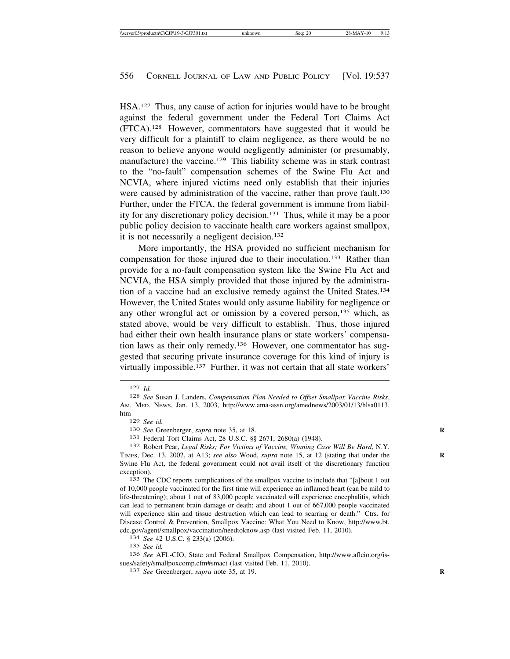HSA.127 Thus, any cause of action for injuries would have to be brought against the federal government under the Federal Tort Claims Act (FTCA).128 However, commentators have suggested that it would be very difficult for a plaintiff to claim negligence, as there would be no reason to believe anyone would negligently administer (or presumably, manufacture) the vaccine.<sup>129</sup> This liability scheme was in stark contrast to the "no-fault" compensation schemes of the Swine Flu Act and NCVIA, where injured victims need only establish that their injuries were caused by administration of the vaccine, rather than prove fault.<sup>130</sup> Further, under the FTCA, the federal government is immune from liability for any discretionary policy decision.131 Thus, while it may be a poor public policy decision to vaccinate health care workers against smallpox, it is not necessarily a negligent decision.<sup>132</sup>

More importantly, the HSA provided no sufficient mechanism for compensation for those injured due to their inoculation.133 Rather than provide for a no-fault compensation system like the Swine Flu Act and NCVIA, the HSA simply provided that those injured by the administration of a vaccine had an exclusive remedy against the United States.134 However, the United States would only assume liability for negligence or any other wrongful act or omission by a covered person,135 which, as stated above, would be very difficult to establish. Thus, those injured had either their own health insurance plans or state workers' compensation laws as their only remedy.136 However, one commentator has suggested that securing private insurance coverage for this kind of injury is virtually impossible.137 Further, it was not certain that all state workers'

<sup>131</sup> Federal Tort Claims Act, 28 U.S.C. §§ 2671, 2680(a) (1948). <sup>132</sup> Robert Pear, *Legal Risks; For Victims of Vaccine, Winning Case Will Be Hard*, N.Y. TIMES, Dec. 13, 2002, at A13; *see also* Wood, *supra* note 15, at 12 (stating that under the **R** Swine Flu Act, the federal government could not avail itself of the discretionary function exception).<br><sup>133</sup> The CDC reports complications of the smallpox vaccine to include that "[a]bout 1 out

of 10,000 people vaccinated for the first time will experience an inflamed heart (can be mild to life-threatening); about 1 out of 83,000 people vaccinated will experience encephalitis, which can lead to permanent brain damage or death; and about 1 out of 667,000 people vaccinated will experience skin and tissue destruction which can lead to scarring or death." Ctrs. for Disease Control & Prevention, Smallpox Vaccine: What You Need to Know, http://www.bt. cdc.gov/agent/smallpox/vaccination/needtoknow.asp (last visited Feb. 11, 2010). <sup>134</sup> *See* 42 U.S.C. § 233(a) (2006).

135 *See id.*

136 *See* AFL-CIO, State and Federal Smallpox Compensation, http://www.aflcio.org/issues/safety/smallpoxcomp.cfm#smact (last visited Feb. 11, 2010). <sup>137</sup> *See* Greenberger, *supra* note 35, at 19.

<sup>127</sup> *Id.* <sup>128</sup> *See* Susan J. Landers, *Compensation Plan Needed to Offset Smallpox Vaccine Risks*, AM. MED. NEWS, Jan. 13, 2003, http://www.ama-assn.org/amednews/2003/01/13/hlsa0113. htm<br> $129$  See id.

<sup>130</sup> *See* Greenberger, *supra* note 35, at 18.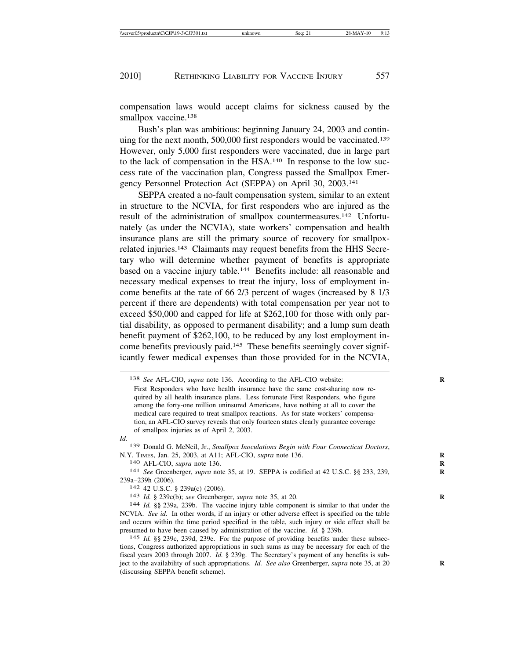compensation laws would accept claims for sickness caused by the smallpox vaccine.<sup>138</sup>

Bush's plan was ambitious: beginning January 24, 2003 and continuing for the next month, 500,000 first responders would be vaccinated.139 However, only 5,000 first responders were vaccinated, due in large part to the lack of compensation in the HSA.140 In response to the low success rate of the vaccination plan, Congress passed the Smallpox Emergency Personnel Protection Act (SEPPA) on April 30, 2003.141

SEPPA created a no-fault compensation system, similar to an extent in structure to the NCVIA, for first responders who are injured as the result of the administration of smallpox countermeasures.142 Unfortunately (as under the NCVIA), state workers' compensation and health insurance plans are still the primary source of recovery for smallpoxrelated injuries.143 Claimants may request benefits from the HHS Secretary who will determine whether payment of benefits is appropriate based on a vaccine injury table.144 Benefits include: all reasonable and necessary medical expenses to treat the injury, loss of employment income benefits at the rate of 66 2/3 percent of wages (increased by 8 1/3 percent if there are dependents) with total compensation per year not to exceed \$50,000 and capped for life at \$262,100 for those with only partial disability, as opposed to permanent disability; and a lump sum death benefit payment of \$262,100, to be reduced by any lost employment income benefits previously paid.145 These benefits seemingly cover significantly fewer medical expenses than those provided for in the NCVIA,

*Id.*

<sup>138</sup> *See* AFL-CIO, *supra* note 136. According to the AFL-CIO website: **R**

First Responders who have health insurance have the same cost-sharing now required by all health insurance plans. Less fortunate First Responders, who figure among the forty-one million uninsured Americans, have nothing at all to cover the medical care required to treat smallpox reactions. As for state workers' compensation, an AFL-CIO survey reveals that only fourteen states clearly guarantee coverage of smallpox injuries as of April 2, 2003.

<sup>139</sup> Donald G. McNeil, Jr., *Smallpox Inoculations Begin with Four Connecticut Doctors*, N.Y. TIMES, Jan. 25, 2003, at A11; AFL-CIO, *supra* note 136. **R**

<sup>140</sup> AFL-CIO, *supra* note 136. **R**

<sup>141</sup> *See* Greenberger, *supra* note 35, at 19. SEPPA is codified at 42 U.S.C. §§ 233, 239, **R** 239a–239h (2006). <sup>142</sup> 42 U.S.C. § 239a(c) (2006). <sup>143</sup> *Id.* § 239c(b); *see* Greenberger, *supra* note 35, at 20. **<sup>R</sup>**

<sup>144</sup> *Id.* §§ 239a, 239b. The vaccine injury table component is similar to that under the NCVIA. *See id.* In other words, if an injury or other adverse effect is specified on the table and occurs within the time period specified in the table, such injury or side effect shall be presumed to have been caused by administration of the vaccine. *Id.* § 239b.

<sup>145</sup> *Id.* §§ 239c, 239d, 239e. For the purpose of providing benefits under these subsections, Congress authorized appropriations in such sums as may be necessary for each of the fiscal years 2003 through 2007. *Id.* § 239g. The Secretary's payment of any benefits is subject to the availability of such appropriations. *Id. See also* Greenberger, *supra* note 35, at 20 (discussing SEPPA benefit scheme).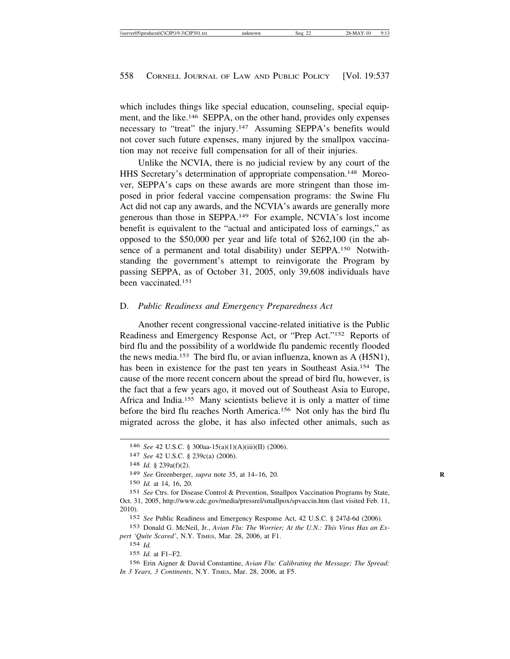which includes things like special education, counseling, special equipment, and the like.146 SEPPA, on the other hand, provides only expenses necessary to "treat" the injury.147 Assuming SEPPA's benefits would not cover such future expenses, many injured by the smallpox vaccination may not receive full compensation for all of their injuries.

Unlike the NCVIA, there is no judicial review by any court of the HHS Secretary's determination of appropriate compensation.148 Moreover, SEPPA's caps on these awards are more stringent than those imposed in prior federal vaccine compensation programs: the Swine Flu Act did not cap any awards, and the NCVIA's awards are generally more generous than those in SEPPA.149 For example, NCVIA's lost income benefit is equivalent to the "actual and anticipated loss of earnings," as opposed to the \$50,000 per year and life total of \$262,100 (in the absence of a permanent and total disability) under SEPPA.150 Notwithstanding the government's attempt to reinvigorate the Program by passing SEPPA, as of October 31, 2005, only 39,608 individuals have been vaccinated.151

## D. *Public Readiness and Emergency Preparedness Act*

Another recent congressional vaccine-related initiative is the Public Readiness and Emergency Response Act, or "Prep Act."152 Reports of bird flu and the possibility of a worldwide flu pandemic recently flooded the news media.153 The bird flu, or avian influenza, known as A (H5N1), has been in existence for the past ten years in Southeast Asia.<sup>154</sup> The cause of the more recent concern about the spread of bird flu, however, is the fact that a few years ago, it moved out of Southeast Asia to Europe, Africa and India.155 Many scientists believe it is only a matter of time before the bird flu reaches North America.156 Not only has the bird flu migrated across the globe, it has also infected other animals, such as

152 *See* Public Readiness and Emergency Response Act, 42 U.S.C. § 247d-6d (2006).

153 Donald G. McNeil, Jr., *Avian Flu: The Worrier; At the U.N.: This Virus Has an Expert 'Quite Scared'*, N.Y. TIMES, Mar. 28, 2006, at F1.

154 *Id.*

155 *Id.* at F1–F2.

156 Erin Aigner & David Constantine, *Avian Flu: Calibrating the Message; The Spread: In 3 Years, 3 Continents*, N.Y. TIMES, Mar. 28, 2006, at F5.

<sup>146</sup> *See* 42 U.S.C. § 300aa-15(a)(1)(A)(iii)(II) (2006).

<sup>147</sup> *See* 42 U.S.C. § 239c(a) (2006).

<sup>148</sup> *Id.* § 239a(f)(2).

<sup>149</sup> *See* Greenberger, *supra* note 35, at 14–16, 20. **R**

<sup>150</sup> *Id.* at 14, 16, 20.

<sup>151</sup> *See* Ctrs. for Disease Control & Prevention, Smallpox Vaccination Programs by State, Oct. 31, 2005, http://www.cdc.gov/media/pressrel/smallpox/spvaccin.htm (last visited Feb. 11, 2010).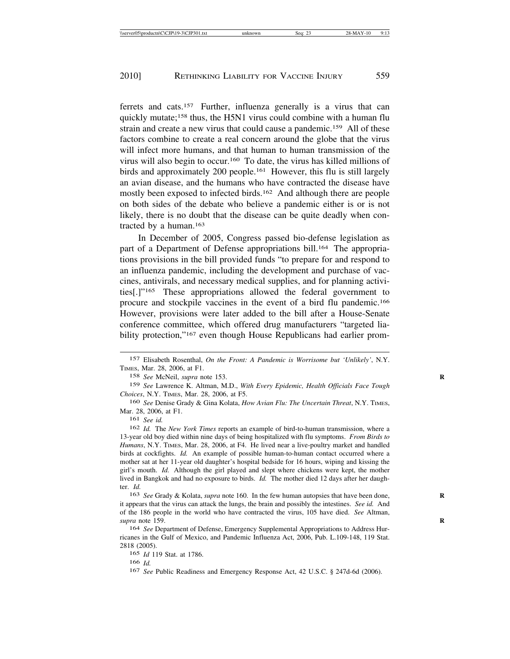ferrets and cats.157 Further, influenza generally is a virus that can quickly mutate;<sup>158</sup> thus, the H5N1 virus could combine with a human flu strain and create a new virus that could cause a pandemic.159 All of these factors combine to create a real concern around the globe that the virus will infect more humans, and that human to human transmission of the virus will also begin to occur.160 To date, the virus has killed millions of birds and approximately 200 people.161 However, this flu is still largely an avian disease, and the humans who have contracted the disease have mostly been exposed to infected birds.<sup>162</sup> And although there are people on both sides of the debate who believe a pandemic either is or is not likely, there is no doubt that the disease can be quite deadly when contracted by a human.163

In December of 2005, Congress passed bio-defense legislation as part of a Department of Defense appropriations bill.<sup>164</sup> The appropriations provisions in the bill provided funds "to prepare for and respond to an influenza pandemic, including the development and purchase of vaccines, antivirals, and necessary medical supplies, and for planning activities[.]"165 These appropriations allowed the federal government to procure and stockpile vaccines in the event of a bird flu pandemic.166 However, provisions were later added to the bill after a House-Senate conference committee, which offered drug manufacturers "targeted liability protection,"<sup>167</sup> even though House Republicans had earlier prom-

158 *See* McNeil, *supra* note 153. **R**

161 *See id.*

<sup>157</sup> Elisabeth Rosenthal, *On the Front: A Pandemic is Worrisome but 'Unlikely'*, N.Y. TIMES, Mar. 28, 2006, at F1.

<sup>159</sup> *See* Lawrence K. Altman, M.D., *With Every Epidemic, Health Officials Face Tough Choices*, N.Y. TIMES, Mar. 28, 2006, at F5.

<sup>160</sup> *See* Denise Grady & Gina Kolata, *How Avian Flu: The Uncertain Threat*, N.Y. TIMES, Mar. 28, 2006, at F1.

<sup>162</sup> *Id.* The *New York Times* reports an example of bird-to-human transmission, where a 13-year old boy died within nine days of being hospitalized with flu symptoms. *From Birds to Humans*, N.Y. TIMES, Mar. 28, 2006, at F4. He lived near a live-poultry market and handled birds at cockfights. *Id.* An example of possible human-to-human contact occurred where a mother sat at her 11-year old daughter's hospital bedside for 16 hours, wiping and kissing the girl's mouth. *Id.* Although the girl played and slept where chickens were kept, the mother lived in Bangkok and had no exposure to birds. *Id.* The mother died 12 days after her daughter. *Id.*

<sup>163</sup> *See* Grady & Kolata, *supra* note 160. In the few human autopsies that have been done, **R** it appears that the virus can attack the lungs, the brain and possibly the intestines. *See id.* And of the 186 people in the world who have contracted the virus, 105 have died. *See* Altman, *supra* note 159. **R**

<sup>164</sup> *See* Department of Defense, Emergency Supplemental Appropriations to Address Hurricanes in the Gulf of Mexico, and Pandemic Influenza Act, 2006, Pub. L.109-148, 119 Stat. 2818 (2005).

<sup>165</sup> *Id* 119 Stat. at 1786.

<sup>166</sup> *Id.*

<sup>167</sup> *See* Public Readiness and Emergency Response Act, 42 U.S.C. § 247d-6d (2006).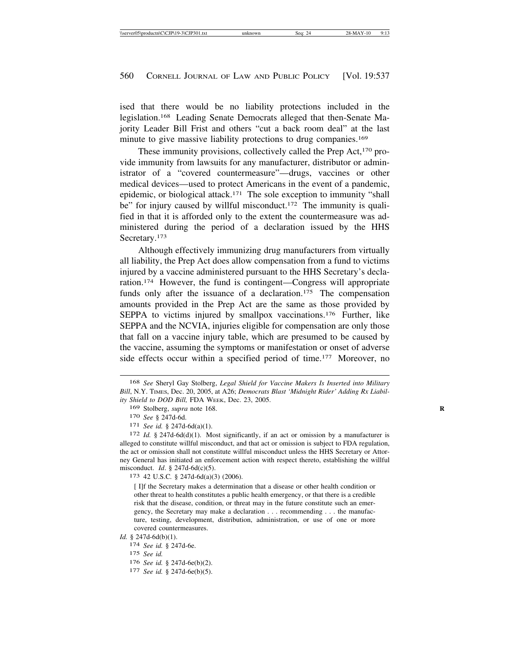ised that there would be no liability protections included in the legislation.168 Leading Senate Democrats alleged that then-Senate Majority Leader Bill Frist and others "cut a back room deal" at the last minute to give massive liability protections to drug companies.<sup>169</sup>

These immunity provisions, collectively called the Prep Act,<sup>170</sup> provide immunity from lawsuits for any manufacturer, distributor or administrator of a "covered countermeasure"—drugs, vaccines or other medical devices—used to protect Americans in the event of a pandemic, epidemic, or biological attack.171 The sole exception to immunity "shall be" for injury caused by willful misconduct.<sup>172</sup> The immunity is qualified in that it is afforded only to the extent the countermeasure was administered during the period of a declaration issued by the HHS Secretary.<sup>173</sup>

Although effectively immunizing drug manufacturers from virtually all liability, the Prep Act does allow compensation from a fund to victims injured by a vaccine administered pursuant to the HHS Secretary's declaration.174 However, the fund is contingent—Congress will appropriate funds only after the issuance of a declaration.<sup>175</sup> The compensation amounts provided in the Prep Act are the same as those provided by SEPPA to victims injured by smallpox vaccinations.<sup>176</sup> Further, like SEPPA and the NCVIA, injuries eligible for compensation are only those that fall on a vaccine injury table, which are presumed to be caused by the vaccine, assuming the symptoms or manifestation or onset of adverse side effects occur within a specified period of time.<sup>177</sup> Moreover, no

*Id.* § 247d-6d(b)(1).

174 *See id.* § 247d-6e.

- 176 *See id.* § 247d-6e(b)(2).
- 177 *See id.* § 247d-6e(b)(5).

<sup>168</sup> *See* Sheryl Gay Stolberg, *Legal Shield for Vaccine Makers Is Inserted into Military Bill*, N.Y. TIMES, Dec. 20, 2005, at A26; *Democrats Blast 'Midnight Rider' Adding Rx Liability Shield to DOD Bill,* FDA WEEK, Dec. 23, 2005.

<sup>169</sup> Stolberg, *supra* note 168. **R**

<sup>170</sup> *See* § 247d-6d.

<sup>171</sup> *See id.* § 247d-6d(a)(1).

<sup>172</sup> *Id.* § 247d-6d(d)(1). Most significantly, if an act or omission by a manufacturer is alleged to constitute willful misconduct, and that act or omission is subject to FDA regulation, the act or omission shall not constitute willful misconduct unless the HHS Secretary or Attorney General has initiated an enforcement action with respect thereto, establishing the willful misconduct. *Id.* § 247d-6d(c)(5).<br><sup>173</sup> 42 U.S.C. § 247d-6d(a)(3) (2006).

<sup>[</sup> I]f the Secretary makes a determination that a disease or other health condition or other threat to health constitutes a public health emergency, or that there is a credible risk that the disease, condition, or threat may in the future constitute such an emergency, the Secretary may make a declaration . . . recommending . . . the manufacture, testing, development, distribution, administration, or use of one or more covered countermeasures.

<sup>175</sup> *See id.*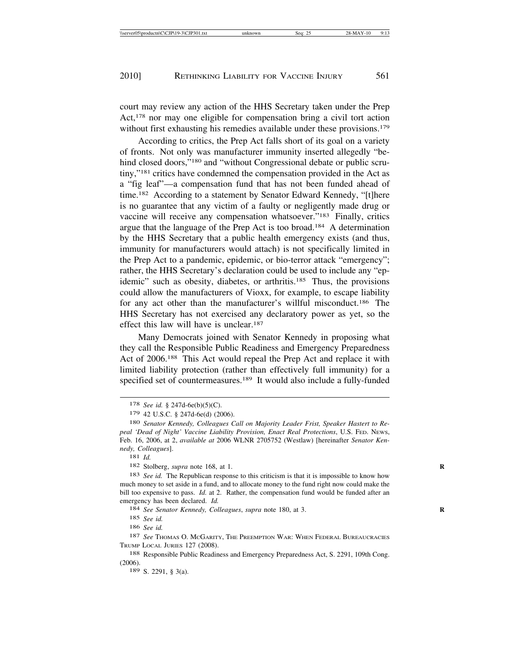court may review any action of the HHS Secretary taken under the Prep Act,<sup>178</sup> nor may one eligible for compensation bring a civil tort action without first exhausting his remedies available under these provisions.<sup>179</sup>

According to critics, the Prep Act falls short of its goal on a variety of fronts. Not only was manufacturer immunity inserted allegedly "behind closed doors,"<sup>180</sup> and "without Congressional debate or public scrutiny,"181 critics have condemned the compensation provided in the Act as a "fig leaf"—a compensation fund that has not been funded ahead of time.<sup>182</sup> According to a statement by Senator Edward Kennedy, "[t]here is no guarantee that any victim of a faulty or negligently made drug or vaccine will receive any compensation whatsoever."183 Finally, critics argue that the language of the Prep Act is too broad.184 A determination by the HHS Secretary that a public health emergency exists (and thus, immunity for manufacturers would attach) is not specifically limited in the Prep Act to a pandemic, epidemic, or bio-terror attack "emergency"; rather, the HHS Secretary's declaration could be used to include any "epidemic" such as obesity, diabetes, or arthritis.185 Thus, the provisions could allow the manufacturers of Vioxx, for example, to escape liability for any act other than the manufacturer's willful misconduct.<sup>186</sup> The HHS Secretary has not exercised any declaratory power as yet, so the effect this law will have is unclear.187

Many Democrats joined with Senator Kennedy in proposing what they call the Responsible Public Readiness and Emergency Preparedness Act of 2006.188 This Act would repeal the Prep Act and replace it with limited liability protection (rather than effectively full immunity) for a specified set of countermeasures.<sup>189</sup> It would also include a fully-funded

181 *Id.*

182 Stolberg, *supra* note 168, at 1. **R**

183 *See id.* The Republican response to this criticism is that it is impossible to know how much money to set aside in a fund, and to allocate money to the fund right now could make the bill too expensive to pass. *Id.* at 2. Rather, the compensation fund would be funded after an emergency has been declared. *Id.*

184 *See Senator Kennedy, Colleagues*, *supra* note 180, at 3. **R**

185 *See id.*

186 *See id.*

189 S. 2291, § 3(a).

<sup>178</sup> *See id.* § 247d-6e(b)(5)(C).

<sup>179</sup> 42 U.S.C. § 247d-6e(d) (2006).

<sup>180</sup> *Senator Kennedy, Colleagues Call on Majority Leader Frist, Speaker Hastert to Repeal 'Dead of Night' Vaccine Liability Provision, Enact Real Protections*, U.S. FED. NEWS, Feb. 16, 2006, at 2, *available at* 2006 WLNR 2705752 (Westlaw) [hereinafter *Senator Kennedy, Colleagues*].

<sup>187</sup> *See* Thomas O. McGarity, The Preemption War: When Federal Bureaucracies TRUMP LOCAL JURIES 127 (2008).

<sup>188</sup> Responsible Public Readiness and Emergency Preparedness Act, S. 2291, 109th Cong. (2006).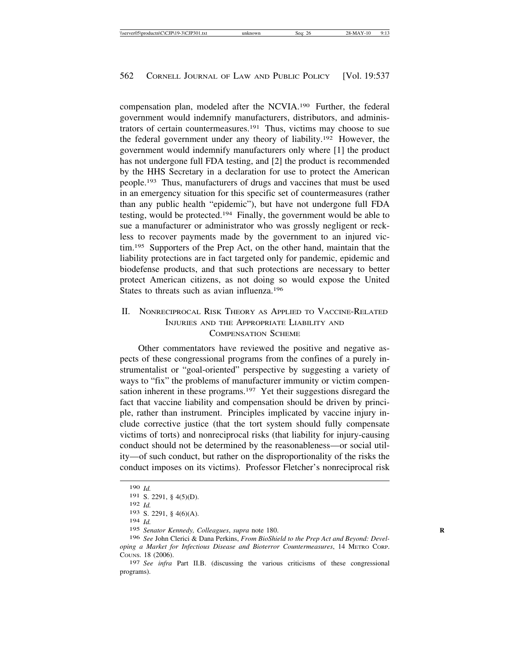compensation plan, modeled after the NCVIA.190 Further, the federal government would indemnify manufacturers, distributors, and administrators of certain countermeasures.191 Thus, victims may choose to sue the federal government under any theory of liability.192 However, the government would indemnify manufacturers only where [1] the product has not undergone full FDA testing, and [2] the product is recommended by the HHS Secretary in a declaration for use to protect the American people.193 Thus, manufacturers of drugs and vaccines that must be used in an emergency situation for this specific set of countermeasures (rather than any public health "epidemic"), but have not undergone full FDA testing, would be protected.194 Finally, the government would be able to sue a manufacturer or administrator who was grossly negligent or reckless to recover payments made by the government to an injured victim.195 Supporters of the Prep Act, on the other hand, maintain that the liability protections are in fact targeted only for pandemic, epidemic and biodefense products, and that such protections are necessary to better protect American citizens, as not doing so would expose the United States to threats such as avian influenza.196

# II. NONRECIPROCAL RISK THEORY AS APPLIED TO VACCINE-RELATED INJURIES AND THE APPROPRIATE LIABILITY AND COMPENSATION SCHEME

Other commentators have reviewed the positive and negative aspects of these congressional programs from the confines of a purely instrumentalist or "goal-oriented" perspective by suggesting a variety of ways to "fix" the problems of manufacturer immunity or victim compensation inherent in these programs.197 Yet their suggestions disregard the fact that vaccine liability and compensation should be driven by principle, rather than instrument. Principles implicated by vaccine injury include corrective justice (that the tort system should fully compensate victims of torts) and nonreciprocal risks (that liability for injury-causing conduct should not be determined by the reasonableness—or social utility—of such conduct, but rather on the disproportionality of the risks the conduct imposes on its victims). Professor Fletcher's nonreciprocal risk

<sup>190</sup> *Id.*

<sup>191</sup> S. 2291, § 4(5)(D).

<sup>192</sup> *Id.*

<sup>193</sup> S. 2291, § 4(6)(A).

<sup>194</sup> *Id.*

<sup>195</sup> *Senator Kennedy, Colleagues*, *supra* note 180. **R**

<sup>196</sup> *See* John Clerici & Dana Perkins, *From BioShield to the Prep Act and Beyond: Developing a Market for Infectious Disease and Bioterror Countermeasures*, 14 METRO CORP. COUNS. 18 (2006).

<sup>197</sup> *See infra* Part II.B. (discussing the various criticisms of these congressional programs).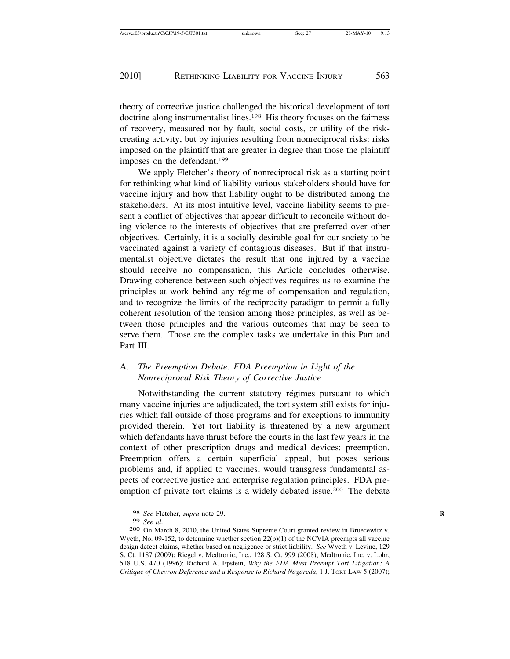theory of corrective justice challenged the historical development of tort doctrine along instrumentalist lines.198 His theory focuses on the fairness of recovery, measured not by fault, social costs, or utility of the riskcreating activity, but by injuries resulting from nonreciprocal risks: risks imposed on the plaintiff that are greater in degree than those the plaintiff imposes on the defendant.199

We apply Fletcher's theory of nonreciprocal risk as a starting point for rethinking what kind of liability various stakeholders should have for vaccine injury and how that liability ought to be distributed among the stakeholders. At its most intuitive level, vaccine liability seems to present a conflict of objectives that appear difficult to reconcile without doing violence to the interests of objectives that are preferred over other objectives. Certainly, it is a socially desirable goal for our society to be vaccinated against a variety of contagious diseases. But if that instrumentalist objective dictates the result that one injured by a vaccine should receive no compensation, this Article concludes otherwise. Drawing coherence between such objectives requires us to examine the principles at work behind any régime of compensation and regulation, and to recognize the limits of the reciprocity paradigm to permit a fully coherent resolution of the tension among those principles, as well as between those principles and the various outcomes that may be seen to serve them. Those are the complex tasks we undertake in this Part and Part III.

## A. *The Preemption Debate: FDA Preemption in Light of the Nonreciprocal Risk Theory of Corrective Justice*

Notwithstanding the current statutory régimes pursuant to which many vaccine injuries are adjudicated, the tort system still exists for injuries which fall outside of those programs and for exceptions to immunity provided therein. Yet tort liability is threatened by a new argument which defendants have thrust before the courts in the last few years in the context of other prescription drugs and medical devices: preemption. Preemption offers a certain superficial appeal, but poses serious problems and, if applied to vaccines, would transgress fundamental aspects of corrective justice and enterprise regulation principles. FDA preemption of private tort claims is a widely debated issue.200 The debate

<sup>&</sup>lt;sup>198</sup> *See* Fletcher, *supra* note 29.<br><sup>199</sup> *See id.* 

<sup>199</sup> *See id*. <sup>200</sup> On March 8, 2010, the United States Supreme Court granted review in Bruecewitz v. Wyeth, No. 09-152, to determine whether section 22(b)(1) of the NCVIA preempts all vaccine design defect claims, whether based on negligence or strict liability. *See* Wyeth v. Levine, 129 S. Ct. 1187 (2009); Riegel v. Medtronic, Inc., 128 S. Ct. 999 (2008); Medtronic, Inc. v. Lohr, 518 U.S. 470 (1996); Richard A. Epstein, *Why the FDA Must Preempt Tort Litigation: A Critique of Chevron Deference and a Response to Richard Nagareda*, 1 J. TORT LAW 5 (2007);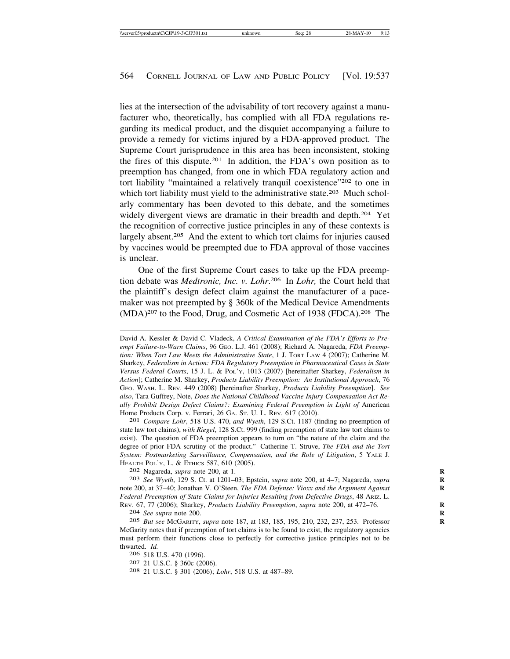lies at the intersection of the advisability of tort recovery against a manufacturer who, theoretically, has complied with all FDA regulations regarding its medical product, and the disquiet accompanying a failure to provide a remedy for victims injured by a FDA-approved product. The Supreme Court jurisprudence in this area has been inconsistent, stoking the fires of this dispute.201 In addition, the FDA's own position as to preemption has changed, from one in which FDA regulatory action and tort liability "maintained a relatively tranquil coexistence"202 to one in which tort liability must yield to the administrative state.<sup>203</sup> Much scholarly commentary has been devoted to this debate, and the sometimes widely divergent views are dramatic in their breadth and depth.<sup>204</sup> Yet the recognition of corrective justice principles in any of these contexts is largely absent.205 And the extent to which tort claims for injuries caused by vaccines would be preempted due to FDA approval of those vaccines is unclear.

One of the first Supreme Court cases to take up the FDA preemption debate was *Medtronic, Inc. v. Lohr*. 206 In *Lohr,* the Court held that the plaintiff's design defect claim against the manufacturer of a pacemaker was not preempted by § 360k of the Medical Device Amendments (MDA)207 to the Food, Drug, and Cosmetic Act of 1938 (FDCA).208 The

David A. Kessler & David C. Vladeck, *A Critical Examination of the FDA's Efforts to Preempt Failure-to-Warn Claims*, 96 GEO. L.J. 461 (2008); Richard A. Nagareda, *FDA Preemption: When Tort Law Meets the Administrative State*, 1 J. TORT LAW 4 (2007); Catherine M. Sharkey, *Federalism in Action: FDA Regulatory Preemption in Pharmaceutical Cases in State Versus Federal Courts*, 15 J. L. & POL'Y, 1013 (2007) [hereinafter Sharkey, *Federalism in Action*]; Catherine M. Sharkey, *Products Liability Preemption: An Institutional Approach*, 76 GEO. WASH. L. REV. 449 (2008) [hereinafter Sharkey, *Products Liability Preemption*]. *See also*, Tara Guffrey, Note, *Does the National Childhood Vaccine Injury Compensation Act Really Prohibit Design Defect Claims?: Examining Federal Preemption in Light of* American Home Products Corp. v. Ferrari, 26 GA. ST. U. L. REV. 617 (2010). <sup>201</sup> *Compare Lohr*, 518 U.S. 470, *and Wyeth*, 129 S.Ct. 1187 (finding no preemption of

state law tort claims), *with Riegel*, 128 S.Ct. 999 (finding preemption of state law tort claims to exist). The question of FDA preemption appears to turn on "the nature of the claim and the degree of prior FDA scrutiny of the product." Catherine T. Struve, *The FDA and the Tort System: Postmarketing Surveillance, Compensation, and the Role of Litigation*, 5 YALE J. HEALTH POL'Y, L. & ETHICS 587, 610 (2005). <sup>202</sup> Nagareda, *supra* note 200, at 1. **<sup>R</sup>**

203 *See Wyeth*, 129 S. Ct. at 1201–03; Epstein, *supra* note 200, at 4–7; Nagareda, *supra* **R** note 200, at 37-40; Jonathan V. O'Steen, *The FDA Defense: Vioxx and the Argument Against Federal Preemption of State Claims for Injuries Resulting from Defective Drugs*, 48 ARIZ. L. REV. 67, 77 (2006); Sharkey, *Products Liability Preemption*, *supra* note 200, at 472–76. **R**

204 *See supra* note 200. **R**

205 *But see* MCGARITY, *supra* note 187, at 183, 185, 195, 210, 232, 237, 253. Professor **R** McGarity notes that if preemption of tort claims is to be found to exist, the regulatory agencies must perform their functions close to perfectly for corrective justice principles not to be thwarted. *Id.*<br>206 518 U.S. 470 (1996).

207 21 U.S.C. § 360c (2006).<br><sup>208</sup> 21 U.S.C. § 301 (2006); *Lohr*, 518 U.S. at 487–89.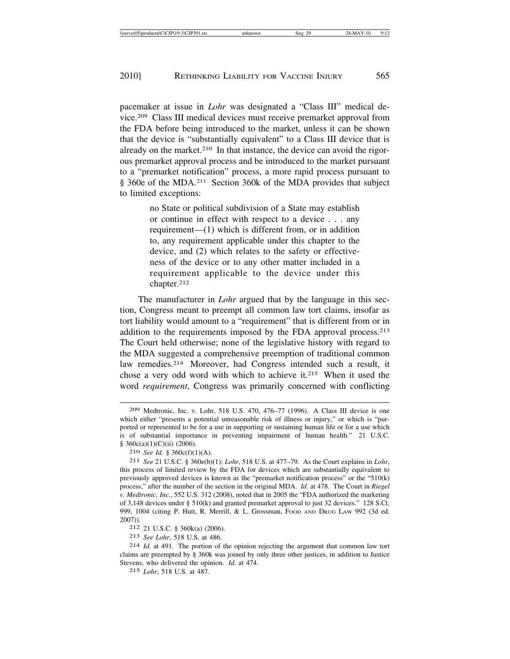pacemaker at issue in *Lohr* was designated a "Class III" medical device.209 Class III medical devices must receive premarket approval from the FDA before being introduced to the market, unless it can be shown that the device is "substantially equivalent" to a Class III device that is already on the market.<sup>210</sup> In that instance, the device can avoid the rigorous premarket approval process and be introduced to the market pursuant to a "premarket notification" process, a more rapid process pursuant to § 360e of the MDA.211 Section 360k of the MDA provides that subject to limited exceptions:

> no State or political subdivision of a State may establish or continue in effect with respect to a device . . . any requirement—(1) which is different from, or in addition to, any requirement applicable under this chapter to the device, and (2) which relates to the safety or effectiveness of the device or to any other matter included in a requirement applicable to the device under this chapter.212

The manufacturer in *Lohr* argued that by the language in this section, Congress meant to preempt all common law tort claims, insofar as tort liability would amount to a "requirement" that is different from or in addition to the requirements imposed by the FDA approval process.213 The Court held otherwise; none of the legislative history with regard to the MDA suggested a comprehensive preemption of traditional common law remedies.214 Moreover, had Congress intended such a result, it chose a very odd word with which to achieve it.215 When it used the word *requirement*, Congress was primarily concerned with conflicting

<sup>209</sup> Medtronic, Inc. v. Lohr, 518 U.S. 470, 476–77 (1996). A Class III device is one which either "presents a potential unreasonable risk of illness or injury," or which is "purported or represented to be for a use in supporting or sustaining human life or for a use which is of substantial importance in preventing impairment of human health." 21 U.S.C. § 360c(a)(1)(C)(ii) (2006).

<sup>210</sup> *See Id.* § 360c(f)(1)(A).

<sup>211</sup> *See* 21 U.S.C. § 360e(b)(1); *Lohr*, 518 U.S. at 477–79. As the Court explains in *Lohr*, this process of limited review by the FDA for devices which are substantially equivalent to previously approved devices is known as the "premarket notification process" or the "510(k) process," after the number of the section in the original MDA. *Id.* at 478. The Court in *Riegel v. Medtronic, Inc.*, 552 U.S. 312 (2008), noted that in 2005 the "FDA authorized the marketing of 3,148 devices under § 510(k) and granted premarket approval to just 32 devices." 128 S.Ct. 999, 1004 (citing P. Hutt, R. Merrill, & L. Grossman, FOOD AND DRUG LAW 992 (3d ed. 2007)).

<sup>212</sup> 21 U.S.C. § 360k(a) (2006).

<sup>213</sup> *See Lohr*, 518 U.S. at 486.

<sup>214</sup> *Id.* at 491. The portion of the opinion rejecting the argument that common law tort claims are preempted by § 360k was joined by only three other justices, in addition to Justice Stevens, who delivered the opinion. *Id.* at 474.

<sup>215</sup> *Lohr*, 518 U.S. at 487.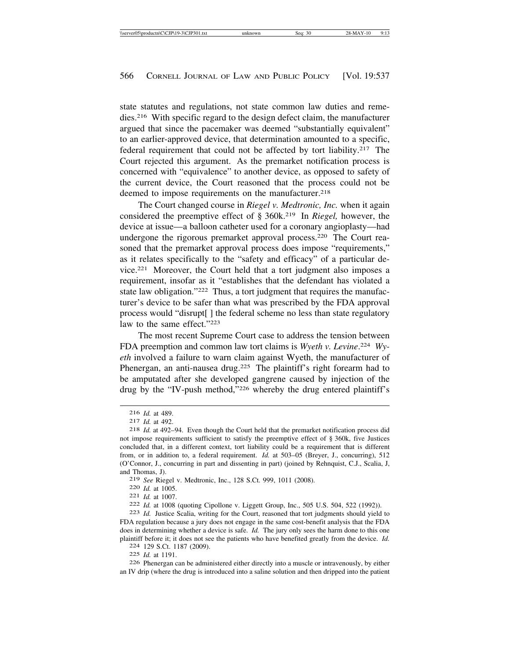state statutes and regulations, not state common law duties and remedies.216 With specific regard to the design defect claim, the manufacturer argued that since the pacemaker was deemed "substantially equivalent" to an earlier-approved device, that determination amounted to a specific, federal requirement that could not be affected by tort liability.217 The Court rejected this argument. As the premarket notification process is concerned with "equivalence" to another device, as opposed to safety of the current device, the Court reasoned that the process could not be deemed to impose requirements on the manufacturer.<sup>218</sup>

The Court changed course in *Riegel v. Medtronic, Inc.* when it again considered the preemptive effect of § 360k.219 In *Riegel,* however, the device at issue—a balloon catheter used for a coronary angioplasty—had undergone the rigorous premarket approval process.220 The Court reasoned that the premarket approval process does impose "requirements," as it relates specifically to the "safety and efficacy" of a particular device.221 Moreover, the Court held that a tort judgment also imposes a requirement, insofar as it "establishes that the defendant has violated a state law obligation."<sup>222</sup> Thus, a tort judgment that requires the manufacturer's device to be safer than what was prescribed by the FDA approval process would "disrupt[ ] the federal scheme no less than state regulatory law to the same effect."223

The most recent Supreme Court case to address the tension between FDA preemption and common law tort claims is *Wyeth v. Levine*. <sup>224</sup> *Wyeth* involved a failure to warn claim against Wyeth, the manufacturer of Phenergan, an anti-nausea drug.<sup>225</sup> The plaintiff's right forearm had to be amputated after she developed gangrene caused by injection of the drug by the "IV-push method,"226 whereby the drug entered plaintiff's

220 *Id.* at 1005.<br>
221 *Id.* at 1007.<br>
222 *Id.* at 1008 (quoting Cipollone v. Liggett Group, Inc., 505 U.S. 504, 522 (1992)).<br>
223 *Id.* Justice Scalia, writing for the Court, reasoned that tort judgments should yield t

FDA regulation because a jury does not engage in the same cost-benefit analysis that the FDA does in determining whether a device is safe. *Id.* The jury only sees the harm done to this one plaintiff before it; it does not see the patients who have benefited greatly from the device. *Id.* <sup>224</sup> 129 S.Ct. 1187 (2009).

226 Phenergan can be administered either directly into a muscle or intravenously, by either an IV drip (where the drug is introduced into a saline solution and then dripped into the patient

<sup>216</sup> *Id.* at 489. <sup>217</sup> *Id.* at 492. <sup>218</sup> *Id.* at 492–94. Even though the Court held that the premarket notification process did not impose requirements sufficient to satisfy the preemptive effect of § 360k, five Justices concluded that, in a different context, tort liability could be a requirement that is different from, or in addition to, a federal requirement. *Id.* at 503–05 (Breyer, J., concurring), 512 (O'Connor, J., concurring in part and dissenting in part) (joined by Rehnquist, C.J., Scalia, J, and Thomas, J).<br>219 See Riegel v. Medtronic, Inc., 128 S.Ct. 999, 1011 (2008).

<sup>225</sup> *Id.* at 1191.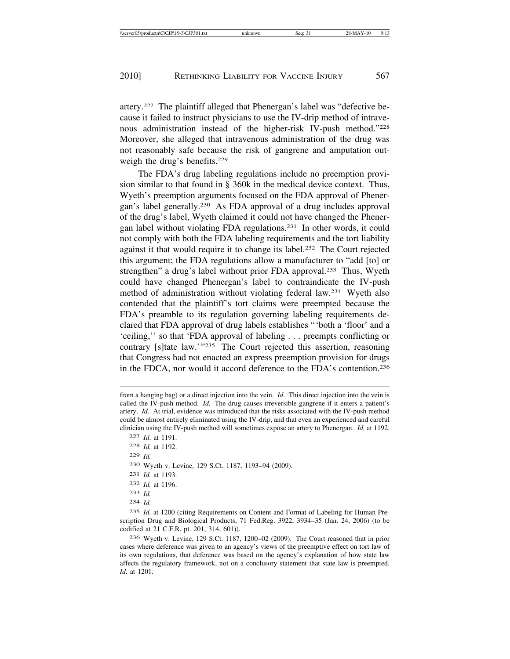artery.227 The plaintiff alleged that Phenergan's label was "defective because it failed to instruct physicians to use the IV-drip method of intravenous administration instead of the higher-risk IV-push method."228 Moreover, she alleged that intravenous administration of the drug was not reasonably safe because the risk of gangrene and amputation outweigh the drug's benefits.229

The FDA's drug labeling regulations include no preemption provision similar to that found in § 360k in the medical device context. Thus, Wyeth's preemption arguments focused on the FDA approval of Phenergan's label generally.230 As FDA approval of a drug includes approval of the drug's label, Wyeth claimed it could not have changed the Phenergan label without violating FDA regulations.231 In other words, it could not comply with both the FDA labeling requirements and the tort liability against it that would require it to change its label.232 The Court rejected this argument; the FDA regulations allow a manufacturer to "add [to] or strengthen" a drug's label without prior FDA approval.<sup>233</sup> Thus, Wyeth could have changed Phenergan's label to contraindicate the IV-push method of administration without violating federal law.234 Wyeth also contended that the plaintiff's tort claims were preempted because the FDA's preamble to its regulation governing labeling requirements declared that FDA approval of drug labels establishes "'both a 'floor' and a 'ceiling,'' so that 'FDA approval of labeling . . . preempts conflicting or contrary [s]tate law.'"235 The Court rejected this assertion, reasoning that Congress had not enacted an express preemption provision for drugs in the FDCA, nor would it accord deference to the FDA's contention.236

 *Id*. at 1191. *Id.* at 1192. 229 *Id.* Wyeth v. Levine, 129 S.Ct. 1187, 1193–94 (2009). *Id.* at 1193. *Id.* at 1196. 233 *Id.* 234 *Id.*

235 *Id.* at 1200 (citing Requirements on Content and Format of Labeling for Human Prescription Drug and Biological Products, 71 Fed.Reg. 3922, 3934–35 (Jan. 24, 2006) (to be codified at 21 C.F.R. pt. 201, 314, 601)).

236 Wyeth v. Levine, 129 S.Ct. 1187, 1200–02 (2009). The Court reasoned that in prior cases where deference was given to an agency's views of the preemptive effect on tort law of its own regulations, that deference was based on the agency's explanation of how state law affects the regulatory framework, not on a conclusory statement that state law is preempted. *Id.* at 1201.

from a hanging bag) or a direct injection into the vein. *Id.* This direct injection into the vein is called the IV-push method. *Id.* The drug causes irreversible gangrene if it enters a patient's artery. *Id.* At trial, evidence was introduced that the risks associated with the IV-push method could be almost entirely eliminated using the IV-drip, and that even an experienced and careful clinician using the IV-push method will sometimes expose an artery to Phenergan. *Id.* at 1192.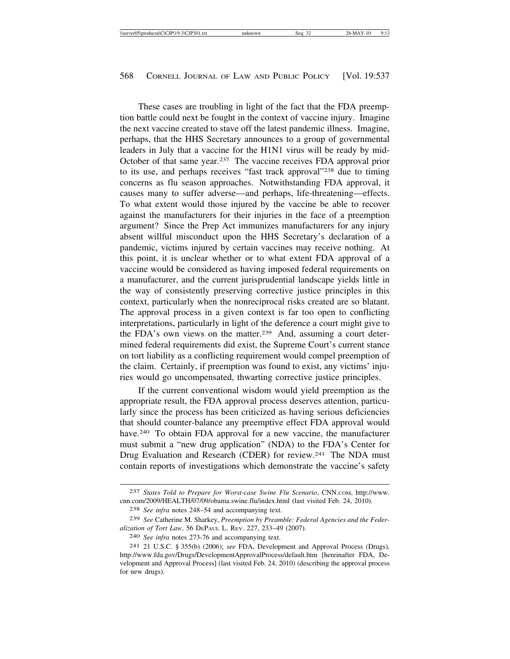These cases are troubling in light of the fact that the FDA preemption battle could next be fought in the context of vaccine injury. Imagine the next vaccine created to stave off the latest pandemic illness. Imagine, perhaps, that the HHS Secretary announces to a group of governmental leaders in July that a vaccine for the H1N1 virus will be ready by mid-October of that same year.237 The vaccine receives FDA approval prior to its use, and perhaps receives "fast track approval"238 due to timing concerns as flu season approaches. Notwithstanding FDA approval, it causes many to suffer adverse—and perhaps, life-threatening—effects. To what extent would those injured by the vaccine be able to recover against the manufacturers for their injuries in the face of a preemption argument? Since the Prep Act immunizes manufacturers for any injury absent willful misconduct upon the HHS Secretary's declaration of a pandemic, victims injured by certain vaccines may receive nothing. At this point, it is unclear whether or to what extent FDA approval of a vaccine would be considered as having imposed federal requirements on a manufacturer, and the current jurisprudential landscape yields little in the way of consistently preserving corrective justice principles in this context, particularly when the nonreciprocal risks created are so blatant. The approval process in a given context is far too open to conflicting interpretations, particularly in light of the deference a court might give to the FDA's own views on the matter.239 And, assuming a court determined federal requirements did exist, the Supreme Court's current stance on tort liability as a conflicting requirement would compel preemption of the claim. Certainly, if preemption was found to exist, any victims' injuries would go uncompensated, thwarting corrective justice principles.

If the current conventional wisdom would yield preemption as the appropriate result, the FDA approval process deserves attention, particularly since the process has been criticized as having serious deficiencies that should counter-balance any preemptive effect FDA approval would have.<sup>240</sup> To obtain FDA approval for a new vaccine, the manufacturer must submit a "new drug application" (NDA) to the FDA's Center for Drug Evaluation and Research (CDER) for review.<sup>241</sup> The NDA must contain reports of investigations which demonstrate the vaccine's safety

<sup>237</sup> *States Told to Prepare for Worst-case Swine Flu Scenario*, CNN.COM, http://www. cnn.com/2009/HEALTH/07/09/obama.swine.flu/index.html (last visited Feb. 24, 2010).

<sup>238</sup> *See infra* notes 248–54 and accompanying text.

<sup>239</sup> *See* Catherine M. Sharkey, *Preemption by Preamble: Federal Agencies and the Federalization of Tort Law*, 56 DEPAUL L. REV. 227, 233–49 (2007).

<sup>240</sup> *See infra* notes 273-76 and accompanying text.

<sup>241</sup> 21 U.S.C. § 355(b) (2006); *see* FDA, Development and Approval Process (Drugs), http://www.fda.gov/Drugs/DevelopmentApprovalProcess/default.htm [hereinafter FDA, Development and Approval Process] (last visited Feb. 24, 2010) (describing the approval process for new drugs).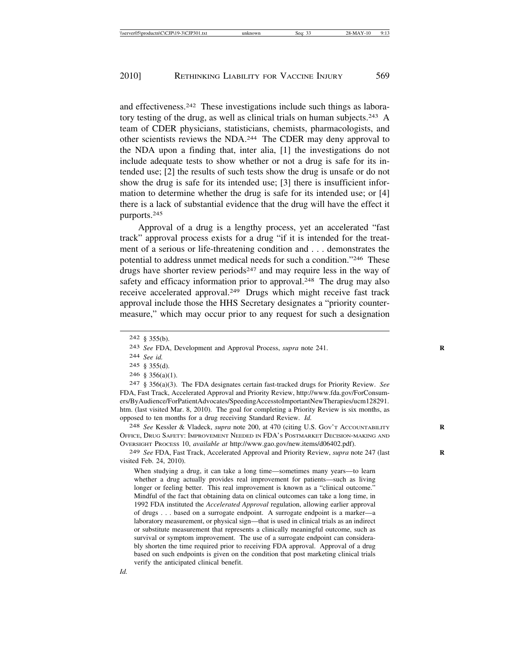and effectiveness.242 These investigations include such things as laboratory testing of the drug, as well as clinical trials on human subjects.<sup>243</sup> A team of CDER physicians, statisticians, chemists, pharmacologists, and other scientists reviews the NDA.244 The CDER may deny approval to the NDA upon a finding that, inter alia, [1] the investigations do not include adequate tests to show whether or not a drug is safe for its intended use; [2] the results of such tests show the drug is unsafe or do not show the drug is safe for its intended use; [3] there is insufficient information to determine whether the drug is safe for its intended use; or [4] there is a lack of substantial evidence that the drug will have the effect it purports.245

Approval of a drug is a lengthy process, yet an accelerated "fast track" approval process exists for a drug "if it is intended for the treatment of a serious or life-threatening condition and . . . demonstrates the potential to address unmet medical needs for such a condition."246 These drugs have shorter review periods<sup>247</sup> and may require less in the way of safety and efficacy information prior to approval.<sup>248</sup> The drug may also receive accelerated approval.249 Drugs which might receive fast track approval include those the HHS Secretary designates a "priority countermeasure," which may occur prior to any request for such a designation

244 *See id.*

246 § 356(a)(1).

248 *See* Kessler & Vladeck, *supra* note 200, at 470 (citing U.S. GOV'T ACCOUNTABILITY **R** OFFICE, DRUG SAFETY: IMPROVEMENT NEEDED IN FDA'S POSTMARKET DECISION-MAKING AND OVERSIGHT PROCESS 10, *available at* http://www.gao.gov/new.items/d06402.pdf).

249 *See* FDA, Fast Track, Accelerated Approval and Priority Review, *supra* note 247 (last **R** visited Feb. 24, 2010).

When studying a drug, it can take a long time—sometimes many years—to learn whether a drug actually provides real improvement for patients—such as living longer or feeling better. This real improvement is known as a "clinical outcome." Mindful of the fact that obtaining data on clinical outcomes can take a long time, in 1992 FDA instituted the *Accelerated Approval* regulation, allowing earlier approval of drugs . . . based on a surrogate endpoint. A surrogate endpoint is a marker—a laboratory measurement, or physical sign—that is used in clinical trials as an indirect or substitute measurement that represents a clinically meaningful outcome, such as survival or symptom improvement. The use of a surrogate endpoint can considerably shorten the time required prior to receiving FDA approval. Approval of a drug based on such endpoints is given on the condition that post marketing clinical trials verify the anticipated clinical benefit.

<sup>242</sup> § 355(b).

<sup>243</sup> *See* FDA, Development and Approval Process, *supra* note 241. **R**

<sup>245</sup> § 355(d).

<sup>247</sup> § 356(a)(3). The FDA designates certain fast-tracked drugs for Priority Review. *See* FDA, Fast Track, Accelerated Approval and Priority Review, http://www.fda.gov/ForConsumers/ByAudience/ForPatientAdvocates/SpeedingAccesstoImportantNewTherapies/ucm128291. htm. (last visited Mar. 8, 2010). The goal for completing a Priority Review is six months, as opposed to ten months for a drug receiving Standard Review. *Id.*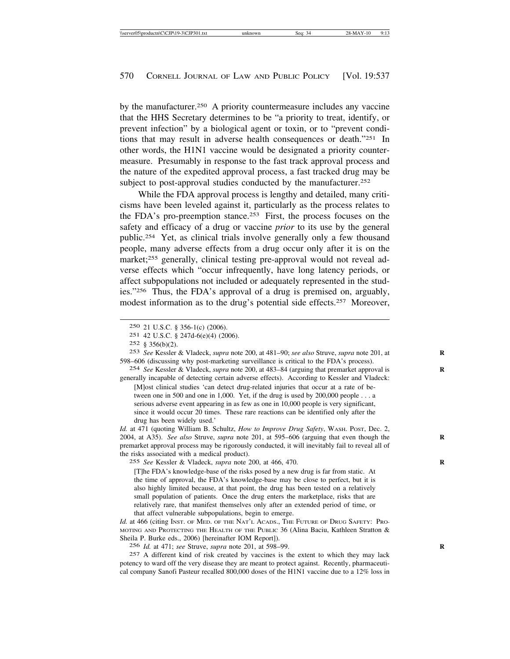by the manufacturer.250 A priority countermeasure includes any vaccine that the HHS Secretary determines to be "a priority to treat, identify, or prevent infection" by a biological agent or toxin, or to "prevent conditions that may result in adverse health consequences or death."251 In other words, the H1N1 vaccine would be designated a priority countermeasure. Presumably in response to the fast track approval process and the nature of the expedited approval process, a fast tracked drug may be subject to post-approval studies conducted by the manufacturer.<sup>252</sup>

While the FDA approval process is lengthy and detailed, many criticisms have been leveled against it, particularly as the process relates to the FDA's pro-preemption stance.253 First, the process focuses on the safety and efficacy of a drug or vaccine *prior* to its use by the general public.254 Yet, as clinical trials involve generally only a few thousand people, many adverse effects from a drug occur only after it is on the market;255 generally, clinical testing pre-approval would not reveal adverse effects which "occur infrequently, have long latency periods, or affect subpopulations not included or adequately represented in the studies."256 Thus, the FDA's approval of a drug is premised on, arguably, modest information as to the drug's potential side effects.257 Moreover,

254 *See* Kessler & Vladeck, *supra* note 200, at 483–84 (arguing that premarket approval is **R** generally incapable of detecting certain adverse effects). According to Kessler and Vladeck:

[M]ost clinical studies 'can detect drug-related injuries that occur at a rate of between one in 500 and one in 1,000. Yet, if the drug is used by 200,000 people . . . a serious adverse event appearing in as few as one in 10,000 people is very significant, since it would occur 20 times. These rare reactions can be identified only after the drug has been widely used.'

*Id.* at 471 (quoting William B. Schultz, *How to Improve Drug Safety*, WASH. POST, Dec. 2, 2004, at A35). *See also* Struve, *supra* note 201, at 595-606 (arguing that even though the premarket approval process may be rigorously conducted, it will inevitably fail to reveal all of the risks associated with a medical product).

255 *See* Kessler & Vladeck, *supra* note 200, at 466, 470. **R**

[T]he FDA's knowledge-base of the risks posed by a new drug is far from static. At the time of approval, the FDA's knowledge-base may be close to perfect, but it is also highly limited because, at that point, the drug has been tested on a relatively small population of patients. Once the drug enters the marketplace, risks that are relatively rare, that manifest themselves only after an extended period of time, or that affect vulnerable subpopulations, begin to emerge.

Id. at 466 (citing INST. OF MED. OF THE NAT'L ACADS., THE FUTURE OF DRUG SAFETY: PRO-MOTING AND PROTECTING THE HEALTH OF THE PUBLIC 36 (Alina Baciu, Kathleen Stratton & Sheila P. Burke eds., 2006) [hereinafter IOM Report]).

256 *Id.* at 471; *see* Struve, *supra* note 201, at 598–99. **R**

257 A different kind of risk created by vaccines is the extent to which they may lack potency to ward off the very disease they are meant to protect against. Recently, pharmaceutical company Sanofi Pasteur recalled 800,000 doses of the H1N1 vaccine due to a 12% loss in

<sup>250</sup> 21 U.S.C. § 356-1(c) (2006).

<sup>251</sup> 42 U.S.C. § 247d-6(e)(4) (2006).

<sup>252</sup> § 356(b)(2).

<sup>253</sup> *See* Kessler & Vladeck, *supra* note 200, at 481–90; *see also* Struve, *supra* note 201, at **R** 598–606 (discussing why post-marketing surveillance is critical to the FDA's process).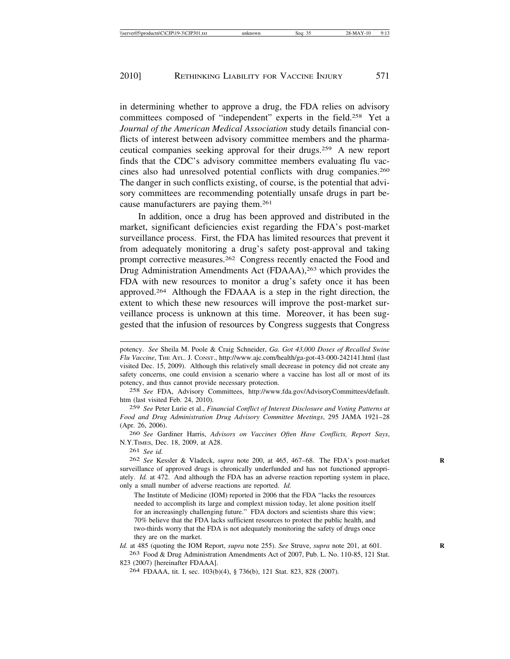in determining whether to approve a drug, the FDA relies on advisory committees composed of "independent" experts in the field.258 Yet a *Journal of the American Medical Association* study details financial conflicts of interest between advisory committee members and the pharmaceutical companies seeking approval for their drugs.259 A new report finds that the CDC's advisory committee members evaluating flu vaccines also had unresolved potential conflicts with drug companies.260 The danger in such conflicts existing, of course, is the potential that advisory committees are recommending potentially unsafe drugs in part because manufacturers are paying them.261

In addition, once a drug has been approved and distributed in the market, significant deficiencies exist regarding the FDA's post-market surveillance process. First, the FDA has limited resources that prevent it from adequately monitoring a drug's safety post-approval and taking prompt corrective measures.262 Congress recently enacted the Food and Drug Administration Amendments Act (FDAAA),<sup>263</sup> which provides the FDA with new resources to monitor a drug's safety once it has been approved.264 Although the FDAAA is a step in the right direction, the extent to which these new resources will improve the post-market surveillance process is unknown at this time. Moreover, it has been suggested that the infusion of resources by Congress suggests that Congress

259 *See* Peter Lurie et al., *Financial Conflict of Interest Disclosure and Voting Patterns at Food and Drug Administration Drug Advisory Committee Meetings*, 295 JAMA 1921–28 (Apr. 26, 2006).

260 *See* Gardiner Harris, *Advisors on Vaccines Often Have Conflicts, Report Says*, N.Y.TIMES, Dec. 18, 2009, at A28.

261 *See id.*

262 *See* Kessler & Vladeck, *supra* note 200, at 465, 467–68. The FDA's post-market **R** surveillance of approved drugs is chronically underfunded and has not functioned appropriately. *Id.* at 472. And although the FDA has an adverse reaction reporting system in place, only a small number of adverse reactions are reported. *Id.*

The Institute of Medicine (IOM) reported in 2006 that the FDA "lacks the resources needed to accomplish its large and complext mission today, let alone position itself for an increasingly challenging future." FDA doctors and scientists share this view; 70% believe that the FDA lacks sufficient resources to protect the public health, and two-thirds worry that the FDA is not adequately monitoring the safety of drugs once they are on the market.

*Id.* at 485 (quoting the IOM Report, *supra* note 255). *See* Struve, *supra* note 201, at 601. **R** 263 Food & Drug Administration Amendments Act of 2007, Pub. L. No. 110-85, 121 Stat.

823 (2007) [hereinafter FDAAA].

264 FDAAA, tit. I, sec. 103(b)(4), § 736(b), 121 Stat. 823, 828 (2007).

potency. *See* Sheila M. Poole & Craig Schneider, *Ga. Got 43,000 Doses of Recalled Swine Flu Vaccine*, THE ATL. J. CONST., http://www.ajc.com/health/ga-got-43-000-242141.html (last visited Dec. 15, 2009). Although this relatively small decrease in potency did not create any safety concerns, one could envision a scenario where a vaccine has lost all or most of its potency, and thus cannot provide necessary protection.

<sup>258</sup> *See* FDA, Advisory Committees, http://www.fda.gov/AdvisoryCommittees/default. htm (last visited Feb. 24, 2010).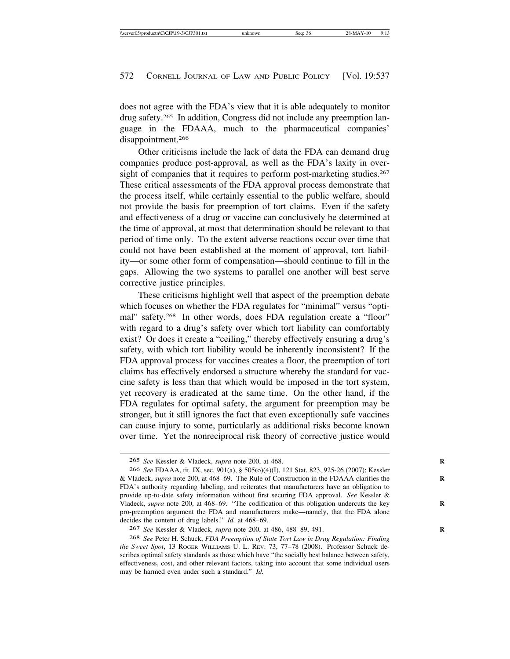does not agree with the FDA's view that it is able adequately to monitor drug safety.265 In addition, Congress did not include any preemption language in the FDAAA, much to the pharmaceutical companies' disappointment.<sup>266</sup>

Other criticisms include the lack of data the FDA can demand drug companies produce post-approval, as well as the FDA's laxity in oversight of companies that it requires to perform post-marketing studies.<sup>267</sup> These critical assessments of the FDA approval process demonstrate that the process itself, while certainly essential to the public welfare, should not provide the basis for preemption of tort claims. Even if the safety and effectiveness of a drug or vaccine can conclusively be determined at the time of approval, at most that determination should be relevant to that period of time only. To the extent adverse reactions occur over time that could not have been established at the moment of approval, tort liability—or some other form of compensation—should continue to fill in the gaps. Allowing the two systems to parallel one another will best serve corrective justice principles.

These criticisms highlight well that aspect of the preemption debate which focuses on whether the FDA regulates for "minimal" versus "optimal" safety.<sup>268</sup> In other words, does FDA regulation create a "floor" with regard to a drug's safety over which tort liability can comfortably exist? Or does it create a "ceiling," thereby effectively ensuring a drug's safety, with which tort liability would be inherently inconsistent? If the FDA approval process for vaccines creates a floor, the preemption of tort claims has effectively endorsed a structure whereby the standard for vaccine safety is less than that which would be imposed in the tort system, yet recovery is eradicated at the same time. On the other hand, if the FDA regulates for optimal safety, the argument for preemption may be stronger, but it still ignores the fact that even exceptionally safe vaccines can cause injury to some, particularly as additional risks become known over time. Yet the nonreciprocal risk theory of corrective justice would

<sup>265</sup> *See* Kessler & Vladeck, *supra* note 200, at 468. **R**

<sup>266</sup> *See* FDAAA, tit. IX, sec. 901(a), § 505(o)(4)(I), 121 Stat. 823, 925-26 (2007); Kessler & Vladeck, *supra* note 200, at 468–69. The Rule of Construction in the FDAAA clarifies the **R** FDA's authority regarding labeling, and reiterates that manufacturers have an obligation to provide up-to-date safety information without first securing FDA approval. *See* Kessler & Vladeck, *supra* note 200, at 468–69. "The codification of this obligation undercuts the key **R** pro-preemption argument the FDA and manufacturers make—namely, that the FDA alone decides the content of drug labels." *Id.* at 468–69.

<sup>267</sup> *See* Kessler & Vladeck, *supra* note 200, at 486, 488–89, 491. **R**

<sup>268</sup> *See* Peter H. Schuck, *FDA Preemption of State Tort Law in Drug Regulation: Finding the Sweet Spot*, 13 ROGER WILLIAMS U. L. REV. 73, 77–78 (2008). Professor Schuck describes optimal safety standards as those which have "the socially best balance between safety, effectiveness, cost, and other relevant factors, taking into account that some individual users may be harmed even under such a standard." *Id.*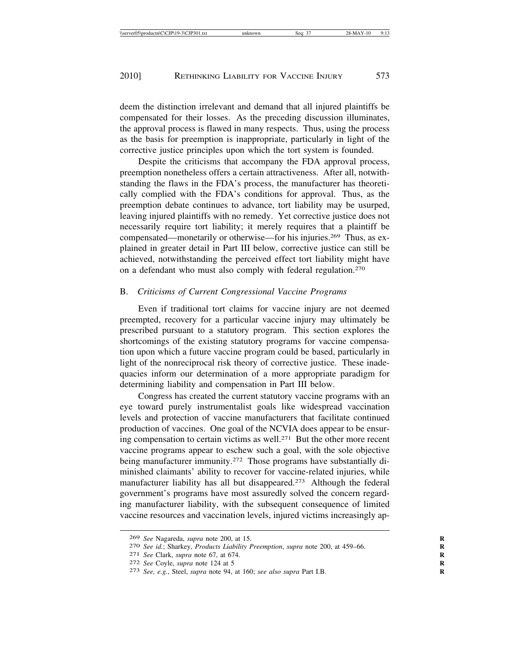deem the distinction irrelevant and demand that all injured plaintiffs be compensated for their losses. As the preceding discussion illuminates, the approval process is flawed in many respects. Thus, using the process as the basis for preemption is inappropriate, particularly in light of the corrective justice principles upon which the tort system is founded.

Despite the criticisms that accompany the FDA approval process, preemption nonetheless offers a certain attractiveness. After all, notwithstanding the flaws in the FDA's process, the manufacturer has theoretically complied with the FDA's conditions for approval. Thus, as the preemption debate continues to advance, tort liability may be usurped, leaving injured plaintiffs with no remedy. Yet corrective justice does not necessarily require tort liability; it merely requires that a plaintiff be compensated—monetarily or otherwise—for his injuries.269 Thus, as explained in greater detail in Part III below, corrective justice can still be achieved, notwithstanding the perceived effect tort liability might have on a defendant who must also comply with federal regulation.270

### B. *Criticisms of Current Congressional Vaccine Programs*

Even if traditional tort claims for vaccine injury are not deemed preempted, recovery for a particular vaccine injury may ultimately be prescribed pursuant to a statutory program. This section explores the shortcomings of the existing statutory programs for vaccine compensation upon which a future vaccine program could be based, particularly in light of the nonreciprocal risk theory of corrective justice. These inadequacies inform our determination of a more appropriate paradigm for determining liability and compensation in Part III below.

Congress has created the current statutory vaccine programs with an eye toward purely instrumentalist goals like widespread vaccination levels and protection of vaccine manufacturers that facilitate continued production of vaccines. One goal of the NCVIA does appear to be ensuring compensation to certain victims as well.271 But the other more recent vaccine programs appear to eschew such a goal, with the sole objective being manufacturer immunity.<sup>272</sup> Those programs have substantially diminished claimants' ability to recover for vaccine-related injuries, while manufacturer liability has all but disappeared.273 Although the federal government's programs have most assuredly solved the concern regarding manufacturer liability, with the subsequent consequence of limited vaccine resources and vaccination levels, injured victims increasingly ap-

<sup>269</sup> *See* Nagareda, *supra* note 200, at 15. **R**

<sup>270</sup> *See id.*; Sharkey, *Products Liability Preemption*, *supra* note 200, at 459–66. **R**

<sup>271</sup> *See* Clark, *supra* note 67, at 674. **R**

<sup>272</sup> *See* Coyle, *supra* note 124 at 5 **R**

<sup>273</sup> *See, e.g.*, Steel, *supra* note 94, at 160; *see also supra* Part I.B. **R**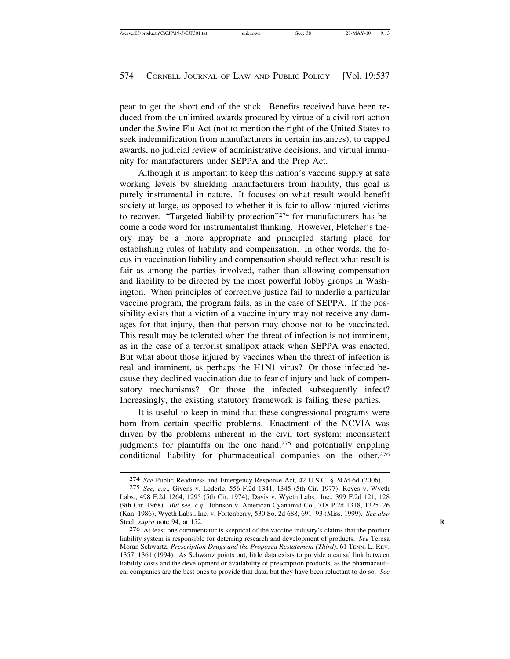pear to get the short end of the stick. Benefits received have been reduced from the unlimited awards procured by virtue of a civil tort action under the Swine Flu Act (not to mention the right of the United States to seek indemnification from manufacturers in certain instances), to capped awards, no judicial review of administrative decisions, and virtual immunity for manufacturers under SEPPA and the Prep Act.

Although it is important to keep this nation's vaccine supply at safe working levels by shielding manufacturers from liability, this goal is purely instrumental in nature. It focuses on what result would benefit society at large, as opposed to whether it is fair to allow injured victims to recover. "Targeted liability protection"274 for manufacturers has become a code word for instrumentalist thinking. However, Fletcher's theory may be a more appropriate and principled starting place for establishing rules of liability and compensation. In other words, the focus in vaccination liability and compensation should reflect what result is fair as among the parties involved, rather than allowing compensation and liability to be directed by the most powerful lobby groups in Washington. When principles of corrective justice fail to underlie a particular vaccine program, the program fails, as in the case of SEPPA. If the possibility exists that a victim of a vaccine injury may not receive any damages for that injury, then that person may choose not to be vaccinated. This result may be tolerated when the threat of infection is not imminent, as in the case of a terrorist smallpox attack when SEPPA was enacted. But what about those injured by vaccines when the threat of infection is real and imminent, as perhaps the H1N1 virus? Or those infected because they declined vaccination due to fear of injury and lack of compensatory mechanisms? Or those the infected subsequently infect? Increasingly, the existing statutory framework is failing these parties.

It is useful to keep in mind that these congressional programs were born from certain specific problems. Enactment of the NCVIA was driven by the problems inherent in the civil tort system: inconsistent judgments for plaintiffs on the one hand,275 and potentially crippling conditional liability for pharmaceutical companies on the other.<sup>276</sup>

<sup>274</sup> *See* Public Readiness and Emergency Response Act, 42 U.S.C. § 247d-6d (2006).

<sup>275</sup> *See, e.g*., Givens v. Lederle, 556 F.2d 1341, 1345 (5th Cir. 1977); Reyes v. Wyeth Labs., 498 F.2d 1264, 1295 (5th Cir. 1974); Davis v. Wyeth Labs., Inc., 399 F.2d 121, 128 (9th Cir. 1968). *But see, e.g.*, Johnson v. American Cyanamid Co., 718 P.2d 1318, 1325–26 (Kan. 1986); Wyeth Labs., Inc. v. Fortenberry, 530 So. 2d 688, 691–93 (Miss. 1999). *See also* Steel, *supra* note 94, at 152. **R**

<sup>276</sup> At least one commentator is skeptical of the vaccine industry's claims that the product liability system is responsible for deterring research and development of products. *See* Teresa Moran Schwartz, *Prescription Drugs and the Proposed Restatement (Third)*, 61 TENN. L. REV. 1357, 1361 (1994). As Schwartz points out, little data exists to provide a causal link between liability costs and the development or availability of prescription products, as the pharmaceutical companies are the best ones to provide that data, but they have been reluctant to do so. *See*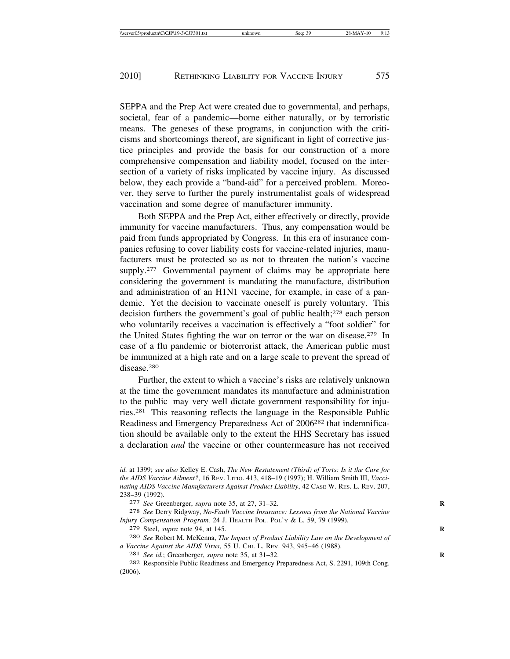SEPPA and the Prep Act were created due to governmental, and perhaps, societal, fear of a pandemic—borne either naturally, or by terroristic means. The geneses of these programs, in conjunction with the criticisms and shortcomings thereof, are significant in light of corrective justice principles and provide the basis for our construction of a more comprehensive compensation and liability model, focused on the intersection of a variety of risks implicated by vaccine injury. As discussed below, they each provide a "band-aid" for a perceived problem. Moreover, they serve to further the purely instrumentalist goals of widespread vaccination and some degree of manufacturer immunity.

Both SEPPA and the Prep Act, either effectively or directly, provide immunity for vaccine manufacturers. Thus, any compensation would be paid from funds appropriated by Congress. In this era of insurance companies refusing to cover liability costs for vaccine-related injuries, manufacturers must be protected so as not to threaten the nation's vaccine supply.<sup>277</sup> Governmental payment of claims may be appropriate here considering the government is mandating the manufacture, distribution and administration of an H1N1 vaccine, for example, in case of a pandemic. Yet the decision to vaccinate oneself is purely voluntary. This decision furthers the government's goal of public health;278 each person who voluntarily receives a vaccination is effectively a "foot soldier" for the United States fighting the war on terror or the war on disease.279 In case of a flu pandemic or bioterrorist attack, the American public must be immunized at a high rate and on a large scale to prevent the spread of disease.280

Further, the extent to which a vaccine's risks are relatively unknown at the time the government mandates its manufacture and administration to the public may very well dictate government responsibility for injuries.281 This reasoning reflects the language in the Responsible Public Readiness and Emergency Preparedness Act of 2006282 that indemnification should be available only to the extent the HHS Secretary has issued a declaration *and* the vaccine or other countermeasure has not received

*id.* at 1399; *see also* Kelley E. Cash, *The New Restatement (Third) of Torts: Is it the Cure for the AIDS Vaccine Ailment?*, 16 REV. LITIG. 413, 418–19 (1997); H. William Smith III, *Vaccinating AIDS Vaccine Manufacturers Against Product Liability*, 42 CASE W. RES. L. REV. 207, 238–39 (1992). <sup>277</sup> *See* Greenberger, *supra* note 35, at 27, 31–32. **<sup>R</sup>**

<sup>278</sup> *See* Derry Ridgway, *No-Fault Vaccine Insurance: Lessons from the National Vaccine Injury Compensation Program,* 24 J. HEALTH POL. POL'Y & L. 59, 79 (1999).

<sup>279</sup> Steel, *supra* note 94, at 145. **R**

<sup>280</sup> *See* Robert M. McKenna, *The Impact of Product Liability Law on the Development of a Vaccine Against the AIDS Virus*, 55 U. CHI. L. REV. 943, 945–46 (1988). <sup>281</sup> *See id.*; Greenberger, *supra* note 35, at 31–32. **<sup>R</sup>**

<sup>282</sup> Responsible Public Readiness and Emergency Preparedness Act, S. 2291, 109th Cong. (2006).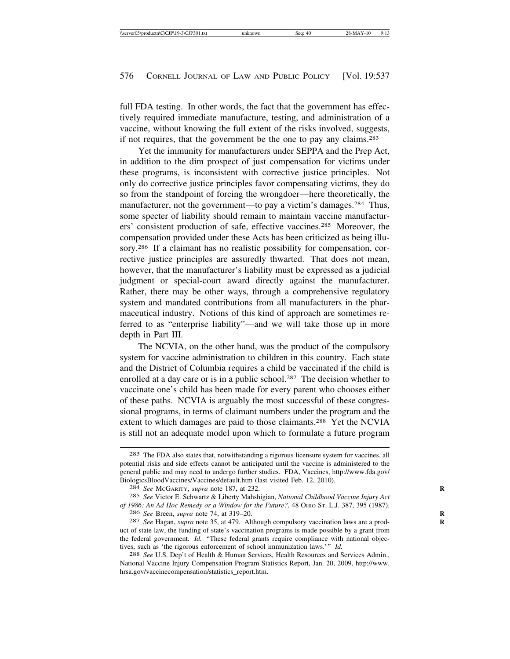full FDA testing. In other words, the fact that the government has effectively required immediate manufacture, testing, and administration of a vaccine, without knowing the full extent of the risks involved, suggests, if not requires, that the government be the one to pay any claims.283

Yet the immunity for manufacturers under SEPPA and the Prep Act, in addition to the dim prospect of just compensation for victims under these programs, is inconsistent with corrective justice principles. Not only do corrective justice principles favor compensating victims, they do so from the standpoint of forcing the wrongdoer—here theoretically, the manufacturer, not the government—to pay a victim's damages.<sup>284</sup> Thus, some specter of liability should remain to maintain vaccine manufacturers' consistent production of safe, effective vaccines.285 Moreover, the compensation provided under these Acts has been criticized as being illusory.286 If a claimant has no realistic possibility for compensation, corrective justice principles are assuredly thwarted. That does not mean, however, that the manufacturer's liability must be expressed as a judicial judgment or special-court award directly against the manufacturer. Rather, there may be other ways, through a comprehensive regulatory system and mandated contributions from all manufacturers in the pharmaceutical industry. Notions of this kind of approach are sometimes referred to as "enterprise liability"—and we will take those up in more depth in Part III.

The NCVIA, on the other hand, was the product of the compulsory system for vaccine administration to children in this country. Each state and the District of Columbia requires a child be vaccinated if the child is enrolled at a day care or is in a public school.<sup>287</sup> The decision whether to vaccinate one's child has been made for every parent who chooses either of these paths. NCVIA is arguably the most successful of these congressional programs, in terms of claimant numbers under the program and the extent to which damages are paid to those claimants.<sup>288</sup> Yet the NCVIA is still not an adequate model upon which to formulate a future program

<sup>283</sup> The FDA also states that, notwithstanding a rigorous licensure system for vaccines, all potential risks and side effects cannot be anticipated until the vaccine is administered to the general public and may need to undergo further studies. FDA, Vaccines, http://www.fda.gov/ BiologicsBloodVaccines/Vaccines/default.htm (last visited Feb. 12, 2010). <sup>284</sup> *See* MCGARITY, *supra* note 187, at 232. **<sup>R</sup>**

<sup>285</sup> *See* Victor E. Schwartz & Liberty Mahshigian, *National Childhood Vaccine Injury Act of 1986: An Ad Hoc Remedy or a Window for the Future?*, 48 OHIO ST. L.J. 387, 395 (1987). 286 *See* Breen, *supra* note 74, at 319–20. **R**

<sup>287</sup> *See* Hagan, *supra* note 35, at 479. Although compulsory vaccination laws are a prod- **R** uct of state law, the funding of state's vaccination programs is made possible by a grant from the federal government. *Id.* "These federal grants require compliance with national objectives, such as 'the rigorous enforcement of school immunization laws.'" *Id.* 

<sup>288</sup> *See* U.S. Dep't of Health & Human Services, Health Resources and Services Admin., National Vaccine Injury Compensation Program Statistics Report, Jan. 20, 2009, http://www. hrsa.gov/vaccinecompensation/statistics\_report.htm.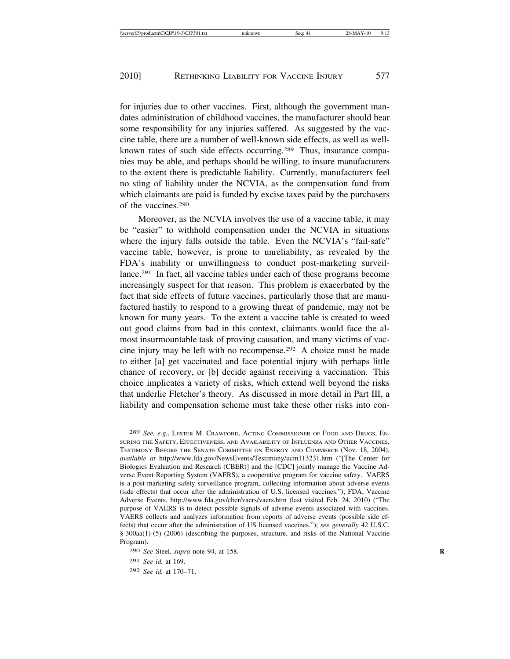for injuries due to other vaccines. First, although the government mandates administration of childhood vaccines, the manufacturer should bear some responsibility for any injuries suffered. As suggested by the vaccine table, there are a number of well-known side effects, as well as wellknown rates of such side effects occurring.289 Thus, insurance companies may be able, and perhaps should be willing, to insure manufacturers to the extent there is predictable liability. Currently, manufacturers feel no sting of liability under the NCVIA, as the compensation fund from which claimants are paid is funded by excise taxes paid by the purchasers of the vaccines.290

Moreover, as the NCVIA involves the use of a vaccine table, it may be "easier" to withhold compensation under the NCVIA in situations where the injury falls outside the table. Even the NCVIA's "fail-safe" vaccine table, however, is prone to unreliability, as revealed by the FDA's inability or unwillingness to conduct post-marketing surveillance.291 In fact, all vaccine tables under each of these programs become increasingly suspect for that reason. This problem is exacerbated by the fact that side effects of future vaccines, particularly those that are manufactured hastily to respond to a growing threat of pandemic, may not be known for many years. To the extent a vaccine table is created to weed out good claims from bad in this context, claimants would face the almost insurmountable task of proving causation, and many victims of vaccine injury may be left with no recompense.292 A choice must be made to either [a] get vaccinated and face potential injury with perhaps little chance of recovery, or [b] decide against receiving a vaccination. This choice implicates a variety of risks, which extend well beyond the risks that underlie Fletcher's theory. As discussed in more detail in Part III, a liability and compensation scheme must take these other risks into con-

<sup>289</sup> *See, e.g.*, LESTER M. CRAWFORD, ACTING COMMISSIONER OF FOOD AND DRUGS, EN-SURING THE SAFETY, EFFECTIVENESS, AND AVAILABILITY OF INFLUENZA AND OTHER VACCINES, TESTIMONY BEFORE THE SENATE COMMITTEE ON ENERGY AND COMMERCE (Nov. 18, 2004), *available at* http://www.fda.gov/NewsEvents/Testimony/ucm113231.htm ("[The Center for Biologics Evaluation and Research (CBER)] and the [CDC] jointly manage the Vaccine Adverse Event Reporting System (VAERS), a cooperative program for vaccine safety. VAERS is a post-marketing safety surveillance program, collecting information about adverse events (side effects) that occur after the administration of U.S. licensed vaccines."); FDA, Vaccine Adverse Events, http://www.fda.gov/cber/vaers/vaers.htm (last visited Feb. 24, 2010) ("The purpose of VAERS is to detect possible signals of adverse events associated with vaccines. VAERS collects and analyzes information from reports of adverse events (possible side effects) that occur after the administration of US licensed vaccines."); *see generally* 42 U.S.C. § 300aa(1)-(5) (2006) (describing the purposes, structure, and risks of the National Vaccine Program).

<sup>290</sup> *See* Steel, *supra* note 94, at 158. **R**

<sup>291</sup> *See id.* at 169.

<sup>292</sup> *See id.* at 170–71.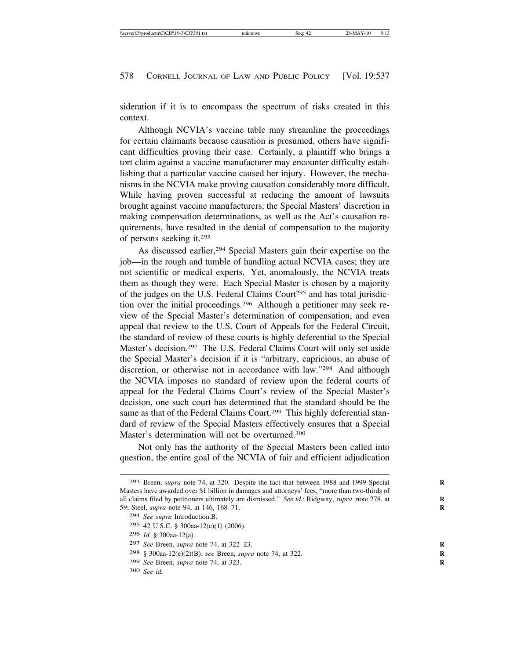sideration if it is to encompass the spectrum of risks created in this context.

Although NCVIA's vaccine table may streamline the proceedings for certain claimants because causation is presumed, others have significant difficulties proving their case. Certainly, a plaintiff who brings a tort claim against a vaccine manufacturer may encounter difficulty establishing that a particular vaccine caused her injury. However, the mechanisms in the NCVIA make proving causation considerably more difficult. While having proven successful at reducing the amount of lawsuits brought against vaccine manufacturers, the Special Masters' discretion in making compensation determinations, as well as the Act's causation requirements, have resulted in the denial of compensation to the majority of persons seeking it.293

As discussed earlier,<sup>294</sup> Special Masters gain their expertise on the job—in the rough and tumble of handling actual NCVIA cases; they are not scientific or medical experts. Yet, anomalously, the NCVIA treats them as though they were. Each Special Master is chosen by a majority of the judges on the U.S. Federal Claims Court<sup>295</sup> and has total jurisdiction over the initial proceedings.296 Although a petitioner may seek review of the Special Master's determination of compensation, and even appeal that review to the U.S. Court of Appeals for the Federal Circuit, the standard of review of these courts is highly deferential to the Special Master's decision.297 The U.S. Federal Claims Court will only set aside the Special Master's decision if it is "arbitrary, capricious, an abuse of discretion, or otherwise not in accordance with law."298 And although the NCVIA imposes no standard of review upon the federal courts of appeal for the Federal Claims Court's review of the Special Master's decision, one such court has determined that the standard should be the same as that of the Federal Claims Court.<sup>299</sup> This highly deferential standard of review of the Special Masters effectively ensures that a Special Master's determination will not be overturned.<sup>300</sup>

Not only has the authority of the Special Masters been called into question, the entire goal of the NCVIA of fair and efficient adjudication

<sup>293</sup> Breen, *supra* note 74, at 320. Despite the fact that between 1988 and 1999 Special **R** Masters have awarded over \$1 billion in damages and attorneys' fees, "more than two-thirds of all claims filed by petitioners ultimately are dismissed." *See id.*; Ridgway, *supra* note 278, at 59; Steel, *supra* note 94, at 146, 168–71. **R**

<sup>294</sup> *See supra* Introduction.B.

<sup>295</sup> 42 U.S.C. § 300aa-12(c)(1) (2006).

<sup>296</sup> *Id.* § 300aa-12(a).

<sup>297</sup> *See* Breen, *supra* note 74, at 322–23. **R**

<sup>298</sup> § 300aa-12(e)(2)(B); *see* Breen, *supra* note 74, at 322. **R**

<sup>299</sup> *See* Breen, *supra* note 74, at 323. **R**

<sup>300</sup> *See id.*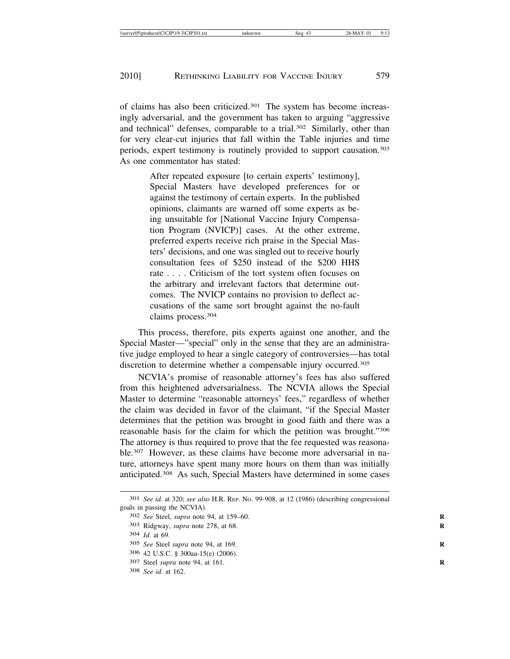of claims has also been criticized.301 The system has become increasingly adversarial, and the government has taken to arguing "aggressive and technical" defenses, comparable to a trial.<sup>302</sup> Similarly, other than for very clear-cut injuries that fall within the Table injuries and time periods, expert testimony is routinely provided to support causation.303 As one commentator has stated:

> After repeated exposure [to certain experts' testimony], Special Masters have developed preferences for or against the testimony of certain experts. In the published opinions, claimants are warned off some experts as being unsuitable for [National Vaccine Injury Compensation Program (NVICP)] cases. At the other extreme, preferred experts receive rich praise in the Special Masters' decisions, and one was singled out to receive hourly consultation fees of \$250 instead of the \$200 HHS rate . . . . Criticism of the tort system often focuses on the arbitrary and irrelevant factors that determine outcomes. The NVICP contains no provision to deflect accusations of the same sort brought against the no-fault claims process.304

This process, therefore, pits experts against one another, and the Special Master—"special" only in the sense that they are an administrative judge employed to hear a single category of controversies—has total discretion to determine whether a compensable injury occurred.<sup>305</sup>

NCVIA's promise of reasonable attorney's fees has also suffered from this heightened adversarialness. The NCVIA allows the Special Master to determine "reasonable attorneys' fees," regardless of whether the claim was decided in favor of the claimant, "if the Special Master determines that the petition was brought in good faith and there was a reasonable basis for the claim for which the petition was brought."306 The attorney is thus required to prove that the fee requested was reasonable.307 However, as these claims have become more adversarial in nature, attorneys have spent many more hours on them than was initially anticipated.308 As such, Special Masters have determined in some cases

<sup>301</sup> *See id.* at 320; *see also* H.R. REP. NO. 99-908, at 12 (1986) (describing congressional goals in passing the NCVIA).

<sup>302</sup> *See* Steel, *supra* note 94, at 159–60. **R**

<sup>303</sup> Ridgway, *supra* note 278, at 68. **R**

<sup>304</sup> *Id*. at 69.

<sup>305</sup> *See* Steel *supra* note 94, at 169. **R**

<sup>306</sup> 42 U.S.C. § 300aa-15(e) (2006).

<sup>307</sup> Steel *supra* note 94, at 161. **R**

<sup>308</sup> *See id.* at 162.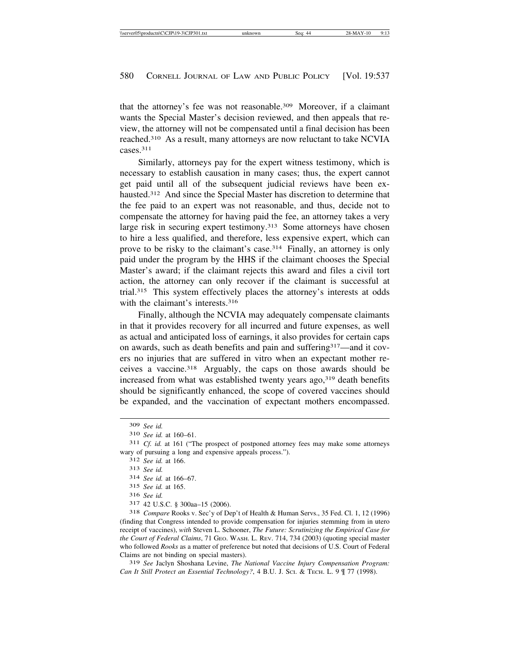that the attorney's fee was not reasonable.309 Moreover, if a claimant wants the Special Master's decision reviewed, and then appeals that review, the attorney will not be compensated until a final decision has been reached.310 As a result, many attorneys are now reluctant to take NCVIA cases.311

Similarly, attorneys pay for the expert witness testimony, which is necessary to establish causation in many cases; thus, the expert cannot get paid until all of the subsequent judicial reviews have been exhausted.312 And since the Special Master has discretion to determine that the fee paid to an expert was not reasonable, and thus, decide not to compensate the attorney for having paid the fee, an attorney takes a very large risk in securing expert testimony.<sup>313</sup> Some attorneys have chosen to hire a less qualified, and therefore, less expensive expert, which can prove to be risky to the claimant's case.314 Finally, an attorney is only paid under the program by the HHS if the claimant chooses the Special Master's award; if the claimant rejects this award and files a civil tort action, the attorney can only recover if the claimant is successful at trial.315 This system effectively places the attorney's interests at odds with the claimant's interests.<sup>316</sup>

Finally, although the NCVIA may adequately compensate claimants in that it provides recovery for all incurred and future expenses, as well as actual and anticipated loss of earnings, it also provides for certain caps on awards, such as death benefits and pain and suffering317—and it covers no injuries that are suffered in vitro when an expectant mother receives a vaccine.318 Arguably, the caps on those awards should be increased from what was established twenty years ago,<sup>319</sup> death benefits should be significantly enhanced, the scope of covered vaccines should be expanded, and the vaccination of expectant mothers encompassed.

<sup>317</sup> 42 U.S.C. § 300aa–15 (2006). <sup>318</sup> *Compare* Rooks v. Sec'y of Dep't of Health & Human Servs., 35 Fed. Cl. 1, 12 (1996) (finding that Congress intended to provide compensation for injuries stemming from in utero receipt of vaccines), *with* Steven L. Schooner, *The Future: Scrutinizing the Empirical Case for the Court of Federal Claims*, 71 GEO. WASH. L. REV. 714, 734 (2003) (quoting special master who followed *Rooks* as a matter of preference but noted that decisions of U.S. Court of Federal Claims are not binding on special masters).

319 *See* Jaclyn Shoshana Levine, *The National Vaccine Injury Compensation Program: Can It Still Protect an Essential Technology?*, 4 B.U. J. SCI. & TECH. L. 9 ¶ 77 (1998).

<sup>309</sup> *See id.*

<sup>310</sup> *See id.* at 160–61.

<sup>311</sup> *Cf. id.* at 161 ("The prospect of postponed attorney fees may make some attorneys wary of pursuing a long and expensive appeals process."). <sup>312</sup> *See id.* at 166.

<sup>313</sup> *See id.*

<sup>314</sup> *See id.* at 166–67.

<sup>315</sup> *See id.* at 165.

<sup>316</sup> *See id.*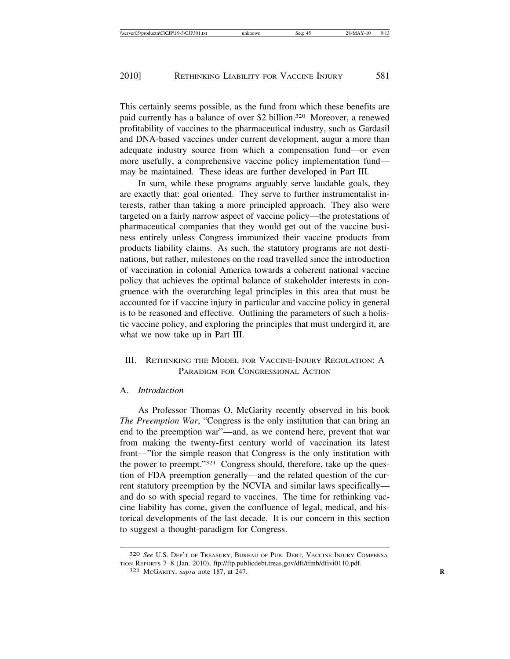This certainly seems possible, as the fund from which these benefits are paid currently has a balance of over \$2 billion.320 Moreover, a renewed profitability of vaccines to the pharmaceutical industry, such as Gardasil and DNA-based vaccines under current development, augur a more than adequate industry source from which a compensation fund—or even more usefully, a comprehensive vaccine policy implementation fund may be maintained. These ideas are further developed in Part III*.*

In sum, while these programs arguably serve laudable goals, they are exactly that: goal oriented. They serve to further instrumentalist interests, rather than taking a more principled approach. They also were targeted on a fairly narrow aspect of vaccine policy—the protestations of pharmaceutical companies that they would get out of the vaccine business entirely unless Congress immunized their vaccine products from products liability claims. As such, the statutory programs are not destinations, but rather, milestones on the road travelled since the introduction of vaccination in colonial America towards a coherent national vaccine policy that achieves the optimal balance of stakeholder interests in congruence with the overarching legal principles in this area that must be accounted for if vaccine injury in particular and vaccine policy in general is to be reasoned and effective. Outlining the parameters of such a holistic vaccine policy, and exploring the principles that must undergird it, are what we now take up in Part III.

# III. RETHINKING THE MODEL FOR VACCINE-INJURY REGULATION: A PARADIGM FOR CONGRESSIONAL ACTION

### A. *Introduction*

As Professor Thomas O. McGarity recently observed in his book *The Preemption War*, "Congress is the only institution that can bring an end to the preemption war"—and, as we contend here, prevent that war from making the twenty-first century world of vaccination its latest front—"for the simple reason that Congress is the only institution with the power to preempt."321 Congress should, therefore, take up the question of FDA preemption generally—and the related question of the current statutory preemption by the NCVIA and similar laws specifically and do so with special regard to vaccines. The time for rethinking vaccine liability has come, given the confluence of legal, medical, and historical developments of the last decade. It is our concern in this section to suggest a thought-paradigm for Congress.

<sup>320</sup> *See* U.S. DEP'T OF TREASURY, BUREAU OF PUB. DEBT, VACCINE INJURY COMPENSA-TION REPORTS 7–8 (Jan. 2010), ftp://ftp.publicdebt.treas.gov/dfi/tfmb/dfivi0110.pdf. <sup>321</sup> MCGARITY, *supra* note 187, at 247. **<sup>R</sup>**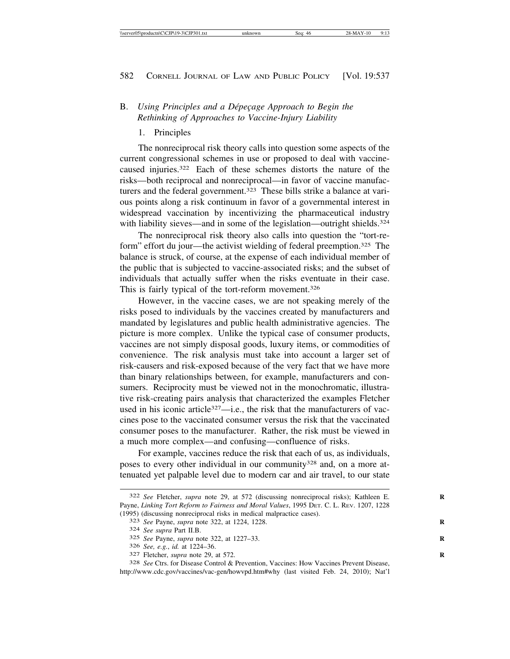# B. *Using Principles and a Dépecage Approach to Begin the Rethinking of Approaches to Vaccine-Injury Liability*

## 1. Principles

The nonreciprocal risk theory calls into question some aspects of the current congressional schemes in use or proposed to deal with vaccinecaused injuries.322 Each of these schemes distorts the nature of the risks—both reciprocal and nonreciprocal—in favor of vaccine manufacturers and the federal government.<sup>323</sup> These bills strike a balance at various points along a risk continuum in favor of a governmental interest in widespread vaccination by incentivizing the pharmaceutical industry with liability sieves—and in some of the legislation—outright shields.<sup>324</sup>

The nonreciprocal risk theory also calls into question the "tort-reform" effort du jour—the activist wielding of federal preemption.325 The balance is struck, of course, at the expense of each individual member of the public that is subjected to vaccine-associated risks; and the subset of individuals that actually suffer when the risks eventuate in their case. This is fairly typical of the tort-reform movement.<sup>326</sup>

However, in the vaccine cases, we are not speaking merely of the risks posed to individuals by the vaccines created by manufacturers and mandated by legislatures and public health administrative agencies. The picture is more complex. Unlike the typical case of consumer products, vaccines are not simply disposal goods, luxury items, or commodities of convenience. The risk analysis must take into account a larger set of risk-causers and risk-exposed because of the very fact that we have more than binary relationships between, for example, manufacturers and consumers. Reciprocity must be viewed not in the monochromatic, illustrative risk-creating pairs analysis that characterized the examples Fletcher used in his iconic article<sup>327</sup>—i.e., the risk that the manufacturers of vaccines pose to the vaccinated consumer versus the risk that the vaccinated consumer poses to the manufacturer. Rather, the risk must be viewed in a much more complex—and confusing—confluence of risks.

For example, vaccines reduce the risk that each of us, as individuals, poses to every other individual in our community<sup>328</sup> and, on a more attenuated yet palpable level due to modern car and air travel, to our state

<sup>322</sup> *See* Fletcher, *supra* note 29, at 572 (discussing nonreciprocal risks); Kathleen E. **R** Payne, *Linking Tort Reform to Fairness and Moral Values*, 1995 DET. C. L. REV. 1207, 1228 (1995) (discussing nonreciprocal risks in medical malpractice cases). <sup>323</sup> *See* Payne, *supra* note 322, at 1224, 1228. **<sup>R</sup>**

<sup>324</sup> *See supra* Part II.B.

<sup>325</sup> *See* Payne, *supra* note 322, at 1227–33. **R**

<sup>327</sup> Fletcher, *supra* note 29, at 572.

<sup>328</sup> *See* Ctrs. for Disease Control & Prevention, Vaccines: How Vaccines Prevent Disease, http://www.cdc.gov/vaccines/vac-gen/howvpd.htm#why (last visited Feb. 24, 2010); Nat'l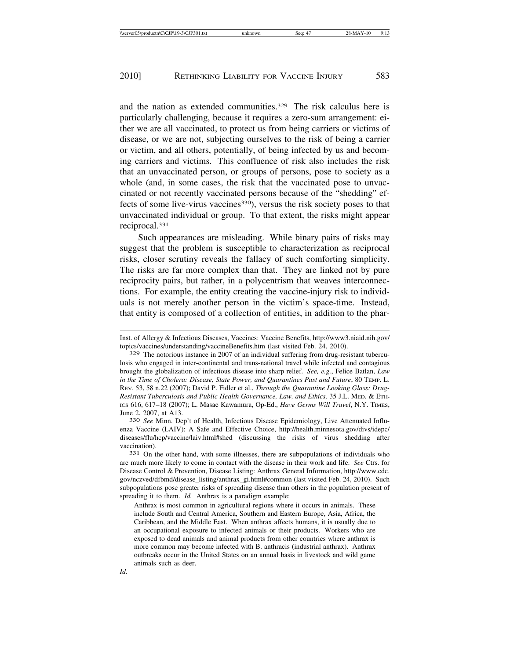and the nation as extended communities.<sup>329</sup> The risk calculus here is particularly challenging, because it requires a zero-sum arrangement: either we are all vaccinated, to protect us from being carriers or victims of disease, or we are not, subjecting ourselves to the risk of being a carrier or victim, and all others, potentially, of being infected by us and becoming carriers and victims. This confluence of risk also includes the risk that an unvaccinated person, or groups of persons, pose to society as a whole (and, in some cases, the risk that the vaccinated pose to unvaccinated or not recently vaccinated persons because of the "shedding" effects of some live-virus vaccines<sup>330</sup>), versus the risk society poses to that unvaccinated individual or group. To that extent, the risks might appear reciprocal.331

Such appearances are misleading. While binary pairs of risks may suggest that the problem is susceptible to characterization as reciprocal risks, closer scrutiny reveals the fallacy of such comforting simplicity. The risks are far more complex than that. They are linked not by pure reciprocity pairs, but rather, in a polycentrism that weaves interconnections. For example, the entity creating the vaccine-injury risk to individuals is not merely another person in the victim's space-time. Instead, that entity is composed of a collection of entities, in addition to the phar-

Inst. of Allergy & Infectious Diseases, Vaccines: Vaccine Benefits, http://www3.niaid.nih.gov/ topics/vaccines/understanding/vaccineBenefits.htm (last visited Feb. 24, 2010).

<sup>329</sup> The notorious instance in 2007 of an individual suffering from drug-resistant tuberculosis who engaged in inter-continental and trans-national travel while infected and contagious brought the globalization of infectious disease into sharp relief. *See, e.g.*, Felice Batlan, *Law in the Time of Cholera: Disease, State Power, and Quarantines Past and Future*, 80 TEMP. L. REV. 53, 58 n.22 (2007); David P. Fidler et al., *Through the Quarantine Looking Glass: Drug-Resistant Tuberculosis and Public Health Governance, Law, and Ethics,* 35 J.L. MED. & ETH-ICS 616, 617–18 (2007); L. Masae Kawamura, Op-Ed., *Have Germs Will Travel*, N.Y. TIMES, June 2, 2007, at A13. <sup>330</sup> *See* Minn. Dep't of Health, Infectious Disease Epidemiology, Live Attenuated Influ-

enza Vaccine (LAIV): A Safe and Effective Choice, http://health.minnesota.gov/divs/idepc/ diseases/flu/hcp/vaccine/laiv.html#shed (discussing the risks of virus shedding after vaccination). <sup>331</sup> On the other hand, with some illnesses, there are subpopulations of individuals who

are much more likely to come in contact with the disease in their work and life. *See* Ctrs. for Disease Control & Prevention, Disease Listing: Anthrax General Information, http://www.cdc. gov/nczved/dfbmd/disease\_listing/anthrax\_gi.html#common (last visited Feb. 24, 2010). Such subpopulations pose greater risks of spreading disease than others in the population present of spreading it to them. *Id.* Anthrax is a paradigm example:

Anthrax is most common in agricultural regions where it occurs in animals. These include South and Central America, Southern and Eastern Europe, Asia, Africa, the Caribbean, and the Middle East. When anthrax affects humans, it is usually due to an occupational exposure to infected animals or their products. Workers who are exposed to dead animals and animal products from other countries where anthrax is more common may become infected with B. anthracis (industrial anthrax). Anthrax outbreaks occur in the United States on an annual basis in livestock and wild game animals such as deer.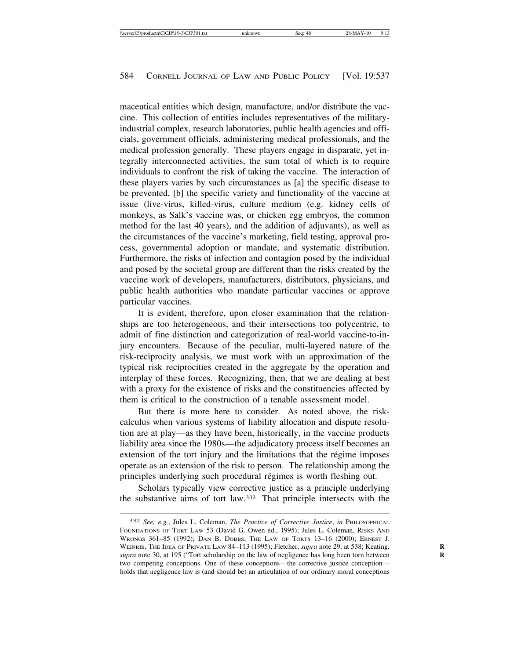maceutical entities which design, manufacture, and/or distribute the vaccine. This collection of entities includes representatives of the militaryindustrial complex, research laboratories, public health agencies and officials, government officials, administering medical professionals, and the medical profession generally. These players engage in disparate, yet integrally interconnected activities, the sum total of which is to require individuals to confront the risk of taking the vaccine. The interaction of these players varies by such circumstances as [a] the specific disease to be prevented, [b] the specific variety and functionality of the vaccine at issue (live-virus, killed-virus, culture medium (e.g. kidney cells of monkeys, as Salk's vaccine was, or chicken egg embryos, the common method for the last 40 years), and the addition of adjuvants), as well as the circumstances of the vaccine's marketing, field testing, approval process, governmental adoption or mandate, and systematic distribution. Furthermore, the risks of infection and contagion posed by the individual and posed by the societal group are different than the risks created by the vaccine work of developers, manufacturers, distributors, physicians, and public health authorities who mandate particular vaccines or approve particular vaccines.

It is evident, therefore, upon closer examination that the relationships are too heterogeneous, and their intersections too polycentric, to admit of fine distinction and categorization of real-world vaccine-to-injury encounters. Because of the peculiar, multi-layered nature of the risk-reciprocity analysis, we must work with an approximation of the typical risk reciprocities created in the aggregate by the operation and interplay of these forces. Recognizing, then, that we are dealing at best with a proxy for the existence of risks and the constituencies affected by them is critical to the construction of a tenable assessment model.

But there is more here to consider. As noted above, the riskcalculus when various systems of liability allocation and dispute resolution are at play—as they have been, historically, in the vaccine products liability area since the 1980s—the adjudicatory process itself becomes an extension of the tort injury and the limitations that the régime imposes operate as an extension of the risk to person. The relationship among the principles underlying such procedural régimes is worth fleshing out.

Scholars typically view corrective justice as a principle underlying the substantive aims of tort law.332 That principle intersects with the

<sup>332</sup> *See, e.g.*, Jules L. Coleman, *The Practice of Corrective Justice*, *in* PHILOSOPHICAL FOUNDATIONS OF TORT LAW 53 (David G. Owen ed., 1995); Jules L. Coleman, RISKS AND WRONGS 361–85 (1992); DAN B. DOBBS, THE LAW OF TORTS 13–16 (2000); ERNEST J. WEINRIB, THE IDEA OF PRIVATE LAW 84-113 (1995); Fletcher, *supra* note 29, at 538; Keating, *supra* note 30, at 195 ("Tort scholarship on the law of negligence has long been torn between **R** two competing conceptions. One of these conceptions—the corrective justice conception holds that negligence law is (and should be) an articulation of our ordinary moral conceptions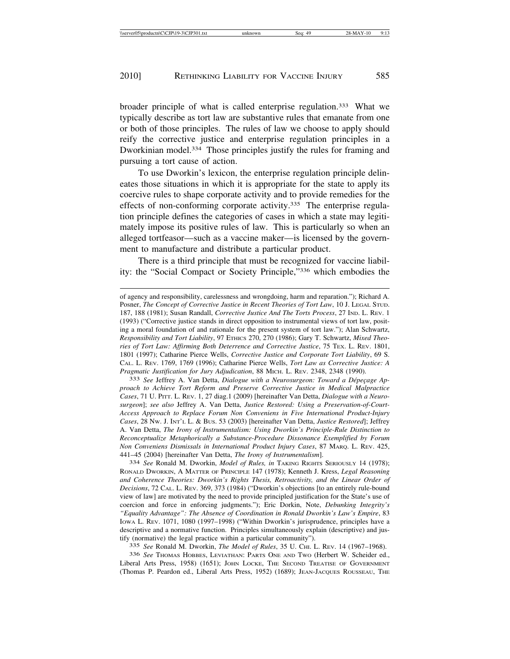broader principle of what is called enterprise regulation.333 What we typically describe as tort law are substantive rules that emanate from one or both of those principles. The rules of law we choose to apply should reify the corrective justice and enterprise regulation principles in a Dworkinian model.334 Those principles justify the rules for framing and pursuing a tort cause of action.

To use Dworkin's lexicon, the enterprise regulation principle delineates those situations in which it is appropriate for the state to apply its coercive rules to shape corporate activity and to provide remedies for the effects of non-conforming corporate activity.335 The enterprise regulation principle defines the categories of cases in which a state may legitimately impose its positive rules of law. This is particularly so when an alleged tortfeasor—such as a vaccine maker—is licensed by the government to manufacture and distribute a particular product.

There is a third principle that must be recognized for vaccine liability: the "Social Compact or Society Principle,"336 which embodies the

*proach to Achieve Tort Reform and Preserve Corrective Justice in Medical Malpractice Cases*, 71 U. PITT. L. REV. 1, 27 diag.1 (2009) [hereinafter Van Detta, *Dialogue with a Neurosurgeon*]; *see also* Jeffrey A. Van Detta, *Justice Restored: Using a Preservation-of-Court-Access Approach to Replace Forum Non Conveniens in Five International Product-Injury Cases*, 28 NW. J. INT'L L. & BUS. 53 (2003) [hereinafter Van Detta, *Justice Restored*]; Jeffrey A. Van Detta, *The Irony of Instrumentalism: Using Dworkin's Principle-Rule Distinction to Reconceptualize Metaphorically a Substance-Procedure Dissonance Exemplified by Forum Non Conveniens Dismissals in International Product Injury Cases*, 87 MARQ. L. REV. 425, 441–45 (2004) [hereinafter Van Detta, *The Irony of Instrumentalism*]. <sup>334</sup> *See* Ronald M. Dworkin, *Model of Rules, in* TAKING RIGHTS SERIOUSLY 14 (1978);

RONALD DWORKIN, A MATTER OF PRINCIPLE 147 (1978); Kenneth J. Kress, *Legal Reasoning and Coherence Theories: Dworkin's Rights Thesis, Retroactivity, and the Linear Order of Decisions*, 72 CAL. L. REV. 369, 373 (1984) ("Dworkin's objections [to an entirely rule-bound view of law] are motivated by the need to provide principled justification for the State's use of coercion and force in enforcing judgments."); Eric Dorkin, Note, *Debunking Integrity's "Equality Advantage": The Absence of Coordination in Ronald Dworkin's Law's Empire*, 83 IOWA L. REV. 1071, 1080 (1997–1998) ("Within Dworkin's jurisprudence, principles have a descriptive and a normative function. Principles simultaneously explain (descriptive) and justify (normative) the legal practice within a particular community").

335 *See* Ronald M. Dworkin, *The Model of Rules*, 35 U. CHI. L. REV. 14 (1967–1968).

336 *See* THOMAS HOBBES, LEVIATHAN: PARTS ONE AND TWO (Herbert W. Scheider ed., Liberal Arts Press, 1958) (1651); JOHN LOCKE, THE SECOND TREATISE OF GOVERNMENT (Thomas P. Peardon ed., Liberal Arts Press, 1952) (1689); JEAN-JACQUES ROUSSEAU, THE

of agency and responsibility, carelessness and wrongdoing, harm and reparation."); Richard A. Posner, *The Concept of Corrective Justice in Recent Theories of Tort Law*, 10 J. LEGAL STUD. 187, 188 (1981); Susan Randall, *Corrective Justice And The Torts Process*, 27 IND. L. REV. 1 (1993) ("Corrective justice stands in direct opposition to instrumental views of tort law, positing a moral foundation of and rationale for the present system of tort law."); Alan Schwartz, *Responsibility and Tort Liability*, 97 ETHICS 270, 270 (1986); Gary T. Schwartz, *Mixed Theories of Tort Law: Affirming Both Deterrence and Corrective Justice*, 75 TEX. L. REV. 1801, 1801 (1997); Catharine Pierce Wells, *Corrective Justice and Corporate Tort Liability*, 69 S. CAL. L. REV. 1769, 1769 (1996); Catharine Pierce Wells, *Tort Law as Corrective Justice: A Pragmatic Justification for Jury Adjudication*, 88 MICH. L. REV. 2348, 2348 (1990).<br><sup>333</sup> *See* Jeffrey A. Van Detta, *Dialogue with a Neurosurgeon: Toward a Dépeçage Ap-*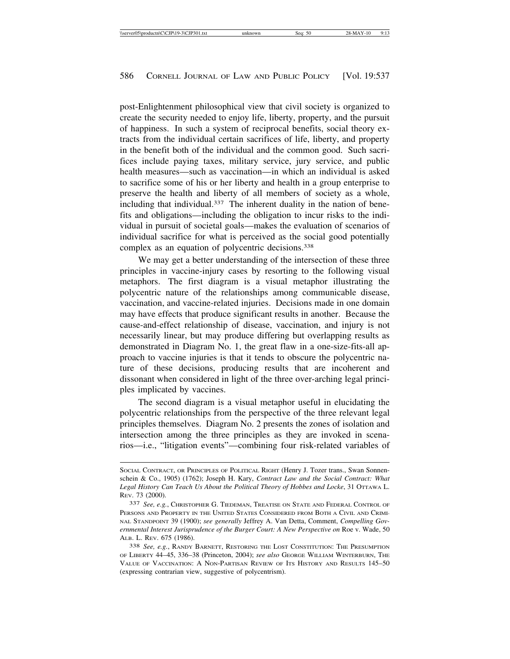post-Enlightenment philosophical view that civil society is organized to create the security needed to enjoy life, liberty, property, and the pursuit of happiness. In such a system of reciprocal benefits, social theory extracts from the individual certain sacrifices of life, liberty, and property in the benefit both of the individual and the common good. Such sacrifices include paying taxes, military service, jury service, and public health measures—such as vaccination—in which an individual is asked to sacrifice some of his or her liberty and health in a group enterprise to preserve the health and liberty of all members of society as a whole, including that individual.337 The inherent duality in the nation of benefits and obligations—including the obligation to incur risks to the individual in pursuit of societal goals—makes the evaluation of scenarios of individual sacrifice for what is perceived as the social good potentially complex as an equation of polycentric decisions.338

We may get a better understanding of the intersection of these three principles in vaccine-injury cases by resorting to the following visual metaphors. The first diagram is a visual metaphor illustrating the polycentric nature of the relationships among communicable disease, vaccination, and vaccine-related injuries. Decisions made in one domain may have effects that produce significant results in another. Because the cause-and-effect relationship of disease, vaccination, and injury is not necessarily linear, but may produce differing but overlapping results as demonstrated in Diagram No. 1, the great flaw in a one-size-fits-all approach to vaccine injuries is that it tends to obscure the polycentric nature of these decisions, producing results that are incoherent and dissonant when considered in light of the three over-arching legal principles implicated by vaccines.

The second diagram is a visual metaphor useful in elucidating the polycentric relationships from the perspective of the three relevant legal principles themselves. Diagram No. 2 presents the zones of isolation and intersection among the three principles as they are invoked in scenarios—i.e., "litigation events"—combining four risk-related variables of

SOCIAL CONTRACT, OR PRINCIPLES OF POLITICAL RIGHT (Henry J. Tozer trans., Swan Sonnenschein & Co., 1905) (1762); Joseph H. Kary, *Contract Law and the Social Contract: What* Legal History Can Teach Us About the Political Theory of Hobbes and Locke, 31 OTTAWA L. REV. 73 (2000).

<sup>337</sup> *See, e.g.*, CHRISTOPHER G. TIEDEMAN, TREATISE ON STATE AND FEDERAL CONTROL OF PERSONS AND PROPERTY IN THE UNITED STATES CONSIDERED FROM BOTH A CIVIL AND CRIMI-NAL STANDPOINT 39 (1900); *see generally* Jeffrey A. Van Detta, Comment, *Compelling Governmental Interest Jurisprudence of the Burger Court: A New Perspective on Roe v. Wade, 50* ALB. L. REV. 675 (1986).

<sup>338</sup> *See, e.g.*, RANDY BARNETT, RESTORING THE LOST CONSTITUTION: THE PRESUMPTION OF LIBERTY 44–45, 336–38 (Princeton, 2004); *see also* GEORGE WILLIAM WINTERBURN, THE VALUE OF VACCINATION: A NON-PARTISAN REVIEW OF ITS HISTORY AND RESULTS 145–50 (expressing contrarian view, suggestive of polycentrism).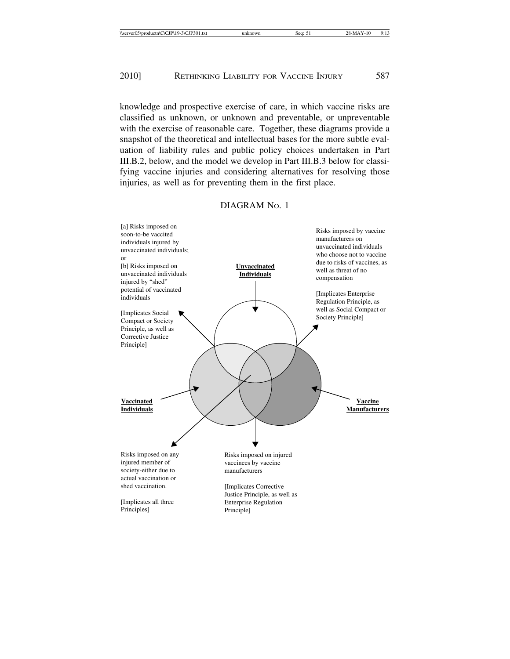knowledge and prospective exercise of care, in which vaccine risks are classified as unknown, or unknown and preventable, or unpreventable with the exercise of reasonable care. Together, these diagrams provide a snapshot of the theoretical and intellectual bases for the more subtle evaluation of liability rules and public policy choices undertaken in Part III.B.2, below, and the model we develop in Part III.B.3 below for classifying vaccine injuries and considering alternatives for resolving those injuries, as well as for preventing them in the first place.

## DIAGRAM No. 1

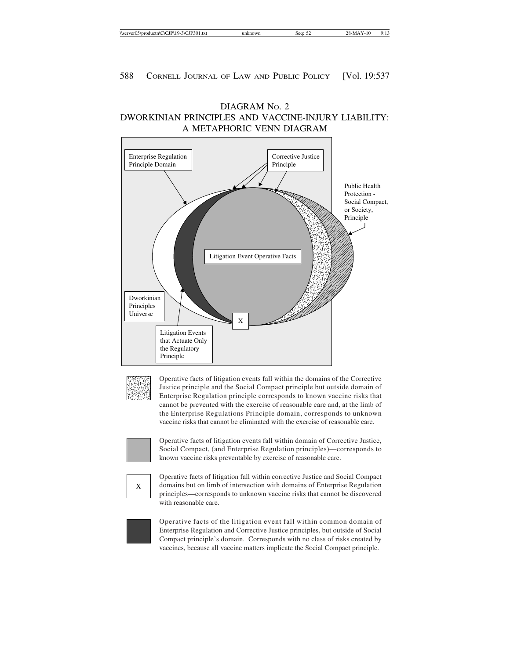

DIAGRAM NO. 2

$$
\frac{1}{2}
$$

Operative facts of litigation events fall within the domains of the Corrective Justice principle and the Social Compact principle but outside domain of Enterprise Regulation principle corresponds to known vaccine risks that cannot be prevented with the exercise of reasonable care and, at the limb of the Enterprise Regulations Principle domain, corresponds to unknown vaccine risks that cannot be eliminated with the exercise of reasonable care.



Operative facts of litigation events fall within domain of Corrective Justice, Social Compact, (and Enterprise Regulation principles)—corresponds to known vaccine risks preventable by exercise of reasonable care.

$$
\begin{array}{|c|c|}\hline \\ X \\ \hline \end{array}
$$

Operative facts of litigation fall within corrective Justice and Social Compact domains but on limb of intersection with domains of Enterprise Regulation principles—corresponds to unknown vaccine risks that cannot be discovered with reasonable care.

Operative facts of the litigation event fall within common domain of Enterprise Regulation and Corrective Justice principles, but outside of Social Compact principle's domain. Corresponds with no class of risks created by vaccines, because all vaccine matters implicate the Social Compact principle.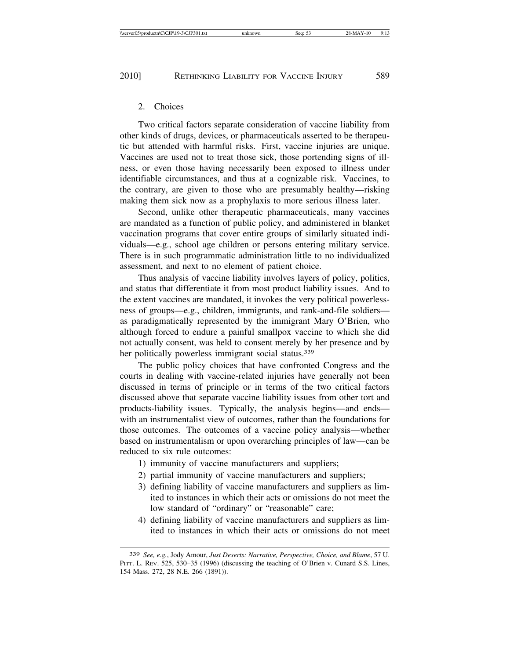### 2. Choices

Two critical factors separate consideration of vaccine liability from other kinds of drugs, devices, or pharmaceuticals asserted to be therapeutic but attended with harmful risks. First, vaccine injuries are unique. Vaccines are used not to treat those sick, those portending signs of illness, or even those having necessarily been exposed to illness under identifiable circumstances, and thus at a cognizable risk. Vaccines, to the contrary, are given to those who are presumably healthy—risking making them sick now as a prophylaxis to more serious illness later.

Second, unlike other therapeutic pharmaceuticals, many vaccines are mandated as a function of public policy, and administered in blanket vaccination programs that cover entire groups of similarly situated individuals—e.g., school age children or persons entering military service. There is in such programmatic administration little to no individualized assessment, and next to no element of patient choice.

Thus analysis of vaccine liability involves layers of policy, politics, and status that differentiate it from most product liability issues. And to the extent vaccines are mandated, it invokes the very political powerlessness of groups—e.g., children, immigrants, and rank-and-file soldiers as paradigmatically represented by the immigrant Mary O'Brien, who although forced to endure a painful smallpox vaccine to which she did not actually consent, was held to consent merely by her presence and by her politically powerless immigrant social status.<sup>339</sup>

The public policy choices that have confronted Congress and the courts in dealing with vaccine-related injuries have generally not been discussed in terms of principle or in terms of the two critical factors discussed above that separate vaccine liability issues from other tort and products-liability issues. Typically, the analysis begins—and ends with an instrumentalist view of outcomes, rather than the foundations for those outcomes. The outcomes of a vaccine policy analysis—whether based on instrumentalism or upon overarching principles of law—can be reduced to six rule outcomes:

- 1) immunity of vaccine manufacturers and suppliers;
- 2) partial immunity of vaccine manufacturers and suppliers;
- 3) defining liability of vaccine manufacturers and suppliers as limited to instances in which their acts or omissions do not meet the low standard of "ordinary" or "reasonable" care;
- 4) defining liability of vaccine manufacturers and suppliers as limited to instances in which their acts or omissions do not meet

<sup>339</sup> *See, e.g.*, Jody Amour, *Just Deserts: Narrative, Perspective, Choice, and Blame*, 57 U. PITT. L. REV. 525, 530–35 (1996) (discussing the teaching of O'Brien v. Cunard S.S. Lines, 154 Mass. 272, 28 N.E. 266 (1891)).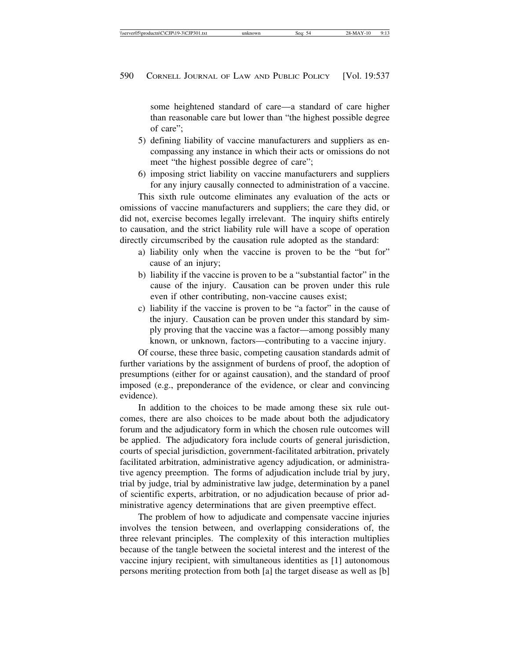some heightened standard of care—a standard of care higher than reasonable care but lower than "the highest possible degree of care";

- 5) defining liability of vaccine manufacturers and suppliers as encompassing any instance in which their acts or omissions do not meet "the highest possible degree of care";
- 6) imposing strict liability on vaccine manufacturers and suppliers for any injury causally connected to administration of a vaccine.

This sixth rule outcome eliminates any evaluation of the acts or omissions of vaccine manufacturers and suppliers; the care they did, or did not, exercise becomes legally irrelevant. The inquiry shifts entirely to causation, and the strict liability rule will have a scope of operation directly circumscribed by the causation rule adopted as the standard:

- a) liability only when the vaccine is proven to be the "but for" cause of an injury;
- b) liability if the vaccine is proven to be a "substantial factor" in the cause of the injury. Causation can be proven under this rule even if other contributing, non-vaccine causes exist;
- c) liability if the vaccine is proven to be "a factor" in the cause of the injury. Causation can be proven under this standard by simply proving that the vaccine was a factor—among possibly many known, or unknown, factors—contributing to a vaccine injury.

Of course, these three basic, competing causation standards admit of further variations by the assignment of burdens of proof, the adoption of presumptions (either for or against causation), and the standard of proof imposed (e.g., preponderance of the evidence, or clear and convincing evidence).

In addition to the choices to be made among these six rule outcomes, there are also choices to be made about both the adjudicatory forum and the adjudicatory form in which the chosen rule outcomes will be applied. The adjudicatory fora include courts of general jurisdiction, courts of special jurisdiction, government-facilitated arbitration, privately facilitated arbitration, administrative agency adjudication, or administrative agency preemption. The forms of adjudication include trial by jury, trial by judge, trial by administrative law judge, determination by a panel of scientific experts, arbitration, or no adjudication because of prior administrative agency determinations that are given preemptive effect.

The problem of how to adjudicate and compensate vaccine injuries involves the tension between, and overlapping considerations of, the three relevant principles. The complexity of this interaction multiplies because of the tangle between the societal interest and the interest of the vaccine injury recipient, with simultaneous identities as [1] autonomous persons meriting protection from both [a] the target disease as well as [b]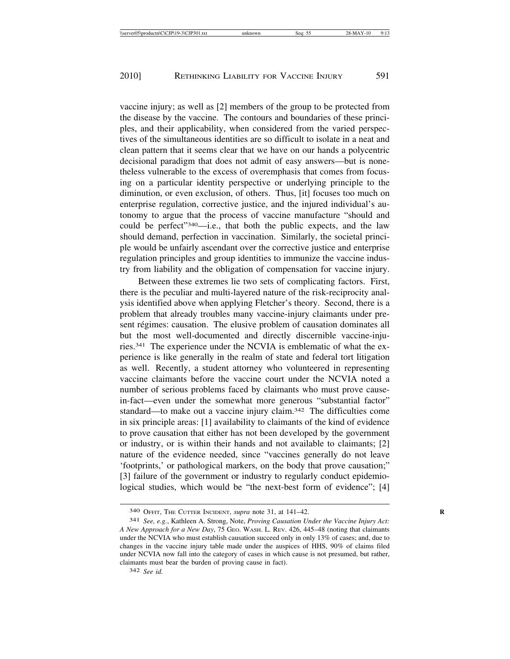vaccine injury; as well as [2] members of the group to be protected from the disease by the vaccine. The contours and boundaries of these principles, and their applicability, when considered from the varied perspectives of the simultaneous identities are so difficult to isolate in a neat and clean pattern that it seems clear that we have on our hands a polycentric decisional paradigm that does not admit of easy answers—but is nonetheless vulnerable to the excess of overemphasis that comes from focusing on a particular identity perspective or underlying principle to the diminution, or even exclusion, of others. Thus, [it] focuses too much on enterprise regulation, corrective justice, and the injured individual's autonomy to argue that the process of vaccine manufacture "should and could be perfect"340—i.e., that both the public expects, and the law should demand, perfection in vaccination. Similarly, the societal principle would be unfairly ascendant over the corrective justice and enterprise regulation principles and group identities to immunize the vaccine industry from liability and the obligation of compensation for vaccine injury.

Between these extremes lie two sets of complicating factors. First, there is the peculiar and multi-layered nature of the risk-reciprocity analysis identified above when applying Fletcher's theory. Second, there is a problem that already troubles many vaccine-injury claimants under present régimes: causation. The elusive problem of causation dominates all but the most well-documented and directly discernible vaccine-injuries.341 The experience under the NCVIA is emblematic of what the experience is like generally in the realm of state and federal tort litigation as well. Recently, a student attorney who volunteered in representing vaccine claimants before the vaccine court under the NCVIA noted a number of serious problems faced by claimants who must prove causein-fact—even under the somewhat more generous "substantial factor" standard—to make out a vaccine injury claim.342 The difficulties come in six principle areas: [1] availability to claimants of the kind of evidence to prove causation that either has not been developed by the government or industry, or is within their hands and not available to claimants; [2] nature of the evidence needed, since "vaccines generally do not leave 'footprints,' or pathological markers, on the body that prove causation;" [3] failure of the government or industry to regularly conduct epidemiological studies, which would be "the next-best form of evidence"; [4]

<sup>340</sup> OFFIT, THE CUTTER INCIDENT, *supra* note 31, at 141–42. **R**

<sup>341</sup> *See, e.g.*, Kathleen A. Strong, Note, *Proving Causation Under the Vaccine Injury Act: A New Approach for a New Day*, 75 GEO. WASH. L. REV. 426, 445–48 (noting that claimants under the NCVIA who must establish causation succeed only in only 13% of cases; and, due to changes in the vaccine injury table made under the auspices of HHS, 90% of claims filed under NCVIA now fall into the category of cases in which cause is not presumed, but rather, claimants must bear the burden of proving cause in fact).

<sup>342</sup> *See id.*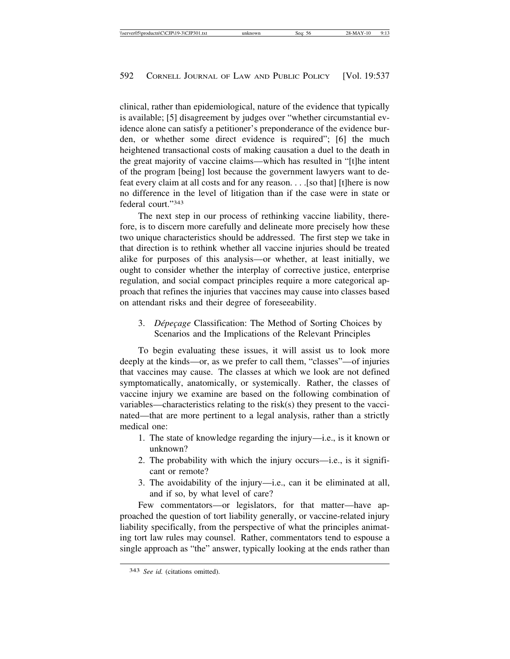clinical, rather than epidemiological, nature of the evidence that typically is available; [5] disagreement by judges over "whether circumstantial evidence alone can satisfy a petitioner's preponderance of the evidence burden, or whether some direct evidence is required"; [6] the much heightened transactional costs of making causation a duel to the death in the great majority of vaccine claims—which has resulted in "[t]he intent of the program [being] lost because the government lawyers want to defeat every claim at all costs and for any reason. . . .[so that] [t]here is now no difference in the level of litigation than if the case were in state or federal court."343

The next step in our process of rethinking vaccine liability, therefore, is to discern more carefully and delineate more precisely how these two unique characteristics should be addressed. The first step we take in that direction is to rethink whether all vaccine injuries should be treated alike for purposes of this analysis—or whether, at least initially, we ought to consider whether the interplay of corrective justice, enterprise regulation, and social compact principles require a more categorical approach that refines the injuries that vaccines may cause into classes based on attendant risks and their degree of foreseeability.

3. *Dépeçage* Classification: The Method of Sorting Choices by Scenarios and the Implications of the Relevant Principles

To begin evaluating these issues, it will assist us to look more deeply at the kinds—or, as we prefer to call them, "classes"—of injuries that vaccines may cause. The classes at which we look are not defined symptomatically, anatomically, or systemically. Rather, the classes of vaccine injury we examine are based on the following combination of variables—characteristics relating to the risk(s) they present to the vaccinated—that are more pertinent to a legal analysis, rather than a strictly medical one:

- 1. The state of knowledge regarding the injury—i.e., is it known or unknown?
- 2. The probability with which the injury occurs—i.e., is it significant or remote?
- 3. The avoidability of the injury—i.e., can it be eliminated at all, and if so, by what level of care?

Few commentators—or legislators, for that matter—have approached the question of tort liability generally, or vaccine-related injury liability specifically, from the perspective of what the principles animating tort law rules may counsel. Rather, commentators tend to espouse a single approach as "the" answer, typically looking at the ends rather than

<sup>343</sup> *See id.* (citations omitted).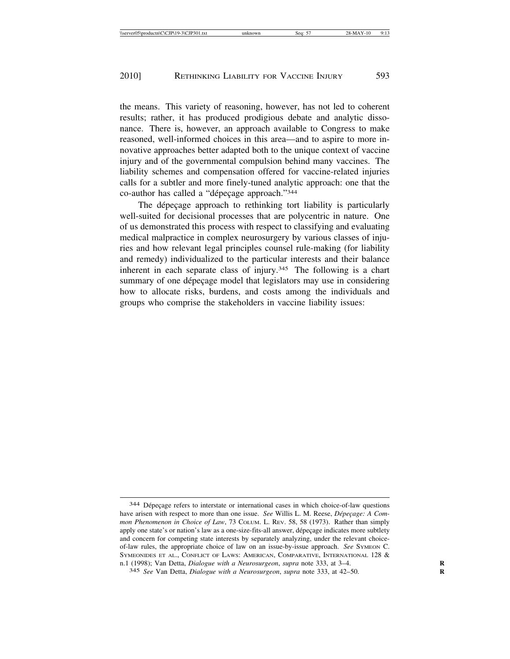the means. This variety of reasoning, however, has not led to coherent results; rather, it has produced prodigious debate and analytic dissonance. There is, however, an approach available to Congress to make reasoned, well-informed choices in this area—and to aspire to more innovative approaches better adapted both to the unique context of vaccine injury and of the governmental compulsion behind many vaccines. The liability schemes and compensation offered for vaccine-related injuries calls for a subtler and more finely-tuned analytic approach: one that the co-author has called a "dépeçage approach."344

The dépeçage approach to rethinking tort liability is particularly well-suited for decisional processes that are polycentric in nature. One of us demonstrated this process with respect to classifying and evaluating medical malpractice in complex neurosurgery by various classes of injuries and how relevant legal principles counsel rule-making (for liability and remedy) individualized to the particular interests and their balance inherent in each separate class of injury.<sup>345</sup> The following is a chart summary of one dépeçage model that legislators may use in considering how to allocate risks, burdens, and costs among the individuals and groups who comprise the stakeholders in vaccine liability issues:

<sup>344</sup> Dépeçage refers to interstate or international cases in which choice-of-law questions have arisen with respect to more than one issue. *See* Willis L. M. Reese, *Dépeçage: A Common Phenomenon in Choice of Law*, 73 COLUM. L. REV. 58, 58 (1973). Rather than simply apply one state's or nation's law as a one-size-fits-all answer, dépeçage indicates more subtlety and concern for competing state interests by separately analyzing, under the relevant choiceof-law rules, the appropriate choice of law on an issue-by-issue approach. *See* SYMEON C. SYMEONIDES ET AL., CONFLICT OF LAWS: AMERICAN, COMPARATIVE, INTERNATIONAL 128 & n.1 (1998); Van Detta, *Dialogue with a Neurosurgeon*, *supra* note 333, at 3–4. **R**

<sup>345</sup> *See* Van Detta, *Dialogue with a Neurosurgeon*, *supra* note 333, at 42–50. **R**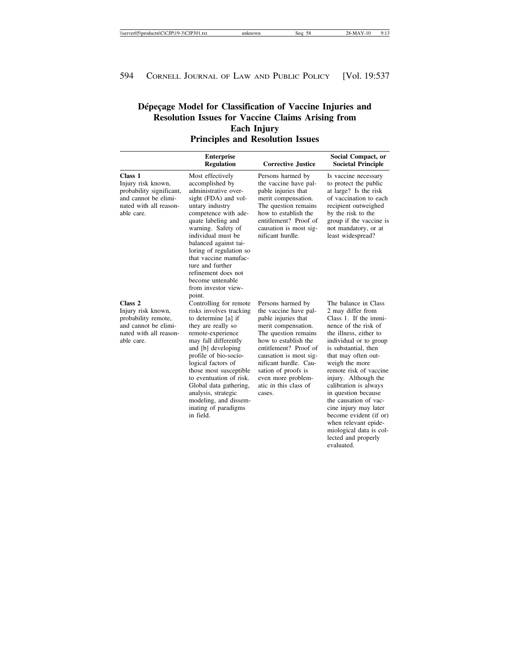# Dépeçage Model for Classification of Vaccine Injuries and **Resolution Issues for Vaccine Claims Arising from Each Injury Principles and Resolution Issues**

|                                                                                                                                 | <b>Enterprise</b><br><b>Regulation</b>                                                                                                                                                                                                                                                                                                                                               | <b>Corrective Justice</b>                                                                                                                                                                                                                                                                            | Social Compact, or<br><b>Societal Principle</b>                                                                                                                                                                                                                                                                                                                                                                                                                                       |
|---------------------------------------------------------------------------------------------------------------------------------|--------------------------------------------------------------------------------------------------------------------------------------------------------------------------------------------------------------------------------------------------------------------------------------------------------------------------------------------------------------------------------------|------------------------------------------------------------------------------------------------------------------------------------------------------------------------------------------------------------------------------------------------------------------------------------------------------|---------------------------------------------------------------------------------------------------------------------------------------------------------------------------------------------------------------------------------------------------------------------------------------------------------------------------------------------------------------------------------------------------------------------------------------------------------------------------------------|
| Class 1<br>Injury risk known,<br>probability significant,<br>and cannot be elimi-<br>nated with all reason-<br>able care.       | Most effectively<br>accomplished by<br>administrative over-<br>sight (FDA) and vol-<br>untary industry<br>competence with ade-<br>quate labeling and<br>warning. Safety of<br>individual must be<br>balanced against tai-<br>loring of regulation so<br>that vaccine manufac-<br>ture and further<br>refinement does not<br>become untenable<br>from investor view-<br>point.        | Persons harmed by<br>the vaccine have pal-<br>pable injuries that<br>merit compensation.<br>The question remains<br>how to establish the<br>entitlement? Proof of<br>causation is most sig-<br>nificant hurdle.                                                                                      | Is vaccine necessary<br>to protect the public<br>at large? Is the risk<br>of vaccination to each<br>recipient outweighed<br>by the risk to the<br>group if the vaccine is<br>not mandatory, or at<br>least widespread?                                                                                                                                                                                                                                                                |
| Class <sub>2</sub><br>Injury risk known,<br>probability remote,<br>and cannot be elimi-<br>nated with all reason-<br>able care. | Controlling for remote<br>risks involves tracking<br>to determine [a] if<br>they are really so<br>remote-experience<br>may fall differently<br>and [b] developing<br>profile of bio-socio-<br>logical factors of<br>those most susceptible<br>to eventuation of risk.<br>Global data gathering,<br>analysis, strategic<br>modeling, and dissem-<br>inating of paradigms<br>in field. | Persons harmed by<br>the vaccine have pal-<br>pable injuries that<br>merit compensation.<br>The question remains<br>how to establish the<br>entitlement? Proof of<br>causation is most sig-<br>nificant hurdle. Cau-<br>sation of proofs is<br>even more problem-<br>atic in this class of<br>cases. | The balance in Class<br>2 may differ from<br>Class 1. If the immi-<br>nence of the risk of<br>the illness, either to<br>individual or to group<br>is substantial, then<br>that may often out-<br>weigh the more<br>remote risk of vaccine<br>injury. Although the<br>calibration is always<br>in question because<br>the causation of vac-<br>cine injury may later<br>become evident (if or)<br>when relevant epide-<br>miological data is col-<br>lected and properly<br>evaluated. |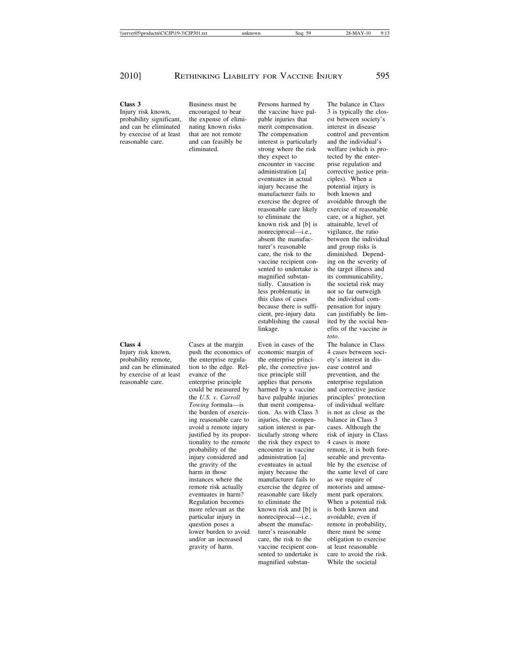probability significant, the expense of elimi-<br>
and can be eliminated nating known risks merit compensation. Interest in disease and can be eliminated nating known risks merit compensation.<br>by exercise of at least that are not remote The compensation by exercise of at least that are not remote The compensation control and prevention reasonable care. and can feasibly be interest is particularly and the individual's

**Class 3** Business must be Persons harmed by The balance in Class

Injury risk known, encouraged to bear the vaccine have pal- 3 is typically the closinterest is particularly eliminated. strong where the risk welfare (which is prothey expect to tected by the enterencounter in vaccine prise regulation and eventuates in actual ciples). When a injury because the potential injury is manufacturer fails to both known and exercise the degree of avoidable through the reasonable care likely exercise of reasonable to eliminate the care, or a higher, yet known risk and [b] is attainable, level of nonreciprocal—i.e., vigilance, the ratio<br>absent the manufac-<br>between the individendcare, the risk to the diminished. Dependvaccine recipient con- ing on the severity of sented to undertake is the target illness and<br>magnified substantities its communicability, tially. Causation is the societal risk may less problematic in not so far outweigh this class of cases the individual combecause there is suffi- pensation for injury cient, pre-injury data can justifiably be limlinkage. efits of the vaccine *in*

**Class 4** Cases at the margin Even in cases of the The balance in Class Injury risk known, push the economics of economic margin of 4 cases between soci-Injury risk known, push the economics of economic margin of 4 cases between soci-<br>probability remote, the enterprise regula-<br>the enterprise princi-<br>ety's interest in disprobability remote, the enterprise regula-<br>and can be eliminated tion to the edge. Rel-<br>ple, the corrective jus-<br>ase control and tion to the edge. Rel-<br>
ele, the corrective jus-<br>
ease control and<br>
the evention, and the<br>
exerction and the by exercise of at least evance of the tice principle still prevention, and the reasonable care. The enterprise principle applies that persons enterprise regulation enterprise principle applies that persons enterprise regulation could be measured by harmed by a vaccine and corrective justice could be measured by harmed by a vaccine and corrective justice<br>the U.S. v. Carroll have palpable injuries principles' protection have palpable injuries principles' protection<br>that merit compensa-<br>of individual welfare *Towing* formula—is that merit compensa- of individual welfare the burden of exercis- tion. As with Class 3 is not as close as the the burden of exercis-<br>tion. As with Class 3 is not as close as the reasonable care to injuries, the compen-<br>balance in Class 3 injuries, the compen-<br>sation interest is par-<br>cases. Although the justified by its propor- ticularly strong where risk of injury in Class tionality to the remote the risk they expect to 4 cases is more<br>probability of the encounter in vaccine remote, it is both injury considered and administration [a] seeable and preventathe gravity of the eventuates in actual ble by the exercise of harm in those injury because the the same level of care instances where the manufacturer fails to as we require of remote risk actually exercise the degree of motorists and amuseeventuates in harm? reasonable care likely ment park operators. Regulation becomes to eliminate the When a potential risk more relevant as the known risk and [b] is is both known and particular injury in ponreciprocal—i.e., avoidable, even if question poses a absent the manufac-<br>lower burden to avoid urer's reasonable there must be some and/or an increased care, the risk to the obligation to exercise gravity of harm. vaccine recipient con- at least reasonable magnified substan-

administration [a] corrective justice prinabsent the manufac-<br>turer's reasonable and group risks is and group risks is its communicability, establishing the causal ited by the social ben*toto*.

probability of the encounter in vaccine remote, it is both foresented to undertake is care to avoid the risk.<br>magnified substan-<br>While the societal

avoid a remote injury sation interest is parparticular injury in nonreciprocal—i.e., question poses a absent the manufaclower burden to avoid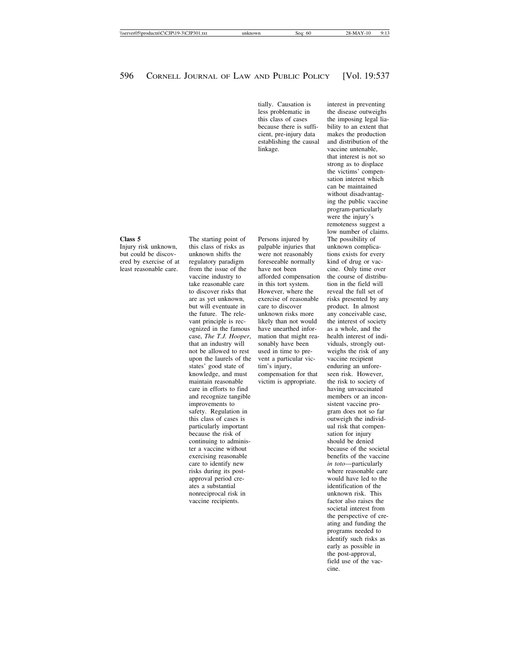less problematic in the disease outweighs cient, pre-injury data makes the production<br>establishing the causal and distribution of the establishing the causal linkage. vaccine untenable,

but could be discov- unknown shifts the were not reasonably tions exists for every ered by exercise of at regulatory paradigm foreseeable normally kind of drug or vac-<br>least reasonable care. from the issue of the have not been cine. Only time ove from the issue of the have not been cine. Only time over vaccine industry to afforded compensation the course of distribuvaccine industry to afforded compensation take reasonable care in this tort system. tion in the field will to discover risks that However, where the reveal the full set of but will eventuate in care to discover product. In almost the future. The rele- unknown risks more any conceivable case, vant principle is rec-<br>
likely than not would the interest of society<br>
ognized in the famous have unearthed infor- as a whole, and the ognized in the famous have unearthed inforcase, *The T.J. Hooper*, mation that might rea- health interest of indithat an industry will sonably have been viduals, strongly out-<br>not be allowed to rest used in time to pre- weighs the risk of an upon the laurels of the vent a particular vic-<br>states' good state of tim's injury, enduring an unfo states' good state of tim's injury, enduring an unforeknowledge, and must compensation for that seen risk. However, maintain reasonable victim is appropriate. the risk to society of care in efforts to find having unvaccinated and recognize tangible members or an inconimprovements to sistent vaccine prosafety. Regulation in gram does not so far this class of cases is outweigh the individparticularly important ual risk that compenbecause the risk of sation for injury<br>continuing to adminis-<br>should be denied exercising reasonable<br>
care to identify new the vaccine benefits of the vaccine<br>  $\frac{1}{2}$  in toto—particularly care to identify new risks during its post- where reasonable care approval period cre- would have led to the ates a substantial identification of the nonreciprocal risk in unknown risk. This vaccine recipients. **factor** also raises the

palpable injuries that unknown complicavictim is appropriate. the risk to society of

tially. Causation is interest in preventing this class of cases the imposing legal lia-<br>because there is suffi-<br>bility to an extent that bility to an extent that<br>makes the production that interest is not so strong as to displace the victims' compensation interest which can be maintained without disadvantaging the public vaccine program-particularly were the injury's remoteness suggest a low number of claims. **Class 5** The starting point of Persons injured by The possibility of Injury risk unknown, this class of risks as palpable injuries that unknown complic are as yet unknown, exercise of reasonable risks presented by any used in time to pre- weighs the risk of any continuing to adminis-<br>ter a vaccine without<br>ter a vaccine without<br>the should be denied because of the societal ter a vaccine without<br>
term is because of the societal<br>
benefits of the vaccine<br>
benefits of the vaccine societal interest from the perspective of creating and funding the programs needed to identify such risks as early as possible in the post-approval, field use of the vaccine.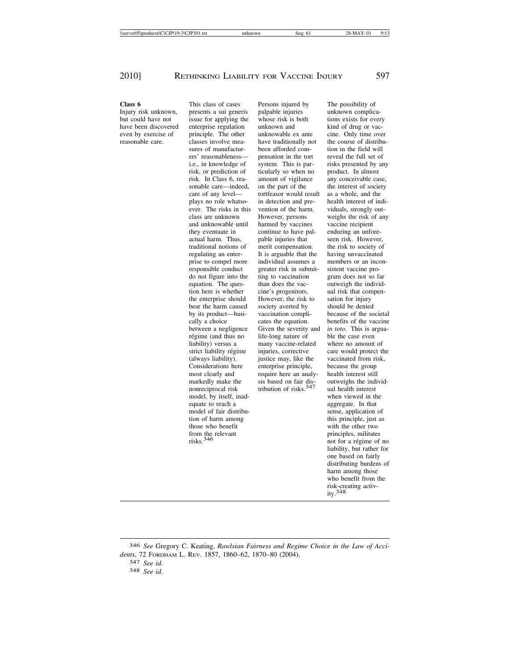even by exercise of principle. The other unknowable ex ante reasonable care. Classes involve mea-<br>have traditionally not actual harm. Thus, pable injuries that strict liability régime injuries, corrective<br>
(always liability). justice may, like the model, by itself, inad-<br>
when viewed in the equate to reach a series are a subset of the aggregate. In that model of fair distribu-<br>
sense, application of tion of harm among this principle, just as those who benefit with the other two from the relevant<br>risks.<sup>346</sup> principles, militates<br>not for a régime of

**Class 6** This class of cases Persons injured by The possibility of Injury risk unknown, presents a sui generis palpable injuries unknown complica-<br>but could have not issue for applying the whose risk is both tions exists for ever issue for applying the whose risk is both tions exists for every have been discovered enterprise regulation unknown and kind of drug or vac-<br>even by exercise of principle. The other unknowable ex ante cine. Only time over sures of manufactur- been afforded com- tion in the field will ers' reasonableness— pensation in the tort reveal the full set of i.e., in knowledge of system. This is par- risks presented by any risk, or prediction of ticularly so when no product. In almost risk. In Class 6, rea- amount of vigilance any conceivable case, sonable care—indeed, on the part of the the interest of society care of any level— tortfeasor would result as a whole, and the plays no role whatso- in detection and pre- health interest of indiever. The risks in this vention of the harm. viduals, strongly outclass are unknown However, persons weighs the risk of any and unknowable until harmed by vaccines vaccine recipient they eventuate in continue to have pal-<br>actual harm. Thus, pable injuries that seen risk. However, traditional notions of merit compensation. the risk to society of regulating an enter- It is arguable that the having unvaccinated prise to compel more individual assumes a members or an inconresponsible conduct greater risk in submit- sistent vaccine prodo not figure into the ting to vaccination gram does not so far equation. The ques- than does the vac- outweigh the individtion here is whether cine's progenitors. ual risk that compenthe enterprise should However, the risk to sation for injury bear the harm caused society averted by should be denied by its product—basi- vaccination compli- because of the societal cally a choice cates the equation. benefits of the vaccine between a negligence Given the severity and *in toto*. This is argua-<br>régime (and thus no life-long nature of ble the case even régime (and thus no life-long nature of ble the case even<br>liability) versus a many vaccine-related where no amount of liability) versus a many vaccine-related where no amount of strict liability régime injuries, corrective care would protect the justice may, like the vaccinated from risk, Considerations here enterprise principle, because the group most clearly and require here an analy-<br>markedly make the sis based on fair dis-<br>outweighs the indinonreciprocal risk tribution of risks. $347$  ual health interest

the course of distribuoutweighs the individnot for a régime of no liability, but rather for one based on fairly distributing burdens of harm among those who benefit from the risk-creating activ $ity.348$ 

346 *See* Gregory C. Keating, *Rawlsian Fairness and Regime Choice in the Law of Accidents*, 72 FORDHAM L. REV. 1857, 1860–62, 1870–80 (2004). <sup>347</sup> *See id.* <sup>348</sup> *See id.*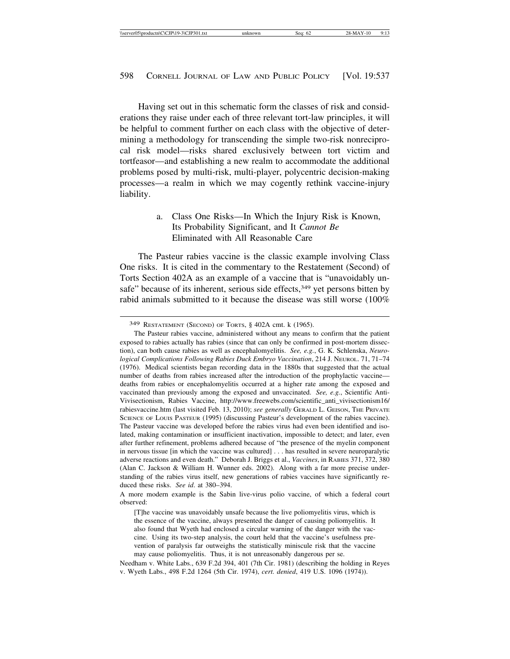Having set out in this schematic form the classes of risk and considerations they raise under each of three relevant tort-law principles, it will be helpful to comment further on each class with the objective of determining a methodology for transcending the simple two-risk nonreciprocal risk model—risks shared exclusively between tort victim and tortfeasor—and establishing a new realm to accommodate the additional problems posed by multi-risk, multi-player, polycentric decision-making processes—a realm in which we may cogently rethink vaccine-injury liability.

# a. Class One Risks—In Which the Injury Risk is Known, Its Probability Significant, and It *Cannot Be* Eliminated with All Reasonable Care

The Pasteur rabies vaccine is the classic example involving Class One risks. It is cited in the commentary to the Restatement (Second) of Torts Section 402A as an example of a vaccine that is "unavoidably unsafe" because of its inherent, serious side effects,<sup>349</sup> yet persons bitten by rabid animals submitted to it because the disease was still worse (100%

A more modern example is the Sabin live-virus polio vaccine, of which a federal court observed:

[T]he vaccine was unavoidably unsafe because the live poliomyelitis virus, which is the essence of the vaccine, always presented the danger of causing poliomyelitis. It also found that Wyeth had enclosed a circular warning of the danger with the vaccine. Using its two-step analysis, the court held that the vaccine's usefulness prevention of paralysis far outweighs the statistically miniscule risk that the vaccine may cause poliomyelitis. Thus, it is not unreasonably dangerous per se.

Needham v. White Labs., 639 F.2d 394, 401 (7th Cir. 1981) (describing the holding in Reyes v. Wyeth Labs., 498 F.2d 1264 (5th Cir. 1974), *cert. denied*, 419 U.S. 1096 (1974)).

<sup>349</sup> RESTATEMENT (SECOND) OF TORTS, § 402A cmt. k (1965).

The Pasteur rabies vaccine, administered without any means to confirm that the patient exposed to rabies actually has rabies (since that can only be confirmed in post-mortem dissection), can both cause rabies as well as encephalomyelitis. *See, e.g.*, G. K. Schlenska, *Neurological Complications Following Rabies Duck Embryo Vaccination*, 214 J. NEUROL. 71, 71–74 (1976). Medical scientists began recording data in the 1880s that suggested that the actual number of deaths from rabies increased after the introduction of the prophylactic vaccine deaths from rabies or encephalomyelitis occurred at a higher rate among the exposed and vaccinated than previously among the exposed and unvaccinated. *See, e.g.*, Scientific Anti-Vivisectionism, Rabies Vaccine, http://www.freewebs.com/scientific\_anti\_vivisectionism16/ rabiesvaccine.htm (last visited Feb. 13, 2010); *see generally* GERALD L. GEISON, THE PRIVATE SCIENCE OF LOUIS PASTEUR (1995) (discussing Pasteur's development of the rabies vaccine). The Pasteur vaccine was developed before the rabies virus had even been identified and isolated, making contamination or insufficient inactivation, impossible to detect; and later, even after further refinement, problems adhered because of "the presence of the myelin component in nervous tissue [in which the vaccine was cultured] . . . has resulted in severe neuroparalytic adverse reactions and even death." Deborah J. Briggs et al., *Vaccines*, in RABIES 371, 372, 380 (Alan C. Jackson & William H. Wunner eds. 2002). Along with a far more precise understanding of the rabies virus itself, new generations of rabies vaccines have significantly reduced these risks. *See id*. at 380–394.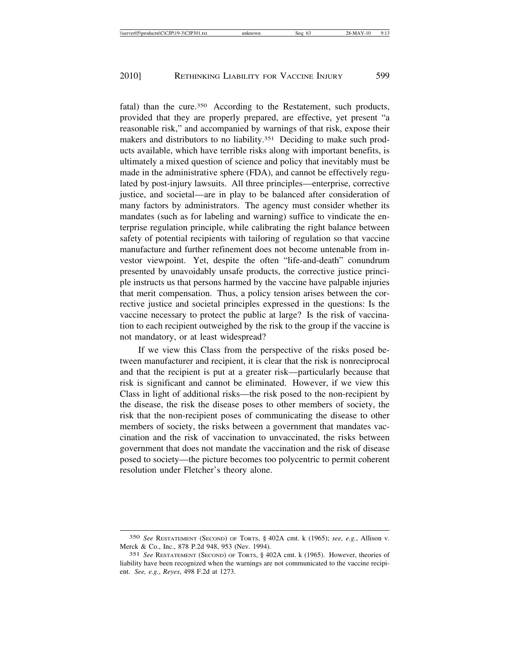fatal) than the cure.<sup>350</sup> According to the Restatement, such products, provided that they are properly prepared, are effective, yet present "a reasonable risk," and accompanied by warnings of that risk, expose their makers and distributors to no liability.<sup>351</sup> Deciding to make such products available, which have terrible risks along with important benefits, is ultimately a mixed question of science and policy that inevitably must be made in the administrative sphere (FDA), and cannot be effectively regulated by post-injury lawsuits. All three principles—enterprise, corrective justice, and societal—are in play to be balanced after consideration of many factors by administrators. The agency must consider whether its mandates (such as for labeling and warning) suffice to vindicate the enterprise regulation principle, while calibrating the right balance between safety of potential recipients with tailoring of regulation so that vaccine manufacture and further refinement does not become untenable from investor viewpoint. Yet, despite the often "life-and-death" conundrum presented by unavoidably unsafe products, the corrective justice principle instructs us that persons harmed by the vaccine have palpable injuries that merit compensation. Thus, a policy tension arises between the corrective justice and societal principles expressed in the questions: Is the vaccine necessary to protect the public at large? Is the risk of vaccination to each recipient outweighed by the risk to the group if the vaccine is not mandatory, or at least widespread?

If we view this Class from the perspective of the risks posed between manufacturer and recipient, it is clear that the risk is nonreciprocal and that the recipient is put at a greater risk—particularly because that risk is significant and cannot be eliminated. However, if we view this Class in light of additional risks—the risk posed to the non-recipient by the disease, the risk the disease poses to other members of society, the risk that the non-recipient poses of communicating the disease to other members of society, the risks between a government that mandates vaccination and the risk of vaccination to unvaccinated, the risks between government that does not mandate the vaccination and the risk of disease posed to society—the picture becomes too polycentric to permit coherent resolution under Fletcher's theory alone.

<sup>350</sup> *See* RESTATEMENT (SECOND) OF TORTS, § 402A cmt. k (1965); *see, e.g.*, Allison v. Merck & Co., Inc., 878 P.2d 948, 953 (Nev. 1994).

<sup>351</sup> *See* RESTATEMENT (SECOND) OF TORTS, § 402A cmt. k (1965). However, theories of liability have been recognized when the warnings are not communicated to the vaccine recipient. *See, e.g.*, *Reyes*, 498 F.2d at 1273.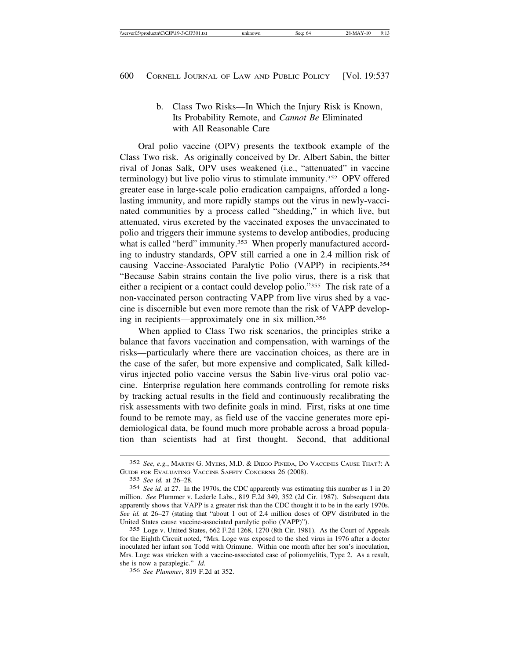# b. Class Two Risks—In Which the Injury Risk is Known, Its Probability Remote, and *Cannot Be* Eliminated with All Reasonable Care

Oral polio vaccine (OPV) presents the textbook example of the Class Two risk. As originally conceived by Dr. Albert Sabin, the bitter rival of Jonas Salk, OPV uses weakened (i.e., "attenuated" in vaccine terminology) but live polio virus to stimulate immunity.352 OPV offered greater ease in large-scale polio eradication campaigns, afforded a longlasting immunity, and more rapidly stamps out the virus in newly-vaccinated communities by a process called "shedding," in which live, but attenuated, virus excreted by the vaccinated exposes the unvaccinated to polio and triggers their immune systems to develop antibodies, producing what is called "herd" immunity.<sup>353</sup> When properly manufactured according to industry standards, OPV still carried a one in 2.4 million risk of causing Vaccine-Associated Paralytic Polio (VAPP) in recipients.354 "Because Sabin strains contain the live polio virus, there is a risk that either a recipient or a contact could develop polio."355 The risk rate of a non-vaccinated person contracting VAPP from live virus shed by a vaccine is discernible but even more remote than the risk of VAPP developing in recipients—approximately one in six million.356

When applied to Class Two risk scenarios, the principles strike a balance that favors vaccination and compensation, with warnings of the risks—particularly where there are vaccination choices, as there are in the case of the safer, but more expensive and complicated, Salk killedvirus injected polio vaccine versus the Sabin live-virus oral polio vaccine. Enterprise regulation here commands controlling for remote risks by tracking actual results in the field and continuously recalibrating the risk assessments with two definite goals in mind. First, risks at one time found to be remote may, as field use of the vaccine generates more epidemiological data, be found much more probable across a broad population than scientists had at first thought. Second, that additional

<sup>352</sup> *See, e.g.*, MARTIN G. MYERS, M.D. & DIEGO PINEDA, DO VACCINES CAUSE THAT?: A GUIDE FOR EVALUATING VACCINE SAFETY CONCERNS 26 (2008).

<sup>353</sup> *See id.* at 26–28.

<sup>354</sup> *See id.* at 27. In the 1970s, the CDC apparently was estimating this number as 1 in 20 million. *See* Plummer v. Lederle Labs., 819 F.2d 349, 352 (2d Cir. 1987). Subsequent data apparently shows that VAPP is a greater risk than the CDC thought it to be in the early 1970s. *See id.* at 26–27 (stating that "about 1 out of 2.4 million doses of OPV distributed in the United States cause vaccine-associated paralytic polio (VAPP)").

<sup>355</sup> Loge v. United States, 662 F.2d 1268, 1270 (8th Cir. 1981). As the Court of Appeals for the Eighth Circuit noted, "Mrs. Loge was exposed to the shed virus in 1976 after a doctor inoculated her infant son Todd with Orimune. Within one month after her son's inoculation, Mrs. Loge was stricken with a vaccine-associated case of poliomyelitis, Type 2. As a result, she is now a paraplegic." *Id.*

<sup>356</sup> *See Plummer*, 819 F.2d at 352.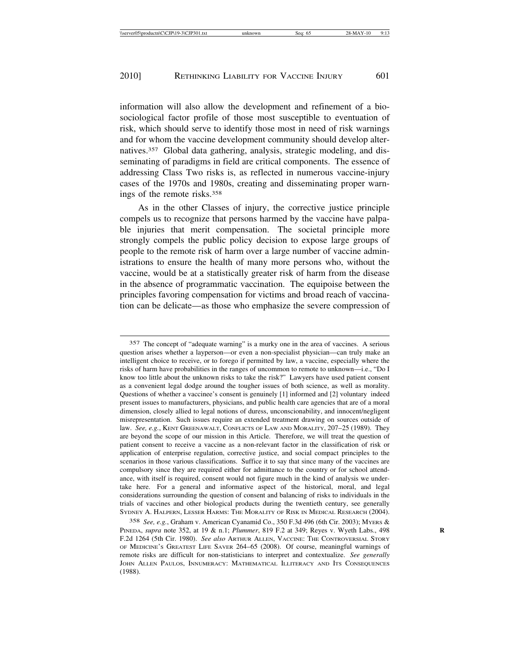information will also allow the development and refinement of a biosociological factor profile of those most susceptible to eventuation of risk, which should serve to identify those most in need of risk warnings and for whom the vaccine development community should develop alternatives.357 Global data gathering, analysis, strategic modeling, and disseminating of paradigms in field are critical components. The essence of addressing Class Two risks is, as reflected in numerous vaccine-injury cases of the 1970s and 1980s, creating and disseminating proper warnings of the remote risks.358

As in the other Classes of injury, the corrective justice principle compels us to recognize that persons harmed by the vaccine have palpable injuries that merit compensation. The societal principle more strongly compels the public policy decision to expose large groups of people to the remote risk of harm over a large number of vaccine administrations to ensure the health of many more persons who, without the vaccine, would be at a statistically greater risk of harm from the disease in the absence of programmatic vaccination. The equipoise between the principles favoring compensation for victims and broad reach of vaccination can be delicate—as those who emphasize the severe compression of

358 *See, e.g.*, Graham v. American Cyanamid Co., 350 F.3d 496 (6th Cir. 2003); MYERS & PINEDA, *supra* note 352, at 19 & n.1; *Plummer*, 819 F.2 at 349; Reyes v. Wyeth Labs., 498 **R** F.2d 1264 (5th Cir. 1980). *See also* ARTHUR ALLEN, VACCINE: THE CONTROVERSIAL STORY OF MEDICINE'S GREATEST LIFE SAVER 264–65 (2008). Of course, meaningful warnings of remote risks are difficult for non-statisticians to interpret and contextualize. *See generally* JOHN ALLEN PAULOS, INNUMERACY: MATHEMATICAL ILLITERACY AND ITS CONSEQUENCES (1988).

<sup>357</sup> The concept of "adequate warning" is a murky one in the area of vaccines. A serious question arises whether a layperson—or even a non-specialist physician—can truly make an intelligent choice to receive, or to forego if permitted by law, a vaccine, especially where the risks of harm have probabilities in the ranges of uncommon to remote to unknown—i.e., "Do I know too little about the unknown risks to take the risk?" Lawyers have used patient consent as a convenient legal dodge around the tougher issues of both science, as well as morality. Questions of whether a vaccinee's consent is genuinely [1] informed and [2] voluntary indeed present issues to manufacturers, physicians, and public health care agencies that are of a moral dimension, closely allied to legal notions of duress, unconscionability, and innocent/negligent misrepresentation. Such issues require an extended treatment drawing on sources outside of law. *See, e.g.*, KENT GREENAWALT, CONFLICTS OF LAW AND MORALITY, 207–25 (1989). They are beyond the scope of our mission in this Article. Therefore, we will treat the question of patient consent to receive a vaccine as a non-relevant factor in the classification of risk or application of enterprise regulation, corrective justice, and social compact principles to the scenarios in those various classifications. Suffice it to say that since many of the vaccines are compulsory since they are required either for admittance to the country or for school attendance, with itself is required, consent would not figure much in the kind of analysis we undertake here. For a general and informative aspect of the historical, moral, and legal considerations surrounding the question of consent and balancing of risks to individuals in the trials of vaccines and other biological products during the twentieth century, see generally SYDNEY A. HALPERN, LESSER HARMS: THE MORALITY OF RISK IN MEDICAL RESEARCH (2004).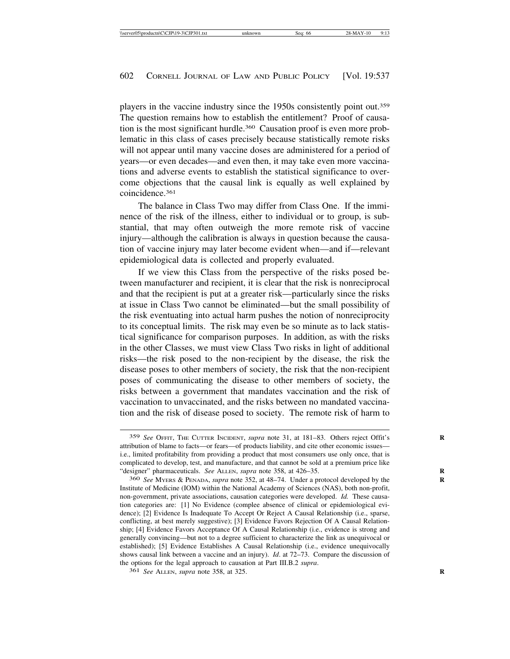players in the vaccine industry since the 1950s consistently point out.359 The question remains how to establish the entitlement? Proof of causation is the most significant hurdle.360 Causation proof is even more problematic in this class of cases precisely because statistically remote risks will not appear until many vaccine doses are administered for a period of years—or even decades—and even then, it may take even more vaccinations and adverse events to establish the statistical significance to overcome objections that the causal link is equally as well explained by coincidence.361

The balance in Class Two may differ from Class One. If the imminence of the risk of the illness, either to individual or to group, is substantial, that may often outweigh the more remote risk of vaccine injury—although the calibration is always in question because the causation of vaccine injury may later become evident when—and if—relevant epidemiological data is collected and properly evaluated.

If we view this Class from the perspective of the risks posed between manufacturer and recipient, it is clear that the risk is nonreciprocal and that the recipient is put at a greater risk—particularly since the risks at issue in Class Two cannot be eliminated—but the small possibility of the risk eventuating into actual harm pushes the notion of nonreciprocity to its conceptual limits. The risk may even be so minute as to lack statistical significance for comparison purposes. In addition, as with the risks in the other Classes, we must view Class Two risks in light of additional risks—the risk posed to the non-recipient by the disease, the risk the disease poses to other members of society, the risk that the non-recipient poses of communicating the disease to other members of society, the risks between a government that mandates vaccination and the risk of vaccination to unvaccinated, and the risks between no mandated vaccination and the risk of disease posed to society. The remote risk of harm to

<sup>359</sup> *See* OFFIT, THE CUTTER INCIDENT, *supra* note 31, at 181–83. Others reject Offit's **R** attribution of blame to facts—or fears—of products liability, and cite other economic issues i.e., limited profitability from providing a product that most consumers use only once, that is complicated to develop, test, and manufacture, and that cannot be sold at a premium price like "designer" pharmaceuticals. *See* ALLEN, *supra* note 358, at 426-35.

<sup>360</sup> *See* MYERS & PENADA, *supra* note 352, at 48–74. Under a protocol developed by the **R** Institute of Medicine (IOM) within the National Academy of Sciences (NAS), both non-profit, non-government, private associations, causation categories were developed. *Id.* These causation categories are: [1] No Evidence (complee absence of clinical or epidemiological evidence); [2] Evidence Is Inadequate To Accept Or Reject A Causal Relationship (i.e., sparse, conflicting, at best merely suggestive); [3] Evidence Favors Rejection Of A Causal Relationship; [4] Evidence Favors Acceptance Of A Causal Relationship (i.e., evidence is strong and generally convincing—but not to a degree sufficient to characterize the link as unequivocal or established); [5] Evidence Establishes A Causal Relationship (i.e., evidence unequivocally shows causal link between a vaccine and an injury). *Id*. at 72–73. Compare the discussion of the options for the legal approach to causation at Part III.B.2 *supra*.

<sup>361</sup> *See* ALLEN, *supra* note 358, at 325. **R**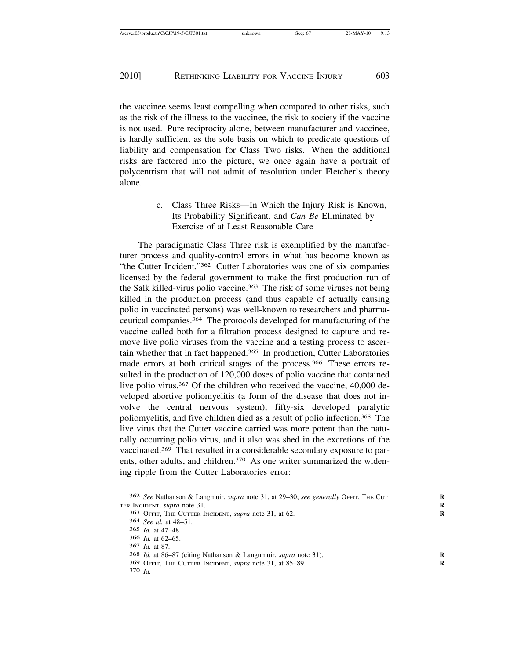the vaccinee seems least compelling when compared to other risks, such as the risk of the illness to the vaccinee, the risk to society if the vaccine is not used. Pure reciprocity alone, between manufacturer and vaccinee, is hardly sufficient as the sole basis on which to predicate questions of liability and compensation for Class Two risks. When the additional risks are factored into the picture, we once again have a portrait of polycentrism that will not admit of resolution under Fletcher's theory alone.

> c. Class Three Risks—In Which the Injury Risk is Known, Its Probability Significant, and *Can Be* Eliminated by Exercise of at Least Reasonable Care

The paradigmatic Class Three risk is exemplified by the manufacturer process and quality-control errors in what has become known as "the Cutter Incident."362 Cutter Laboratories was one of six companies licensed by the federal government to make the first production run of the Salk killed-virus polio vaccine.<sup>363</sup> The risk of some viruses not being killed in the production process (and thus capable of actually causing polio in vaccinated persons) was well-known to researchers and pharmaceutical companies.364 The protocols developed for manufacturing of the vaccine called both for a filtration process designed to capture and remove live polio viruses from the vaccine and a testing process to ascertain whether that in fact happened.365 In production, Cutter Laboratories made errors at both critical stages of the process.<sup>366</sup> These errors resulted in the production of 120,000 doses of polio vaccine that contained live polio virus.<sup>367</sup> Of the children who received the vaccine, 40,000 developed abortive poliomyelitis (a form of the disease that does not involve the central nervous system), fifty-six developed paralytic poliomyelitis, and five children died as a result of polio infection.368 The live virus that the Cutter vaccine carried was more potent than the naturally occurring polio virus, and it also was shed in the excretions of the vaccinated.369 That resulted in a considerable secondary exposure to parents, other adults, and children.<sup>370</sup> As one writer summarized the widening ripple from the Cutter Laboratories error:

<sup>362</sup> *See* Nathanson & Langmuir, *supra* note 31, at 29–30; *see generally* OFFIT, THE CUT- **R** TER INCIDENT, *supra* note 31. **R**

<sup>363</sup> OFFIT, THE CUTTER INCIDENT, *supra* note 31, at 62. **R**

<sup>364</sup> *See id.* at 48–51.

<sup>365</sup> *Id.* at 47–48.

<sup>366</sup> *Id.* at 62–65.

<sup>367</sup> *Id.* at 87.

<sup>368</sup> *Id.* at 86–87 (citing Nathanson & Langumuir, *supra* note 31). **R**

<sup>369</sup> OFFIT, THE CUTTER INCIDENT, *supra* note 31, at 85–89. **R**

<sup>370</sup> *Id.*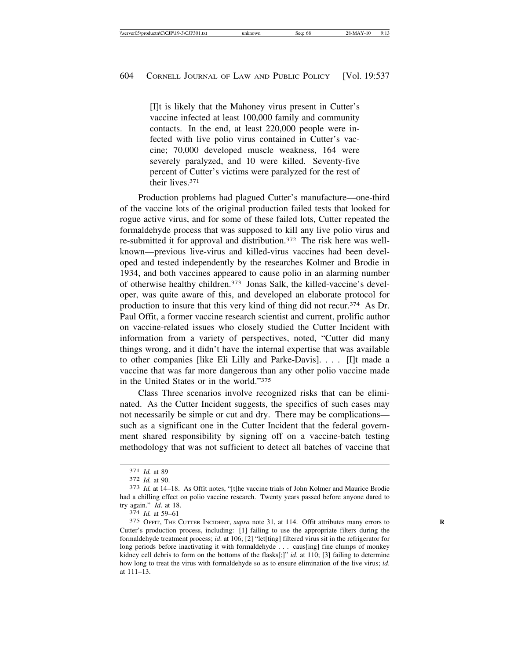[I]t is likely that the Mahoney virus present in Cutter's vaccine infected at least 100,000 family and community contacts. In the end, at least 220,000 people were infected with live polio virus contained in Cutter's vaccine; 70,000 developed muscle weakness, 164 were severely paralyzed, and 10 were killed. Seventy-five percent of Cutter's victims were paralyzed for the rest of their lives.371

Production problems had plagued Cutter's manufacture—one-third of the vaccine lots of the original production failed tests that looked for rogue active virus, and for some of these failed lots, Cutter repeated the formaldehyde process that was supposed to kill any live polio virus and re-submitted it for approval and distribution.372 The risk here was wellknown—previous live-virus and killed-virus vaccines had been developed and tested independently by the researches Kolmer and Brodie in 1934, and both vaccines appeared to cause polio in an alarming number of otherwise healthy children.373 Jonas Salk, the killed-vaccine's developer, was quite aware of this, and developed an elaborate protocol for production to insure that this very kind of thing did not recur.374 As Dr. Paul Offit, a former vaccine research scientist and current, prolific author on vaccine-related issues who closely studied the Cutter Incident with information from a variety of perspectives, noted, "Cutter did many things wrong, and it didn't have the internal expertise that was available to other companies [like Eli Lilly and Parke-Davis]. . . . [I]t made a vaccine that was far more dangerous than any other polio vaccine made in the United States or in the world."375

Class Three scenarios involve recognized risks that can be eliminated. As the Cutter Incident suggests, the specifics of such cases may not necessarily be simple or cut and dry. There may be complications such as a significant one in the Cutter Incident that the federal government shared responsibility by signing off on a vaccine-batch testing methodology that was not sufficient to detect all batches of vaccine that

<sup>371</sup> *Id.* at 89 <sup>372</sup> *Id.* at 90. <sup>373</sup> *Id.* at 14–18. As Offit notes, "[t]he vaccine trials of John Kolmer and Maurice Brodie had a chilling effect on polio vaccine research. Twenty years passed before anyone dared to try again." *Id*. at 18. <sup>374</sup> *Id.* at 59–61

<sup>375</sup> OFFIT, THE CUTTER INCIDENT, *supra* note 31, at 114. Offit attributes many errors to **R** Cutter's production process, including: [1] failing to use the appropriate filters during the formaldehyde treatment process; *id.* at 106; [2] "let[ting] filtered virus sit in the refrigerator for long periods before inactivating it with formaldehyde . . . caus[ing] fine clumps of monkey kidney cell debris to form on the bottoms of the flasks[;]" *id*. at 110; [3] failing to determine how long to treat the virus with formaldehyde so as to ensure elimination of the live virus; *id*. at 111–13.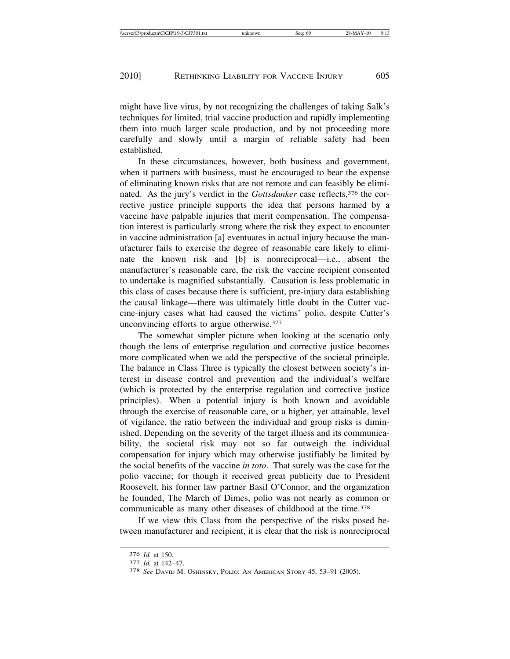might have live virus, by not recognizing the challenges of taking Salk's techniques for limited, trial vaccine production and rapidly implementing them into much larger scale production, and by not proceeding more carefully and slowly until a margin of reliable safety had been established.

In these circumstances, however, both business and government, when it partners with business, must be encouraged to bear the expense of eliminating known risks that are not remote and can feasibly be eliminated. As the jury's verdict in the *Gottsdanker* case reflects,<sup>376</sup> the corrective justice principle supports the idea that persons harmed by a vaccine have palpable injuries that merit compensation. The compensation interest is particularly strong where the risk they expect to encounter in vaccine administration [a] eventuates in actual injury because the manufacturer fails to exercise the degree of reasonable care likely to eliminate the known risk and [b] is nonreciprocal—i.e., absent the manufacturer's reasonable care, the risk the vaccine recipient consented to undertake is magnified substantially. Causation is less problematic in this class of cases because there is sufficient, pre-injury data establishing the causal linkage—there was ultimately little doubt in the Cutter vaccine-injury cases what had caused the victims' polio, despite Cutter's unconvincing efforts to argue otherwise.377

The somewhat simpler picture when looking at the scenario only though the lens of enterprise regulation and corrective justice becomes more complicated when we add the perspective of the societal principle. The balance in Class Three is typically the closest between society's interest in disease control and prevention and the individual's welfare (which is protected by the enterprise regulation and corrective justice principles). When a potential injury is both known and avoidable through the exercise of reasonable care, or a higher, yet attainable, level of vigilance, the ratio between the individual and group risks is diminished. Depending on the severity of the target illness and its communicability, the societal risk may not so far outweigh the individual compensation for injury which may otherwise justifiably be limited by the social benefits of the vaccine *in toto*. That surely was the case for the polio vaccine; for though it received great publicity due to President Roosevelt, his former law partner Basil O'Connor, and the organization he founded, The March of Dimes, polio was not nearly as common or communicable as many other diseases of childhood at the time.378

If we view this Class from the perspective of the risks posed between manufacturer and recipient, it is clear that the risk is nonreciprocal

<sup>376</sup> *Id.* at 150. <sup>377</sup> *Id.* at 142–47. <sup>378</sup> *See* DAVID M. OSHINSKY, POLIO: AN AMERICAN STORY 45, 53–91 (2005).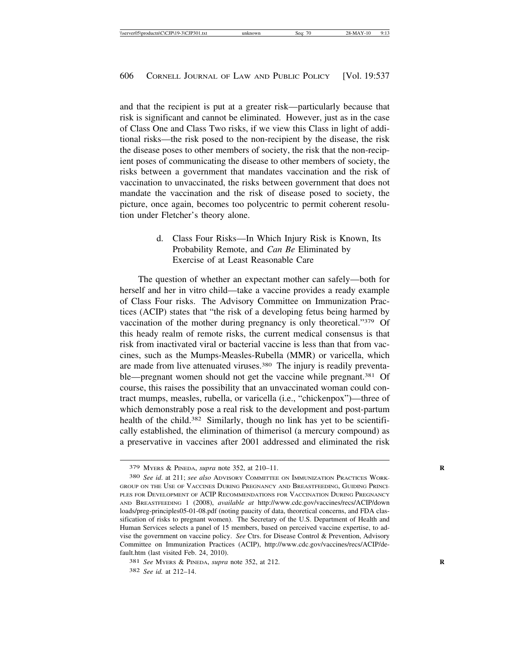and that the recipient is put at a greater risk—particularly because that risk is significant and cannot be eliminated. However, just as in the case of Class One and Class Two risks, if we view this Class in light of additional risks—the risk posed to the non-recipient by the disease, the risk the disease poses to other members of society, the risk that the non-recipient poses of communicating the disease to other members of society, the risks between a government that mandates vaccination and the risk of vaccination to unvaccinated, the risks between government that does not mandate the vaccination and the risk of disease posed to society, the picture, once again, becomes too polycentric to permit coherent resolution under Fletcher's theory alone.

# d. Class Four Risks—In Which Injury Risk is Known, Its Probability Remote, and *Can Be* Eliminated by Exercise of at Least Reasonable Care

The question of whether an expectant mother can safely—both for herself and her in vitro child—take a vaccine provides a ready example of Class Four risks. The Advisory Committee on Immunization Practices (ACIP) states that "the risk of a developing fetus being harmed by vaccination of the mother during pregnancy is only theoretical."379 Of this heady realm of remote risks, the current medical consensus is that risk from inactivated viral or bacterial vaccine is less than that from vaccines, such as the Mumps-Measles-Rubella (MMR) or varicella, which are made from live attenuated viruses.380 The injury is readily preventable—pregnant women should not get the vaccine while pregnant.<sup>381</sup> Of course, this raises the possibility that an unvaccinated woman could contract mumps, measles, rubella, or varicella (i.e., "chickenpox")—three of which demonstrably pose a real risk to the development and post-partum health of the child.<sup>382</sup> Similarly, though no link has yet to be scientifically established, the elimination of thimerisol (a mercury compound) as a preservative in vaccines after 2001 addressed and eliminated the risk

<sup>379</sup> MYERS & PINEDA, *supra* note 352, at 210–11. **R**

<sup>380</sup> *See id*. at 211; *see also* ADVISORY COMMITTEE ON IMMUNIZATION PRACTICES WORK-GROUP ON THE USE OF VACCINES DURING PREGNANCY AND BREASTFEEDING, GUIDING PRINCI-PLES FOR DEVELOPMENT OF ACIP RECOMMENDATIONS FOR VACCINATION DURING PREGNANCY AND BREASTFEEDING 1 (2008), *available at* http://www.cdc.gov/vaccines/recs/ACIP/down loads/preg-principles05-01-08.pdf (noting paucity of data, theoretical concerns, and FDA classification of risks to pregnant women). The Secretary of the U.S. Department of Health and Human Services selects a panel of 15 members, based on perceived vaccine expertise, to advise the government on vaccine policy. *See* Ctrs. for Disease Control & Prevention, Advisory Committee on Immunization Practices (ACIP), http://www.cdc.gov/vaccines/recs/ACIP/default.htm (last visited Feb. 24, 2010).

<sup>381</sup> *See* MYERS & PINEDA, *supra* note 352, at 212. **R**

<sup>382</sup> *See id.* at 212–14.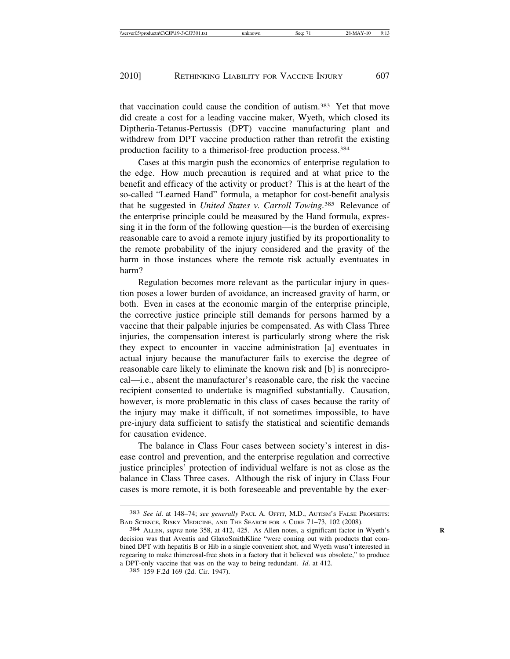that vaccination could cause the condition of autism.383 Yet that move did create a cost for a leading vaccine maker, Wyeth, which closed its Diptheria-Tetanus-Pertussis (DPT) vaccine manufacturing plant and withdrew from DPT vaccine production rather than retrofit the existing production facility to a thimerisol-free production process.384

Cases at this margin push the economics of enterprise regulation to the edge. How much precaution is required and at what price to the benefit and efficacy of the activity or product? This is at the heart of the so-called "Learned Hand" formula, a metaphor for cost-benefit analysis that he suggested in *United States v. Carroll Towing.*385 Relevance of the enterprise principle could be measured by the Hand formula, expressing it in the form of the following question—is the burden of exercising reasonable care to avoid a remote injury justified by its proportionality to the remote probability of the injury considered and the gravity of the harm in those instances where the remote risk actually eventuates in harm?

Regulation becomes more relevant as the particular injury in question poses a lower burden of avoidance, an increased gravity of harm, or both. Even in cases at the economic margin of the enterprise principle, the corrective justice principle still demands for persons harmed by a vaccine that their palpable injuries be compensated. As with Class Three injuries, the compensation interest is particularly strong where the risk they expect to encounter in vaccine administration [a] eventuates in actual injury because the manufacturer fails to exercise the degree of reasonable care likely to eliminate the known risk and [b] is nonreciprocal—i.e., absent the manufacturer's reasonable care, the risk the vaccine recipient consented to undertake is magnified substantially. Causation, however, is more problematic in this class of cases because the rarity of the injury may make it difficult, if not sometimes impossible, to have pre-injury data sufficient to satisfy the statistical and scientific demands for causation evidence.

The balance in Class Four cases between society's interest in disease control and prevention, and the enterprise regulation and corrective justice principles' protection of individual welfare is not as close as the balance in Class Three cases. Although the risk of injury in Class Four cases is more remote, it is both foreseeable and preventable by the exer-

<sup>383</sup> *See id*. at 148–74; *see generally* PAUL A. OFFIT, M.D., AUTISM'S FALSE PROPHETS: BAD SCIENCE, RISKY MEDICINE, AND THE SEARCH FOR A CURE 71–73, 102 (2008). <sup>384</sup> ALLEN, *supra* note 358, at 412, 425. As Allen notes, a significant factor in Wyeth's **<sup>R</sup>**

decision was that Aventis and GlaxoSmithKline "were coming out with products that combined DPT with hepatitis B or Hib in a single convenient shot, and Wyeth wasn't interested in regearing to make thimerosal-free shots in a factory that it believed was obsolete," to produce a DPT-only vaccine that was on the way to being redundant. *Id*. at 412.

<sup>385</sup> 159 F.2d 169 (2d. Cir. 1947).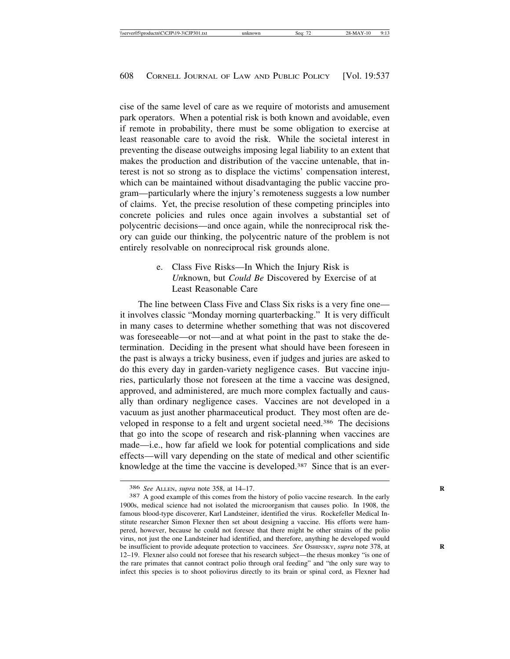cise of the same level of care as we require of motorists and amusement park operators. When a potential risk is both known and avoidable, even if remote in probability, there must be some obligation to exercise at least reasonable care to avoid the risk. While the societal interest in preventing the disease outweighs imposing legal liability to an extent that makes the production and distribution of the vaccine untenable, that interest is not so strong as to displace the victims' compensation interest, which can be maintained without disadvantaging the public vaccine program—particularly where the injury's remoteness suggests a low number of claims. Yet, the precise resolution of these competing principles into concrete policies and rules once again involves a substantial set of polycentric decisions—and once again, while the nonreciprocal risk theory can guide our thinking, the polycentric nature of the problem is not entirely resolvable on nonreciprocal risk grounds alone.

> e. Class Five Risks—In Which the Injury Risk is *Un*known, but *Could Be* Discovered by Exercise of at Least Reasonable Care

The line between Class Five and Class Six risks is a very fine one it involves classic "Monday morning quarterbacking." It is very difficult in many cases to determine whether something that was not discovered was foreseeable—or not—and at what point in the past to stake the determination. Deciding in the present what should have been foreseen in the past is always a tricky business, even if judges and juries are asked to do this every day in garden-variety negligence cases. But vaccine injuries, particularly those not foreseen at the time a vaccine was designed, approved, and administered, are much more complex factually and causally than ordinary negligence cases. Vaccines are not developed in a vacuum as just another pharmaceutical product. They most often are developed in response to a felt and urgent societal need.386 The decisions that go into the scope of research and risk-planning when vaccines are made—i.e., how far afield we look for potential complications and side effects—will vary depending on the state of medical and other scientific knowledge at the time the vaccine is developed.387 Since that is an ever-

<sup>386</sup> *See* ALLEN, *supra* note 358, at 14–17. **R**

<sup>387</sup> A good example of this comes from the history of polio vaccine research. In the early 1900s, medical science had not isolated the microorganism that causes polio. In 1908, the famous blood-type discoverer, Karl Landsteiner, identified the virus. Rockefeller Medical Institute researcher Simon Flexner then set about designing a vaccine. His efforts were hampered, however, because he could not foresee that there might be other strains of the polio virus, not just the one Landsteiner had identified, and therefore, anything he developed would be insufficient to provide adequate protection to vaccinees. *See* OSHINSKY, *supra* note 378, at 12–19. Flexner also could not foresee that his research subject—the rhesus monkey "is one of the rare primates that cannot contract polio through oral feeding" and "the only sure way to infect this species is to shoot poliovirus directly to its brain or spinal cord, as Flexner had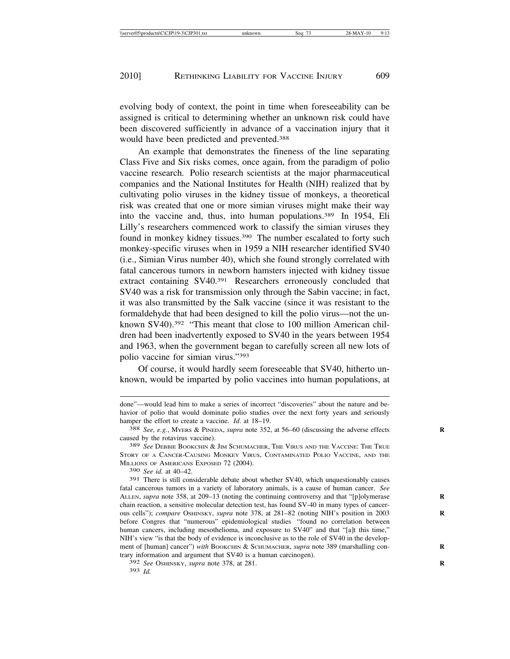evolving body of context, the point in time when foreseeability can be assigned is critical to determining whether an unknown risk could have been discovered sufficiently in advance of a vaccination injury that it would have been predicted and prevented.388

An example that demonstrates the fineness of the line separating Class Five and Six risks comes, once again, from the paradigm of polio vaccine research. Polio research scientists at the major pharmaceutical companies and the National Institutes for Health (NIH) realized that by cultivating polio viruses in the kidney tissue of monkeys, a theoretical risk was created that one or more simian viruses might make their way into the vaccine and, thus, into human populations.389 In 1954, Eli Lilly's researchers commenced work to classify the simian viruses they found in monkey kidney tissues.390 The number escalated to forty such monkey-specific viruses when in 1959 a NIH researcher identified SV40 (i.e., Simian Virus number 40), which she found strongly correlated with fatal cancerous tumors in newborn hamsters injected with kidney tissue extract containing SV40.391 Researchers erroneously concluded that SV40 was a risk for transmission only through the Sabin vaccine; in fact, it was also transmitted by the Salk vaccine (since it was resistant to the formaldehyde that had been designed to kill the polio virus—not the unknown SV40).<sup>392</sup> "This meant that close to 100 million American children had been inadvertently exposed to SV40 in the years between 1954 and 1963, when the government began to carefully screen all new lots of polio vaccine for simian virus."393

Of course, it would hardly seem foreseeable that SV40, hitherto unknown, would be imparted by polio vaccines into human populations, at

390 *See id.* at 40–42.

done"—would lead him to make a series of incorrect "discoveries" about the nature and behavior of polio that would dominate polio studies over the next forty years and seriously hamper the effort to create a vaccine. *Id.* at 18–19.<br><sup>388</sup> *See, e.g.*, MYERS & PINEDA, *supra* note 352, at 56–60 (discussing the adverse effects

caused by the rotavirus vaccine).

<sup>389</sup> *See* DEBBIE BOOKCHIN & JIM SCHUMACHER, THE VIRUS AND THE VACCINE: THE TRUE STORY OF A CANCER-CAUSING MONKEY VIRUS, CONTAMINATED POLIO VACCINE, AND THE MILLIONS OF AMERICANS EXPOSED 72 (2004).

<sup>391</sup> There is still considerable debate about whether SV40, which unquestionably causes fatal cancerous tumors in a variety of laboratory animals, is a cause of human cancer. *See* ALLEN, *supra* note 358, at 209–13 (noting the continuing controversy and that "[p]olymerase chain reaction, a sensitive molecular detection test, has found SV-40 in many types of cancerous cells"); *compare* OSHINSKY, *supra* note 378, at 281–82 (noting NIH's position in 2003 **R** before Congres that "numerous" epidemiological studies "found no correlation between human cancers, including mesothelioma, and exposure to SV40" and that "[a]t this time," NIH's view "is that the body of evidence is inconclusive as to the role of SV40 in the development of [human] cancer") *with* BOOKCHIN & SCHUMACHER, *supra* note 389 (marshalling contrary information and argument that SV40 is a human carcinogen).

<sup>392</sup> *See* OSHINSKY, *supra* note 378, at 281. **R**

<sup>393</sup> *Id.*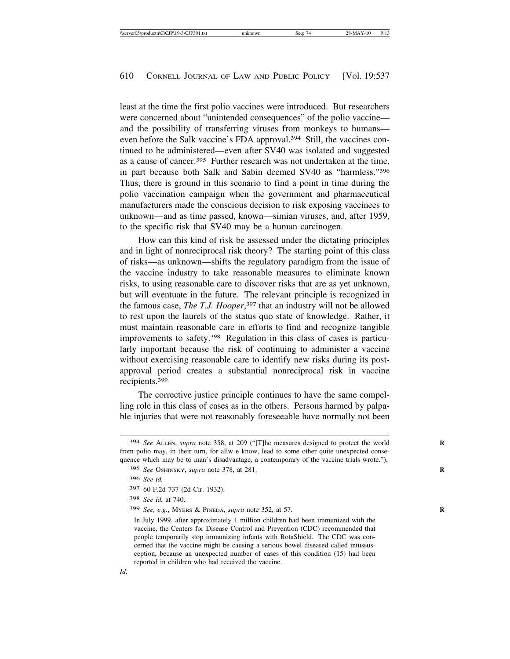least at the time the first polio vaccines were introduced. But researchers were concerned about "unintended consequences" of the polio vaccine and the possibility of transferring viruses from monkeys to humans even before the Salk vaccine's FDA approval.394 Still, the vaccines continued to be administered—even after SV40 was isolated and suggested as a cause of cancer.395 Further research was not undertaken at the time, in part because both Salk and Sabin deemed SV40 as "harmless."396 Thus, there is ground in this scenario to find a point in time during the polio vaccination campaign when the government and pharmaceutical manufacturers made the conscious decision to risk exposing vaccinees to unknown—and as time passed, known—simian viruses, and, after 1959, to the specific risk that SV40 may be a human carcinogen.

How can this kind of risk be assessed under the dictating principles and in light of nonreciprocal risk theory? The starting point of this class of risks—as unknown—shifts the regulatory paradigm from the issue of the vaccine industry to take reasonable measures to eliminate known risks, to using reasonable care to discover risks that are as yet unknown, but will eventuate in the future. The relevant principle is recognized in the famous case, *The T.J. Hooper*, 397 that an industry will not be allowed to rest upon the laurels of the status quo state of knowledge. Rather, it must maintain reasonable care in efforts to find and recognize tangible improvements to safety.398 Regulation in this class of cases is particularly important because the risk of continuing to administer a vaccine without exercising reasonable care to identify new risks during its postapproval period creates a substantial nonreciprocal risk in vaccine recipients.399

The corrective justice principle continues to have the same compelling role in this class of cases as in the others. Persons harmed by palpable injuries that were not reasonably foreseeable have normally not been

<sup>394</sup> *See* ALLEN, *supra* note 358, at 209 ("[T]he measures designed to protect the world **R** from polio may, in their turn, for allw e know, lead to some other quite unexpected consequence which may be to man's disadvantage, a contemporary of the vaccine trials wrote.").

<sup>395</sup> *See* OSHINSKY, *supra* note 378, at 281. **R**

<sup>396</sup> *See id.*

<sup>397</sup> 60 F.2d 737 (2d Cir. 1932).

<sup>398</sup> *See id.* at 740.

<sup>399</sup> *See, e.g.*, MYERS & PINEDA, *supra* note 352, at 57. **R**

In July 1999, after approximately 1 million children had been immunized with the vaccine, the Centers for Disease Control and Prevention (CDC) recommended that people temporarily stop immunizing infants with RotaShield. The CDC was concerned that the vaccine might be causing a serious bowel diseased called intussusception, because an unexpected number of cases of this condition (15) had been reported in children who had received the vaccine.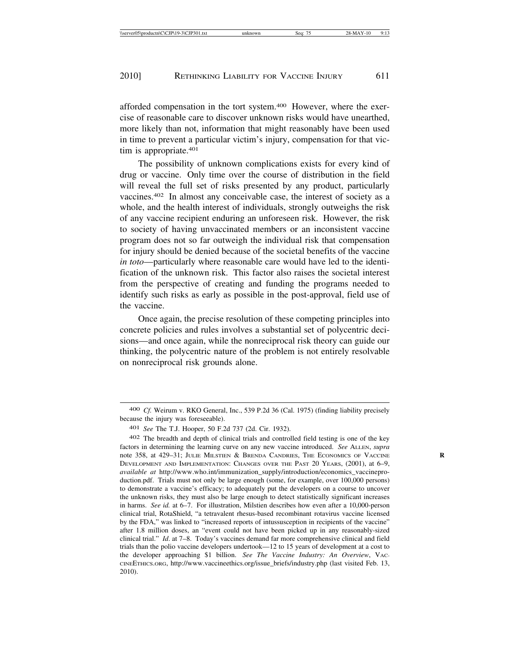afforded compensation in the tort system.400 However, where the exercise of reasonable care to discover unknown risks would have unearthed, more likely than not, information that might reasonably have been used in time to prevent a particular victim's injury, compensation for that victim is appropriate.<sup>401</sup>

The possibility of unknown complications exists for every kind of drug or vaccine. Only time over the course of distribution in the field will reveal the full set of risks presented by any product, particularly vaccines.402 In almost any conceivable case, the interest of society as a whole, and the health interest of individuals, strongly outweighs the risk of any vaccine recipient enduring an unforeseen risk. However, the risk to society of having unvaccinated members or an inconsistent vaccine program does not so far outweigh the individual risk that compensation for injury should be denied because of the societal benefits of the vaccine *in toto*—particularly where reasonable care would have led to the identification of the unknown risk. This factor also raises the societal interest from the perspective of creating and funding the programs needed to identify such risks as early as possible in the post-approval, field use of the vaccine.

Once again, the precise resolution of these competing principles into concrete policies and rules involves a substantial set of polycentric decisions—and once again, while the nonreciprocal risk theory can guide our thinking, the polycentric nature of the problem is not entirely resolvable on nonreciprocal risk grounds alone.

<sup>400</sup> *Cf.* Weirum v. RKO General, Inc., 539 P.2d 36 (Cal. 1975) (finding liability precisely because the injury was foreseeable).

<sup>401</sup> *See* The T.J. Hooper, 50 F.2d 737 (2d. Cir. 1932).

<sup>402</sup> The breadth and depth of clinical trials and controlled field testing is one of the key factors in determining the learning curve on any new vaccine introduced. *See* ALLEN, *supra* note 358, at 429–31; JULIE MILSTIEN & BRENDA CANDRIES, THE ECONOMICS OF VACCINE DEVELOPMENT AND IMPLEMENTATION: CHANGES OVER THE PAST 20 YEARS, (2001), at 6–9, *available at* http://www.who.int/immunization\_supply/introduction/economics\_vaccineproduction.pdf. Trials must not only be large enough (some, for example, over 100,000 persons) to demonstrate a vaccine's efficacy; to adequately put the developers on a course to uncover the unknown risks, they must also be large enough to detect statistically significant increases in harms. *See id.* at 6–7. For illustration, Milstien describes how even after a 10,000-person clinical trial, RotaShield, "a tetravalent rhesus-based recombinant rotavirus vaccine licensed by the FDA," was linked to "increased reports of intussusception in recipients of the vaccine" after 1.8 million doses, an "event could not have been picked up in any reasonably-sized clinical trial." *Id*. at 7–8. Today's vaccines demand far more comprehensive clinical and field trials than the polio vaccine developers undertook—12 to 15 years of development at a cost to the developer approaching \$1 billion. *See The Vaccine Industry: An Overview*, VAC-CINEETHICS.ORG, http://www.vaccineethics.org/issue\_briefs/industry.php (last visited Feb. 13, 2010).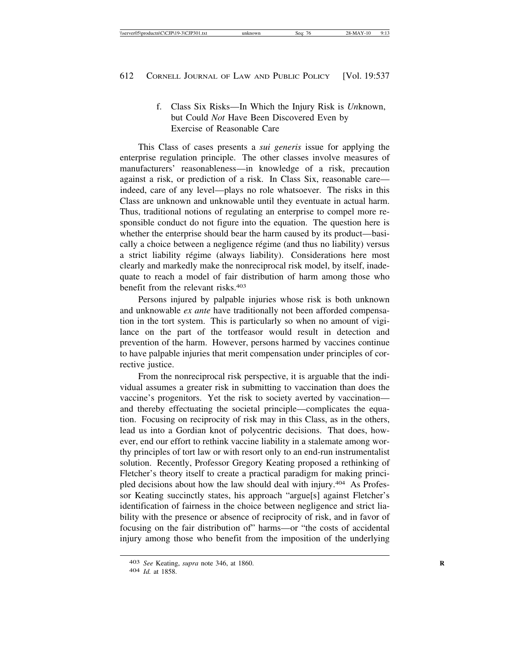f. Class Six Risks—In Which the Injury Risk is *Un*known, but Could *Not* Have Been Discovered Even by Exercise of Reasonable Care

This Class of cases presents a *sui generis* issue for applying the enterprise regulation principle. The other classes involve measures of manufacturers' reasonableness—in knowledge of a risk, precaution against a risk, or prediction of a risk. In Class Six, reasonable care indeed, care of any level—plays no role whatsoever. The risks in this Class are unknown and unknowable until they eventuate in actual harm. Thus, traditional notions of regulating an enterprise to compel more responsible conduct do not figure into the equation. The question here is whether the enterprise should bear the harm caused by its product—basically a choice between a negligence régime (and thus no liability) versus a strict liability régime (always liability). Considerations here most clearly and markedly make the nonreciprocal risk model, by itself, inadequate to reach a model of fair distribution of harm among those who benefit from the relevant risks.403

Persons injured by palpable injuries whose risk is both unknown and unknowable *ex ante* have traditionally not been afforded compensation in the tort system. This is particularly so when no amount of vigilance on the part of the tortfeasor would result in detection and prevention of the harm. However, persons harmed by vaccines continue to have palpable injuries that merit compensation under principles of corrective justice.

From the nonreciprocal risk perspective, it is arguable that the individual assumes a greater risk in submitting to vaccination than does the vaccine's progenitors. Yet the risk to society averted by vaccination and thereby effectuating the societal principle—complicates the equation. Focusing on reciprocity of risk may in this Class, as in the others, lead us into a Gordian knot of polycentric decisions. That does, however, end our effort to rethink vaccine liability in a stalemate among worthy principles of tort law or with resort only to an end-run instrumentalist solution. Recently, Professor Gregory Keating proposed a rethinking of Fletcher's theory itself to create a practical paradigm for making principled decisions about how the law should deal with injury.404 As Professor Keating succinctly states, his approach "argue[s] against Fletcher's identification of fairness in the choice between negligence and strict liability with the presence or absence of reciprocity of risk, and in favor of focusing on the fair distribution of" harms—or "the costs of accidental injury among those who benefit from the imposition of the underlying

<sup>403</sup> *See* Keating, *supra* note 346, at 1860. **R**

<sup>404</sup> *Id.* at 1858.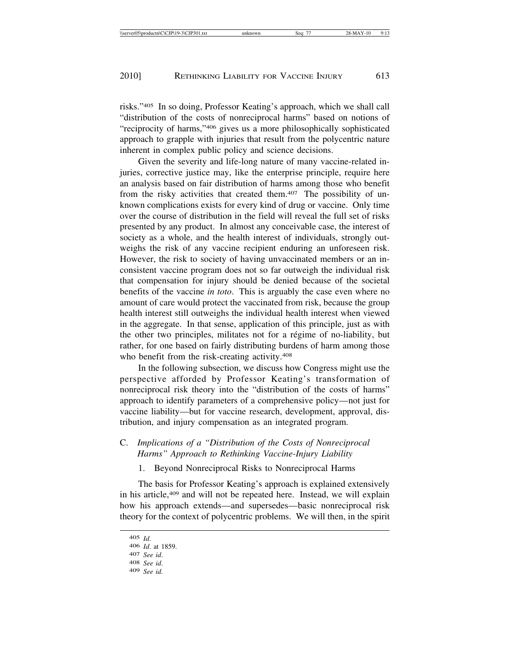risks."405 In so doing, Professor Keating's approach, which we shall call "distribution of the costs of nonreciprocal harms" based on notions of "reciprocity of harms,"406 gives us a more philosophically sophisticated approach to grapple with injuries that result from the polycentric nature inherent in complex public policy and science decisions.

Given the severity and life-long nature of many vaccine-related injuries, corrective justice may, like the enterprise principle, require here an analysis based on fair distribution of harms among those who benefit from the risky activities that created them.<sup>407</sup> The possibility of unknown complications exists for every kind of drug or vaccine. Only time over the course of distribution in the field will reveal the full set of risks presented by any product. In almost any conceivable case, the interest of society as a whole, and the health interest of individuals, strongly outweighs the risk of any vaccine recipient enduring an unforeseen risk. However, the risk to society of having unvaccinated members or an inconsistent vaccine program does not so far outweigh the individual risk that compensation for injury should be denied because of the societal benefits of the vaccine *in toto*. This is arguably the case even where no amount of care would protect the vaccinated from risk, because the group health interest still outweighs the individual health interest when viewed in the aggregate. In that sense, application of this principle, just as with the other two principles, militates not for a régime of no-liability, but rather, for one based on fairly distributing burdens of harm among those who benefit from the risk-creating activity.408

In the following subsection, we discuss how Congress might use the perspective afforded by Professor Keating's transformation of nonreciprocal risk theory into the "distribution of the costs of harms" approach to identify parameters of a comprehensive policy—not just for vaccine liability—but for vaccine research, development, approval, distribution, and injury compensation as an integrated program.

# C. *Implications of a "Distribution of the Costs of Nonreciprocal Harms" Approach to Rethinking Vaccine-Injury Liability*

1. Beyond Nonreciprocal Risks to Nonreciprocal Harms

The basis for Professor Keating's approach is explained extensively in his article,409 and will not be repeated here. Instead, we will explain how his approach extends—and supersedes—basic nonreciprocal risk theory for the context of polycentric problems. We will then, in the spirit

<sup>405</sup> *Id*. <sup>406</sup> *Id*. at 1859. <sup>407</sup> *See id*. <sup>408</sup> *See id*. <sup>409</sup> *See id.*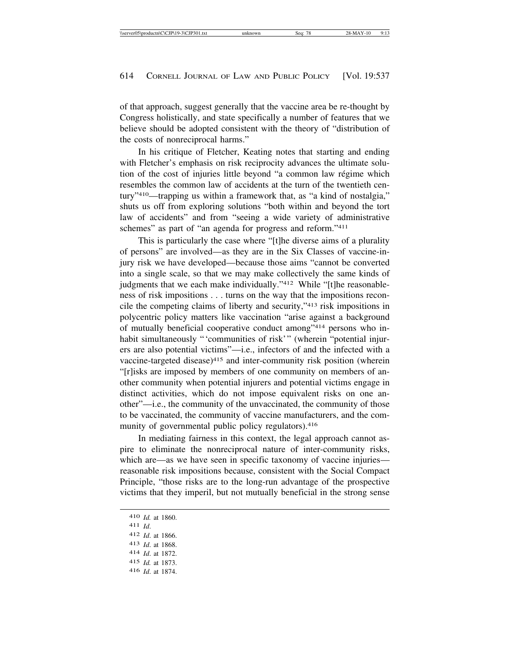of that approach, suggest generally that the vaccine area be re-thought by Congress holistically, and state specifically a number of features that we believe should be adopted consistent with the theory of "distribution of the costs of nonreciprocal harms."

In his critique of Fletcher, Keating notes that starting and ending with Fletcher's emphasis on risk reciprocity advances the ultimate solution of the cost of injuries little beyond "a common law régime which resembles the common law of accidents at the turn of the twentieth century"410—trapping us within a framework that, as "a kind of nostalgia," shuts us off from exploring solutions "both within and beyond the tort law of accidents" and from "seeing a wide variety of administrative schemes" as part of "an agenda for progress and reform."<sup>411</sup>

This is particularly the case where "[t]he diverse aims of a plurality of persons" are involved—as they are in the Six Classes of vaccine-injury risk we have developed—because those aims "cannot be converted into a single scale, so that we may make collectively the same kinds of judgments that we each make individually."<sup>412</sup> While "[t]he reasonableness of risk impositions . . . turns on the way that the impositions reconcile the competing claims of liberty and security,"413 risk impositions in polycentric policy matters like vaccination "arise against a background of mutually beneficial cooperative conduct among"414 persons who inhabit simultaneously "'communities of risk'" (wherein "potential injurers are also potential victims"—i.e., infectors of and the infected with a vaccine-targeted disease)415 and inter-community risk position (wherein "[r]isks are imposed by members of one community on members of another community when potential injurers and potential victims engage in distinct activities, which do not impose equivalent risks on one another"—i.e., the community of the unvaccinated, the community of those to be vaccinated, the community of vaccine manufacturers, and the community of governmental public policy regulators).<sup>416</sup>

In mediating fairness in this context, the legal approach cannot aspire to eliminate the nonreciprocal nature of inter-community risks, which are—as we have seen in specific taxonomy of vaccine injuries reasonable risk impositions because, consistent with the Social Compact Principle, "those risks are to the long-run advantage of the prospective victims that they imperil, but not mutually beneficial in the strong sense

<sup>410</sup> *Id.* at 1860. 411 *Id*. 412 *Id*. at 1866. 413 *Id*. at 1868. 414 *Id*. at 1872. 415 *Id.* at 1873. 416 *Id*. at 1874.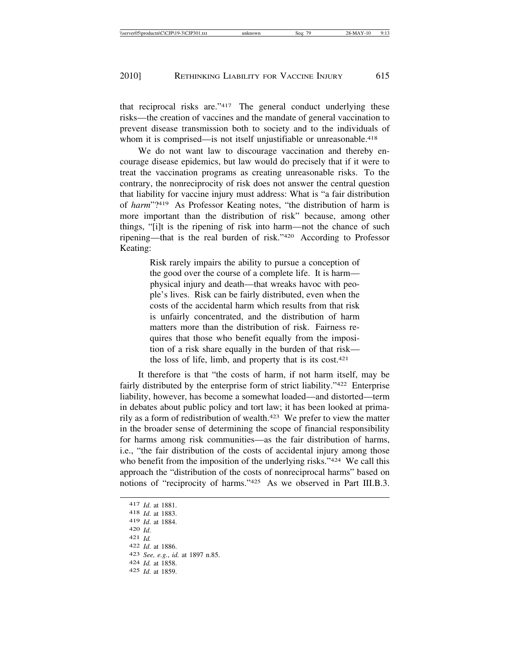that reciprocal risks are."417 The general conduct underlying these risks—the creation of vaccines and the mandate of general vaccination to prevent disease transmission both to society and to the individuals of whom it is comprised—is not itself unjustifiable or unreasonable.<sup>418</sup>

We do not want law to discourage vaccination and thereby encourage disease epidemics, but law would do precisely that if it were to treat the vaccination programs as creating unreasonable risks. To the contrary, the nonreciprocity of risk does not answer the central question that liability for vaccine injury must address: What is "a fair distribution of *harm*"?419 As Professor Keating notes, "the distribution of harm is more important than the distribution of risk" because, among other things, "[i]t is the ripening of risk into harm—not the chance of such ripening—that is the real burden of risk."420 According to Professor Keating:

> Risk rarely impairs the ability to pursue a conception of the good over the course of a complete life. It is harm physical injury and death—that wreaks havoc with people's lives. Risk can be fairly distributed, even when the costs of the accidental harm which results from that risk is unfairly concentrated, and the distribution of harm matters more than the distribution of risk. Fairness requires that those who benefit equally from the imposition of a risk share equally in the burden of that risk the loss of life, limb, and property that is its cost.421

It therefore is that "the costs of harm, if not harm itself, may be fairly distributed by the enterprise form of strict liability."422 Enterprise liability, however, has become a somewhat loaded—and distorted—term in debates about public policy and tort law; it has been looked at primarily as a form of redistribution of wealth.423 We prefer to view the matter in the broader sense of determining the scope of financial responsibility for harms among risk communities—as the fair distribution of harms, i.e., "the fair distribution of the costs of accidental injury among those who benefit from the imposition of the underlying risks."<sup>424</sup> We call this approach the "distribution of the costs of nonreciprocal harms" based on notions of "reciprocity of harms."425 As we observed in Part III.B.3.

<sup>417</sup> *Id*. at 1881. <sup>418</sup> *Id*. at 1883. <sup>419</sup> *Id*. at 1884. <sup>420</sup> *Id*. <sup>421</sup> *Id.* <sup>422</sup> *Id*. at 1886. <sup>423</sup> *See, e.g.*, *id.* at 1897 n.85. <sup>424</sup> *Id.* at 1858. 425 *Id*. at 1859.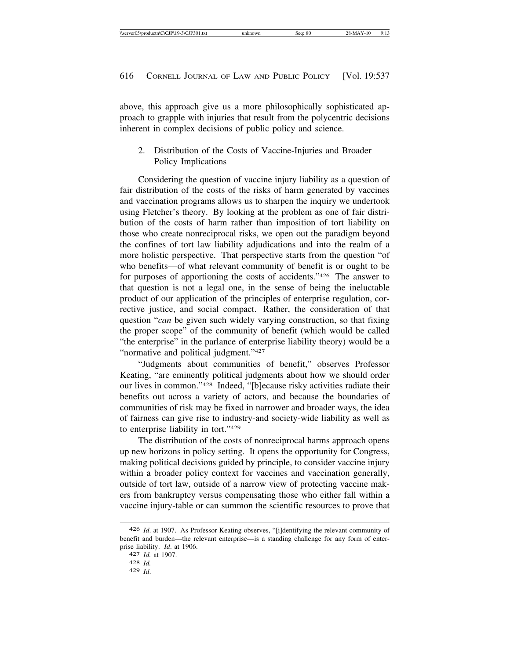above, this approach give us a more philosophically sophisticated approach to grapple with injuries that result from the polycentric decisions inherent in complex decisions of public policy and science.

2. Distribution of the Costs of Vaccine-Injuries and Broader Policy Implications

Considering the question of vaccine injury liability as a question of fair distribution of the costs of the risks of harm generated by vaccines and vaccination programs allows us to sharpen the inquiry we undertook using Fletcher's theory. By looking at the problem as one of fair distribution of the costs of harm rather than imposition of tort liability on those who create nonreciprocal risks, we open out the paradigm beyond the confines of tort law liability adjudications and into the realm of a more holistic perspective. That perspective starts from the question "of who benefits—of what relevant community of benefit is or ought to be for purposes of apportioning the costs of accidents."426 The answer to that question is not a legal one, in the sense of being the ineluctable product of our application of the principles of enterprise regulation, corrective justice, and social compact. Rather, the consideration of that question "*can* be given such widely varying construction, so that fixing the proper scope" of the community of benefit (which would be called "the enterprise" in the parlance of enterprise liability theory) would be a "normative and political judgment."427

"Judgments about communities of benefit," observes Professor Keating, "are eminently political judgments about how we should order our lives in common."428 Indeed, "[b]ecause risky activities radiate their benefits out across a variety of actors, and because the boundaries of communities of risk may be fixed in narrower and broader ways, the idea of fairness can give rise to industry-and society-wide liability as well as to enterprise liability in tort."429

The distribution of the costs of nonreciprocal harms approach opens up new horizons in policy setting. It opens the opportunity for Congress, making political decisions guided by principle, to consider vaccine injury within a broader policy context for vaccines and vaccination generally, outside of tort law, outside of a narrow view of protecting vaccine makers from bankruptcy versus compensating those who either fall within a vaccine injury-table or can summon the scientific resources to prove that

<sup>426</sup> *Id*. at 1907. As Professor Keating observes, "[i]dentifying the relevant community of benefit and burden—the relevant enterprise—is a standing challenge for any form of enterprise liability. *Id*. at 1906. <sup>427</sup> *Id.* at 1907. <sup>428</sup> *Id.*

<sup>429</sup> *Id*.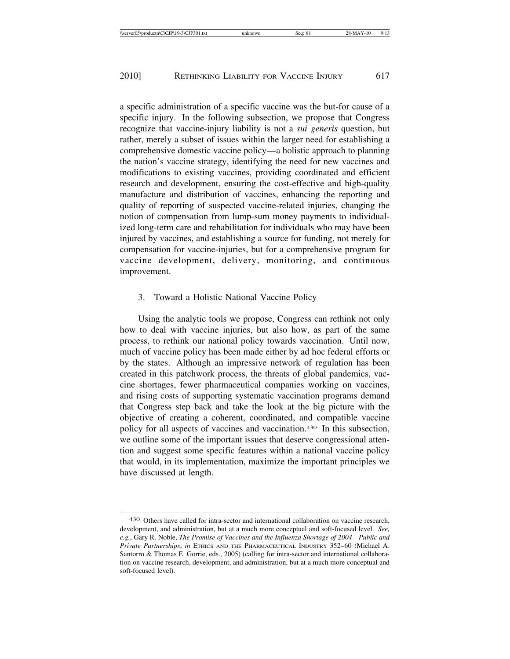a specific administration of a specific vaccine was the but-for cause of a specific injury. In the following subsection, we propose that Congress recognize that vaccine-injury liability is not a *sui generis* question, but rather, merely a subset of issues within the larger need for establishing a comprehensive domestic vaccine policy—a holistic approach to planning the nation's vaccine strategy, identifying the need for new vaccines and modifications to existing vaccines, providing coordinated and efficient research and development, ensuring the cost-effective and high-quality manufacture and distribution of vaccines, enhancing the reporting and quality of reporting of suspected vaccine-related injuries, changing the notion of compensation from lump-sum money payments to individualized long-term care and rehabilitation for individuals who may have been injured by vaccines, and establishing a source for funding, not merely for compensation for vaccine-injuries, but for a comprehensive program for vaccine development, delivery, monitoring, and continuous improvement.

### 3. Toward a Holistic National Vaccine Policy

Using the analytic tools we propose, Congress can rethink not only how to deal with vaccine injuries, but also how, as part of the same process, to rethink our national policy towards vaccination. Until now, much of vaccine policy has been made either by ad hoc federal efforts or by the states. Although an impressive network of regulation has been created in this patchwork process, the threats of global pandemics, vaccine shortages, fewer pharmaceutical companies working on vaccines, and rising costs of supporting systematic vaccination programs demand that Congress step back and take the look at the big picture with the objective of creating a coherent, coordinated, and compatible vaccine policy for all aspects of vaccines and vaccination.430 In this subsection, we outline some of the important issues that deserve congressional attention and suggest some specific features within a national vaccine policy that would, in its implementation, maximize the important principles we have discussed at length.

<sup>430</sup> Others have called for intra-sector and international collaboration on vaccine research, development, and administration, but at a much more conceptual and soft-focused level. *See, e.g.*, Gary R. Noble, *The Promise of Vaccines and the Influenza Shortage of 2004—Public and Private Partnerships*, *in* ETHICS AND THE PHARMACEUTICAL INDUSTRY 352–60 (Michael A. Santorro & Thomas E. Gorrie, eds., 2005) (calling for intra-sector and international collaboration on vaccine research, development, and administration, but at a much more conceptual and soft-focused level).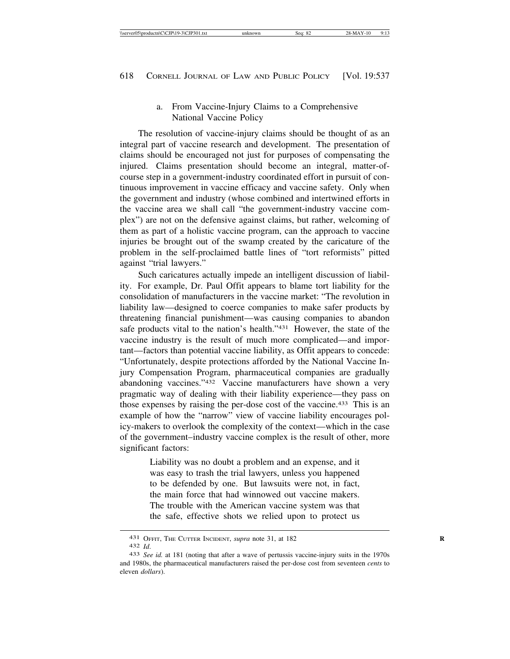a. From Vaccine-Injury Claims to a Comprehensive National Vaccine Policy

The resolution of vaccine-injury claims should be thought of as an integral part of vaccine research and development. The presentation of claims should be encouraged not just for purposes of compensating the injured. Claims presentation should become an integral, matter-ofcourse step in a government-industry coordinated effort in pursuit of continuous improvement in vaccine efficacy and vaccine safety. Only when the government and industry (whose combined and intertwined efforts in the vaccine area we shall call "the government-industry vaccine complex") are not on the defensive against claims, but rather, welcoming of them as part of a holistic vaccine program, can the approach to vaccine injuries be brought out of the swamp created by the caricature of the problem in the self-proclaimed battle lines of "tort reformists" pitted against "trial lawyers."

Such caricatures actually impede an intelligent discussion of liability. For example, Dr. Paul Offit appears to blame tort liability for the consolidation of manufacturers in the vaccine market: "The revolution in liability law—designed to coerce companies to make safer products by threatening financial punishment—was causing companies to abandon safe products vital to the nation's health."431 However, the state of the vaccine industry is the result of much more complicated—and important—factors than potential vaccine liability, as Offit appears to concede: "Unfortunately, despite protections afforded by the National Vaccine Injury Compensation Program, pharmaceutical companies are gradually abandoning vaccines."432 Vaccine manufacturers have shown a very pragmatic way of dealing with their liability experience—they pass on those expenses by raising the per-dose cost of the vaccine.433 This is an example of how the "narrow" view of vaccine liability encourages policy-makers to overlook the complexity of the context—which in the case of the government–industry vaccine complex is the result of other, more significant factors:

> Liability was no doubt a problem and an expense, and it was easy to trash the trial lawyers, unless you happened to be defended by one. But lawsuits were not, in fact, the main force that had winnowed out vaccine makers. The trouble with the American vaccine system was that the safe, effective shots we relied upon to protect us

<sup>431</sup> OFFIT, THE CUTTER INCIDENT, *supra* note 31, at 182 **R**

<sup>432</sup> *Id*. <sup>433</sup> *See id.* at 181 (noting that after a wave of pertussis vaccine-injury suits in the 1970s and 1980s, the pharmaceutical manufacturers raised the per-dose cost from seventeen *cents* to eleven *dollars*).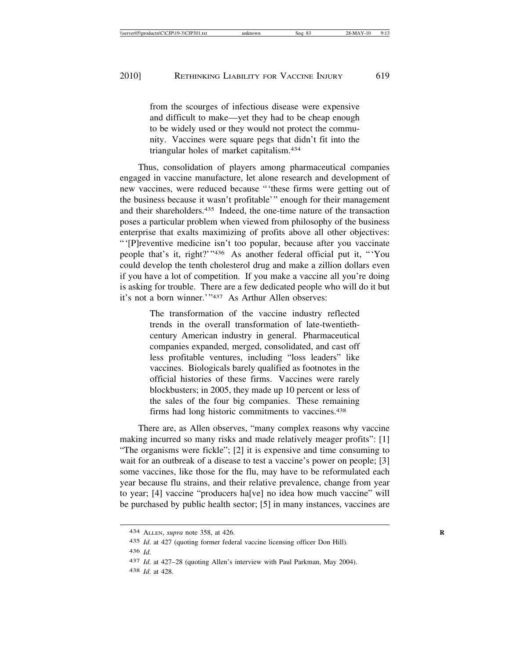from the scourges of infectious disease were expensive and difficult to make—yet they had to be cheap enough to be widely used or they would not protect the community. Vaccines were square pegs that didn't fit into the triangular holes of market capitalism.434

Thus, consolidation of players among pharmaceutical companies engaged in vaccine manufacture, let alone research and development of new vaccines, were reduced because "'these firms were getting out of the business because it wasn't profitable'" enough for their management and their shareholders.435 Indeed, the one-time nature of the transaction poses a particular problem when viewed from philosophy of the business enterprise that exalts maximizing of profits above all other objectives: "'[P]reventive medicine isn't too popular, because after you vaccinate people that's it, right?'"436 As another federal official put it, "'You could develop the tenth cholesterol drug and make a zillion dollars even if you have a lot of competition. If you make a vaccine all you're doing is asking for trouble. There are a few dedicated people who will do it but it's not a born winner.'"437 As Arthur Allen observes:

> The transformation of the vaccine industry reflected trends in the overall transformation of late-twentiethcentury American industry in general. Pharmaceutical companies expanded, merged, consolidated, and cast off less profitable ventures, including "loss leaders" like vaccines. Biologicals barely qualified as footnotes in the official histories of these firms. Vaccines were rarely blockbusters; in 2005, they made up 10 percent or less of the sales of the four big companies. These remaining firms had long historic commitments to vaccines.438

There are, as Allen observes, "many complex reasons why vaccine making incurred so many risks and made relatively meager profits": [1] "The organisms were fickle"; [2] it is expensive and time consuming to wait for an outbreak of a disease to test a vaccine's power on people; [3] some vaccines, like those for the flu, may have to be reformulated each year because flu strains, and their relative prevalence, change from year to year; [4] vaccine "producers ha[ve] no idea how much vaccine" will be purchased by public health sector; [5] in many instances, vaccines are

438 *Id*. at 428.

<sup>434</sup> ALLEN, *supra* note 358, at 426. **R**

<sup>435</sup> *Id*. at 427 (quoting former federal vaccine licensing officer Don Hill).

<sup>436</sup> *Id*.

<sup>437</sup> *Id*. at 427–28 (quoting Allen's interview with Paul Parkman, May 2004).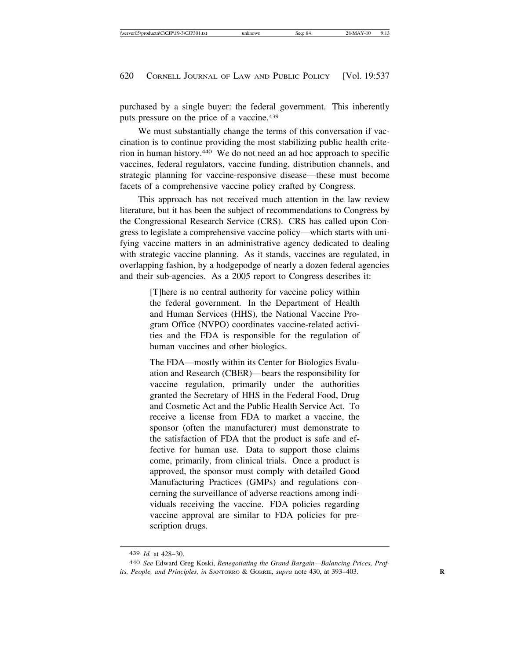purchased by a single buyer: the federal government. This inherently puts pressure on the price of a vaccine.<sup>439</sup>

We must substantially change the terms of this conversation if vaccination is to continue providing the most stabilizing public health criterion in human history.440 We do not need an ad hoc approach to specific vaccines, federal regulators, vaccine funding, distribution channels, and strategic planning for vaccine-responsive disease—these must become facets of a comprehensive vaccine policy crafted by Congress.

This approach has not received much attention in the law review literature, but it has been the subject of recommendations to Congress by the Congressional Research Service (CRS). CRS has called upon Congress to legislate a comprehensive vaccine policy—which starts with unifying vaccine matters in an administrative agency dedicated to dealing with strategic vaccine planning. As it stands, vaccines are regulated, in overlapping fashion, by a hodgepodge of nearly a dozen federal agencies and their sub-agencies. As a 2005 report to Congress describes it:

> [T]here is no central authority for vaccine policy within the federal government. In the Department of Health and Human Services (HHS), the National Vaccine Program Office (NVPO) coordinates vaccine-related activities and the FDA is responsible for the regulation of human vaccines and other biologics.

> The FDA—mostly within its Center for Biologics Evaluation and Research (CBER)—bears the responsibility for vaccine regulation, primarily under the authorities granted the Secretary of HHS in the Federal Food, Drug and Cosmetic Act and the Public Health Service Act. To receive a license from FDA to market a vaccine, the sponsor (often the manufacturer) must demonstrate to the satisfaction of FDA that the product is safe and effective for human use. Data to support those claims come, primarily, from clinical trials. Once a product is approved, the sponsor must comply with detailed Good Manufacturing Practices (GMPs) and regulations concerning the surveillance of adverse reactions among individuals receiving the vaccine. FDA policies regarding vaccine approval are similar to FDA policies for prescription drugs.

<sup>439</sup> *Id.* at 428–30.

<sup>440</sup> *See* Edward Greg Koski, *Renegotiating the Grand Bargain—Balancing Prices, Profits, People, and Principles, in* SANTORRO & GORRIE, *supra* note 430, at 393–403. **R**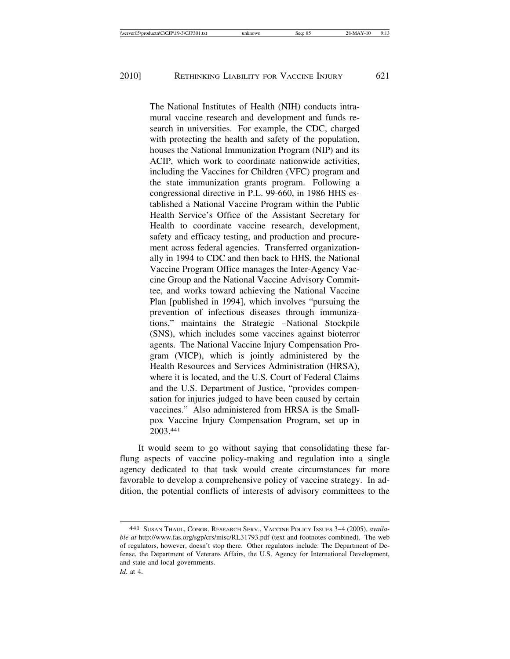The National Institutes of Health (NIH) conducts intramural vaccine research and development and funds research in universities. For example, the CDC, charged with protecting the health and safety of the population, houses the National Immunization Program (NIP) and its ACIP, which work to coordinate nationwide activities, including the Vaccines for Children (VFC) program and the state immunization grants program. Following a congressional directive in P.L. 99-660, in 1986 HHS established a National Vaccine Program within the Public Health Service's Office of the Assistant Secretary for Health to coordinate vaccine research, development, safety and efficacy testing, and production and procurement across federal agencies. Transferred organizationally in 1994 to CDC and then back to HHS, the National Vaccine Program Office manages the Inter-Agency Vaccine Group and the National Vaccine Advisory Committee, and works toward achieving the National Vaccine Plan [published in 1994], which involves "pursuing the prevention of infectious diseases through immunizations," maintains the Strategic –National Stockpile (SNS), which includes some vaccines against bioterror agents. The National Vaccine Injury Compensation Program (VICP), which is jointly administered by the Health Resources and Services Administration (HRSA), where it is located, and the U.S. Court of Federal Claims and the U.S. Department of Justice, "provides compensation for injuries judged to have been caused by certain vaccines." Also administered from HRSA is the Smallpox Vaccine Injury Compensation Program, set up in 2003.441

It would seem to go without saying that consolidating these farflung aspects of vaccine policy-making and regulation into a single agency dedicated to that task would create circumstances far more favorable to develop a comprehensive policy of vaccine strategy. In addition, the potential conflicts of interests of advisory committees to the

<sup>441</sup> SUSAN THAUL, CONGR. RESEARCH SERV., VACCINE POLICY ISSUES 3–4 (2005), *available at* http://www.fas.org/sgp/crs/misc/RL31793.pdf (text and footnotes combined). The web of regulators, however, doesn't stop there. Other regulators include: The Department of Defense, the Department of Veterans Affairs, the U.S. Agency for International Development, and state and local governments. *Id*. at 4.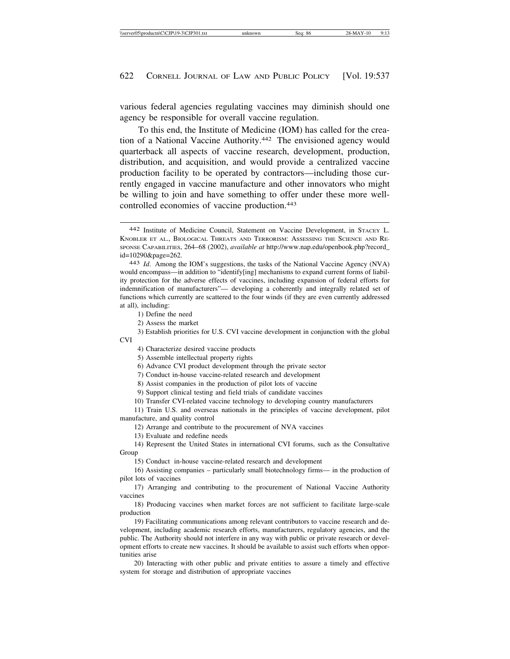various federal agencies regulating vaccines may diminish should one agency be responsible for overall vaccine regulation.

To this end, the Institute of Medicine (IOM) has called for the creation of a National Vaccine Authority.442 The envisioned agency would quarterback all aspects of vaccine research, development, production, distribution, and acquisition, and would provide a centralized vaccine production facility to be operated by contractors—including those currently engaged in vaccine manufacture and other innovators who might be willing to join and have something to offer under these more wellcontrolled economies of vaccine production.443

1) Define the need

2) Assess the market

- 3) Establish priorities for U.S. CVI vaccine development in conjunction with the global CVI
	- 4) Characterize desired vaccine products

5) Assemble intellectual property rights

6) Advance CVI product development through the private sector

7) Conduct in-house vaccine-related research and development

8) Assist companies in the production of pilot lots of vaccine

9) Support clinical testing and field trials of candidate vaccines

10) Transfer CVI-related vaccine technology to developing country manufacturers

11) Train U.S. and overseas nationals in the principles of vaccine development, pilot manufacture, and quality control

12) Arrange and contribute to the procurement of NVA vaccines

13) Evaluate and redefine needs

14) Represent the United States in international CVI forums, such as the Consultative Group

15) Conduct in-house vaccine-related research and development

16) Assisting companies – particularly small biotechnology firms— in the production of pilot lots of vaccines

17) Arranging and contributing to the procurement of National Vaccine Authority vaccines

18) Producing vaccines when market forces are not sufficient to facilitate large-scale production

19) Facilitating communications among relevant contributors to vaccine research and development, including academic research efforts, manufacturers, regulatory agencies, and the public. The Authority should not interfere in any way with public or private research or development efforts to create new vaccines. It should be available to assist such efforts when opportunities arise

20) Interacting with other public and private entities to assure a timely and effective system for storage and distribution of appropriate vaccines

<sup>442</sup> Institute of Medicine Council, Statement on Vaccine Development, in STACEY L. KNOBLER ET AL., BIOLOGICAL THREATS AND TERRORISM: ASSESSING THE SCIENCE AND RE-SPONSE CAPABILITIES, 264–68 (2002), *available at* http://www.nap.edu/openbook.php?record\_ id=10290&page=262. <sup>443</sup> *Id*. Among the IOM's suggestions, the tasks of the National Vaccine Agency (NVA)

would encompass—in addition to "identify[ing] mechanisms to expand current forms of liability protection for the adverse effects of vaccines, including expansion of federal efforts for indemnification of manufacturers"— developing a coherently and integrally related set of functions which currently are scattered to the four winds (if they are even currently addressed at all), including: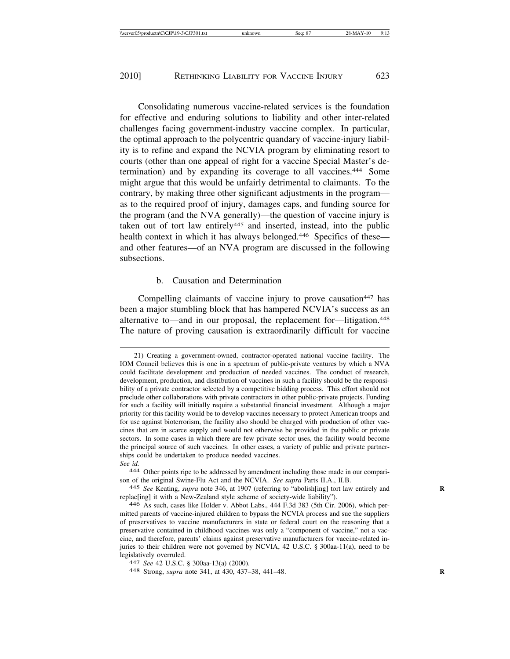Consolidating numerous vaccine-related services is the foundation for effective and enduring solutions to liability and other inter-related challenges facing government-industry vaccine complex. In particular, the optimal approach to the polycentric quandary of vaccine-injury liability is to refine and expand the NCVIA program by eliminating resort to courts (other than one appeal of right for a vaccine Special Master's determination) and by expanding its coverage to all vaccines.444 Some might argue that this would be unfairly detrimental to claimants. To the contrary, by making three other significant adjustments in the program as to the required proof of injury, damages caps, and funding source for the program (and the NVA generally)—the question of vaccine injury is taken out of tort law entirely<sup>445</sup> and inserted, instead, into the public health context in which it has always belonged.<sup>446</sup> Specifics of these and other features—of an NVA program are discussed in the following subsections.

#### b. Causation and Determination

Compelling claimants of vaccine injury to prove causation<sup>447</sup> has been a major stumbling block that has hampered NCVIA's success as an alternative to—and in our proposal, the replacement for—litigation.448 The nature of proving causation is extraordinarily difficult for vaccine

<sup>21)</sup> Creating a government-owned, contractor-operated national vaccine facility. The IOM Council believes this is one in a spectrum of public-private ventures by which a NVA could facilitate development and production of needed vaccines. The conduct of research, development, production, and distribution of vaccines in such a facility should be the responsibility of a private contractor selected by a competitive bidding process. This effort should not preclude other collaborations with private contractors in other public-private projects. Funding for such a facility will initially require a substantial financial investment. Although a major priority for this facility would be to develop vaccines necessary to protect American troops and for use against bioterrorism, the facility also should be charged with production of other vaccines that are in scarce supply and would not otherwise be provided in the public or private sectors. In some cases in which there are few private sector uses, the facility would become the principal source of such vaccines. In other cases, a variety of public and private partnerships could be undertaken to produce needed vaccines.

*See id.* <sup>444</sup> Other points ripe to be addressed by amendment including those made in our comparison of the original Swine-Flu Act and the NCVIA. *See supra* Parts II.A., II.B.

<sup>445</sup> *See* Keating, *supra* note 346, at 1907 (referring to "abolish[ing] tort law entirely and **R** replac[ing] it with a New-Zealand style scheme of society-wide liability").

<sup>446</sup> As such, cases like Holder v. Abbot Labs., 444 F.3d 383 (5th Cir. 2006), which permitted parents of vaccine-injured children to bypass the NCVIA process and sue the suppliers of preservatives to vaccine manufacturers in state or federal court on the reasoning that a preservative contained in childhood vaccines was only a "component of vaccine," not a vaccine, and therefore, parents' claims against preservative manufacturers for vaccine-related injuries to their children were not governed by NCVIA, 42 U.S.C. § 300aa-11(a), need to be legislatively overruled. <sup>447</sup> *See* 42 U.S.C. § 300aa-13(a) (2000). <sup>448</sup> Strong, *supra* note 341, at 430, 437–38, 441–48. **<sup>R</sup>**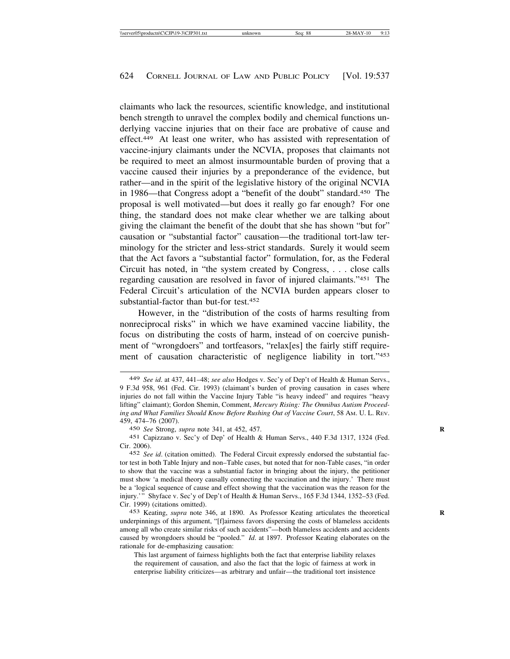claimants who lack the resources, scientific knowledge, and institutional bench strength to unravel the complex bodily and chemical functions underlying vaccine injuries that on their face are probative of cause and effect.449 At least one writer, who has assisted with representation of vaccine-injury claimants under the NCVIA, proposes that claimants not be required to meet an almost insurmountable burden of proving that a vaccine caused their injuries by a preponderance of the evidence, but rather—and in the spirit of the legislative history of the original NCVIA in 1986—that Congress adopt a "benefit of the doubt" standard.450 The proposal is well motivated—but does it really go far enough? For one thing, the standard does not make clear whether we are talking about giving the claimant the benefit of the doubt that she has shown "but for" causation or "substantial factor" causation—the traditional tort-law terminology for the stricter and less-strict standards. Surely it would seem that the Act favors a "substantial factor" formulation, for, as the Federal Circuit has noted, in "the system created by Congress, . . . close calls regarding causation are resolved in favor of injured claimants."451 The Federal Circuit's articulation of the NCVIA burden appears closer to substantial-factor than but-for test.452

However, in the "distribution of the costs of harms resulting from nonreciprocal risks" in which we have examined vaccine liability, the focus on distributing the costs of harm, instead of on coercive punishment of "wrongdoers" and tortfeasors, "relax[es] the fairly stiff requirement of causation characteristic of negligence liability in tort."453

450 *See* Strong, *supra* note 341, at 452, 457. **R**

453 Keating, *supra* note 346, at 1890. As Professor Keating articulates the theoretical **R** underpinnings of this argument, "[f]airness favors dispersing the costs of blameless accidents among all who create similar risks of such accidents"—both blameless accidents and accidents caused by wrongdoers should be "pooled." *Id*. at 1897. Professor Keating elaborates on the rationale for de-emphasizing causation:

This last argument of fairness highlights both the fact that enterprise liability relaxes the requirement of causation, and also the fact that the logic of fairness at work in enterprise liability criticizes—as arbitrary and unfair—the traditional tort insistence

<sup>449</sup> *See id*. at 437, 441–48; *see also* Hodges v. Sec'y of Dep't of Health & Human Servs., 9 F.3d 958, 961 (Fed. Cir. 1993) (claimant's burden of proving causation in cases where injuries do not fall within the Vaccine Injury Table "is heavy indeed" and requires "heavy lifting" claimant); Gordon Shemin, Comment, *Mercury Rising: The Omnibus Autism Proceeding and What Families Should Know Before Rushing Out of Vaccine Court*, 58 AM. U. L. REV. 459, 474–76 (2007).

<sup>451</sup> Capizzano v. Sec'y of Dep' of Health & Human Servs., 440 F.3d 1317, 1324 (Fed. Cir. 2006).

<sup>452</sup> *See id*. (citation omitted). The Federal Circuit expressly endorsed the substantial factor test in both Table Injury and non–Table cases, but noted that for non-Table cases, "in order to show that the vaccine was a substantial factor in bringing about the injury, the petitioner must show 'a medical theory causally connecting the vaccination and the injury.' There must be a 'logical sequence of cause and effect showing that the vaccination was the reason for the injury.'" Shyface v. Sec'y of Dep't of Health & Human Servs., 165 F.3d 1344, 1352–53 (Fed. Cir. 1999) (citations omitted).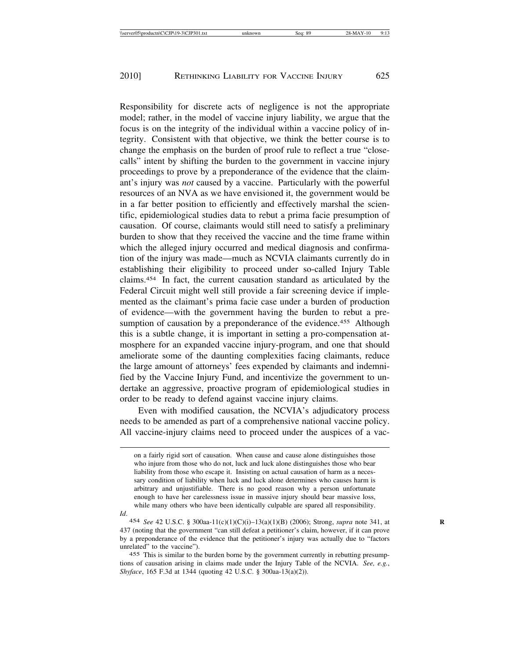Responsibility for discrete acts of negligence is not the appropriate model; rather, in the model of vaccine injury liability, we argue that the focus is on the integrity of the individual within a vaccine policy of integrity. Consistent with that objective, we think the better course is to change the emphasis on the burden of proof rule to reflect a true "closecalls" intent by shifting the burden to the government in vaccine injury proceedings to prove by a preponderance of the evidence that the claimant's injury was *not* caused by a vaccine. Particularly with the powerful resources of an NVA as we have envisioned it, the government would be in a far better position to efficiently and effectively marshal the scientific, epidemiological studies data to rebut a prima facie presumption of causation. Of course, claimants would still need to satisfy a preliminary burden to show that they received the vaccine and the time frame within which the alleged injury occurred and medical diagnosis and confirmation of the injury was made—much as NCVIA claimants currently do in establishing their eligibility to proceed under so-called Injury Table claims.454 In fact, the current causation standard as articulated by the Federal Circuit might well still provide a fair screening device if implemented as the claimant's prima facie case under a burden of production of evidence—with the government having the burden to rebut a presumption of causation by a preponderance of the evidence.<sup>455</sup> Although this is a subtle change, it is important in setting a pro-compensation atmosphere for an expanded vaccine injury-program, and one that should ameliorate some of the daunting complexities facing claimants, reduce the large amount of attorneys' fees expended by claimants and indemnified by the Vaccine Injury Fund, and incentivize the government to undertake an aggressive, proactive program of epidemiological studies in order to be ready to defend against vaccine injury claims.

Even with modified causation, the NCVIA's adjudicatory process needs to be amended as part of a comprehensive national vaccine policy. All vaccine-injury claims need to proceed under the auspices of a vac-

*Id*.

on a fairly rigid sort of causation. When cause and cause alone distinguishes those who injure from those who do not, luck and luck alone distinguishes those who bear liability from those who escape it. Insisting on actual causation of harm as a necessary condition of liability when luck and luck alone determines who causes harm is arbitrary and unjustifiable. There is no good reason why a person unfortunate enough to have her carelessness issue in massive injury should bear massive loss, while many others who have been identically culpable are spared all responsibility.

<sup>454</sup> *See* 42 U.S.C. § 300aa-11(c)(1)(C)(i)–13(a)(1)(B) (2006); Strong, *supra* note 341, at **R** 437 (noting that the government "can still defeat a petitioner's claim, however, if it can prove by a preponderance of the evidence that the petitioner's injury was actually due to "factors unrelated" to the vaccine").

<sup>455</sup> This is similar to the burden borne by the government currently in rebutting presumptions of causation arising in claims made under the Injury Table of the NCVIA. *See, e.g.*, *Shyface*, 165 F.3d at 1344 (quoting 42 U.S.C. § 300aa-13(a)(2)).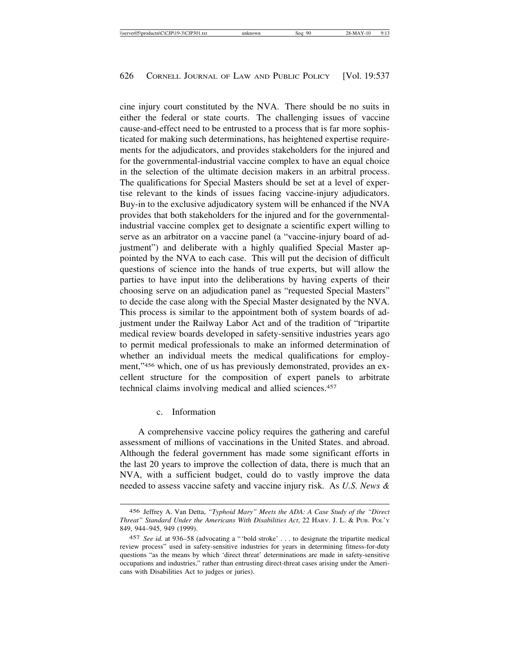cine injury court constituted by the NVA. There should be no suits in either the federal or state courts. The challenging issues of vaccine cause-and-effect need to be entrusted to a process that is far more sophisticated for making such determinations, has heightened expertise requirements for the adjudicators, and provides stakeholders for the injured and for the governmental-industrial vaccine complex to have an equal choice in the selection of the ultimate decision makers in an arbitral process. The qualifications for Special Masters should be set at a level of expertise relevant to the kinds of issues facing vaccine-injury adjudicators. Buy-in to the exclusive adjudicatory system will be enhanced if the NVA provides that both stakeholders for the injured and for the governmentalindustrial vaccine complex get to designate a scientific expert willing to serve as an arbitrator on a vaccine panel (a "vaccine-injury board of adjustment") and deliberate with a highly qualified Special Master appointed by the NVA to each case. This will put the decision of difficult questions of science into the hands of true experts, but will allow the parties to have input into the deliberations by having experts of their choosing serve on an adjudication panel as "requested Special Masters" to decide the case along with the Special Master designated by the NVA. This process is similar to the appointment both of system boards of adjustment under the Railway Labor Act and of the tradition of "tripartite medical review boards developed in safety-sensitive industries years ago to permit medical professionals to make an informed determination of whether an individual meets the medical qualifications for employment,"456 which, one of us has previously demonstrated, provides an excellent structure for the composition of expert panels to arbitrate technical claims involving medical and allied sciences.457

# c. Information

A comprehensive vaccine policy requires the gathering and careful assessment of millions of vaccinations in the United States. and abroad. Although the federal government has made some significant efforts in the last 20 years to improve the collection of data, there is much that an NVA, with a sufficient budget, could do to vastly improve the data needed to assess vaccine safety and vaccine injury risk. As *U.S. News &*

<sup>456</sup> Jeffrey A. Van Detta, *"Typhoid Mary" Meets the ADA: A Case Study of the "Direct Threat" Standard Under the Americans With Disabilities Act*, 22 HARV. J. L. & PUB. POL'Y 849, 944–945, 949 (1999).

<sup>457</sup> *See id.* at 936–58 (advocating a "'bold stroke' . . . to designate the tripartite medical review process" used in safety-sensitive industries for years in determining fitness-for-duty questions "as the means by which 'direct threat' determinations are made in safety-sensitive occupations and industries," rather than entrusting direct-threat cases arising under the Americans with Disabilities Act to judges or juries).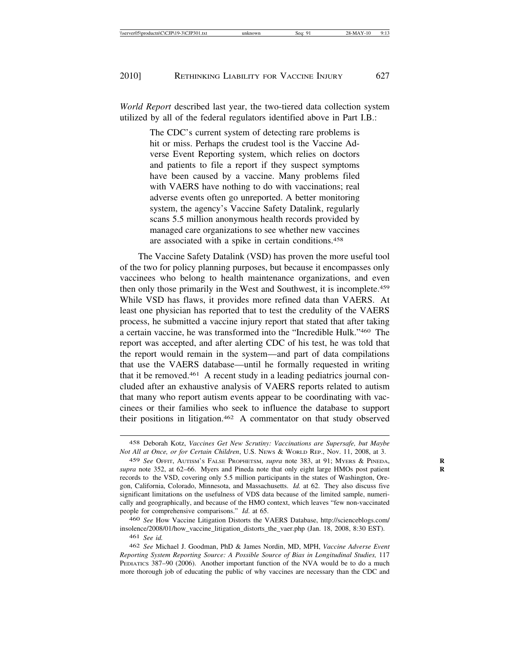*World Report* described last year, the two-tiered data collection system utilized by all of the federal regulators identified above in Part I.B.:

> The CDC's current system of detecting rare problems is hit or miss. Perhaps the crudest tool is the Vaccine Adverse Event Reporting system, which relies on doctors and patients to file a report if they suspect symptoms have been caused by a vaccine. Many problems filed with VAERS have nothing to do with vaccinations; real adverse events often go unreported. A better monitoring system, the agency's Vaccine Safety Datalink, regularly scans 5.5 million anonymous health records provided by managed care organizations to see whether new vaccines are associated with a spike in certain conditions.458

The Vaccine Safety Datalink (VSD) has proven the more useful tool of the two for policy planning purposes, but because it encompasses only vaccinees who belong to health maintenance organizations, and even then only those primarily in the West and Southwest, it is incomplete.459 While VSD has flaws, it provides more refined data than VAERS. At least one physician has reported that to test the credulity of the VAERS process, he submitted a vaccine injury report that stated that after taking a certain vaccine, he was transformed into the "Incredible Hulk."460 The report was accepted, and after alerting CDC of his test, he was told that the report would remain in the system—and part of data compilations that use the VAERS database—until he formally requested in writing that it be removed.461 A recent study in a leading pediatrics journal concluded after an exhaustive analysis of VAERS reports related to autism that many who report autism events appear to be coordinating with vaccinees or their families who seek to influence the database to support their positions in litigation.462 A commentator on that study observed

460 *See* How Vaccine Litigation Distorts the VAERS Database, http://scienceblogs.com/ insolence/2008/01/how\_vaccine\_litigation\_distorts\_the\_vaer.php (Jan. 18, 2008, 8:30 EST).

<sup>458</sup> Deborah Kotz, *Vaccines Get New Scrutiny: Vaccinations are Supersafe, but Maybe Not All at Once, or for Certain Children*, U.S. NEWS & WORLD REP., Nov. 11, 2008, at 3.

<sup>459</sup> *See* OFFIT, AUTISM'S FALSE PROPHETSM, *supra* note 383, at 91; MYERS & PINEDA, **R** *supra* note 352, at 62–66. Myers and Pineda note that only eight large HMOs post patient **R** records to the VSD, covering only 5.5 million participants in the states of Washington, Oregon, California, Colorado, Minnesota, and Massachusetts. *Id.* at 62. They also discuss five significant limitations on the usefulness of VDS data because of the limited sample, numerically and geographically, and because of the HMO context, which leaves "few non-vaccinated people for comprehensive comparisons." *Id*. at 65.

<sup>461</sup> *See id.*

<sup>462</sup> *See* Michael J. Goodman, PhD & James Nordin, MD, MPH, *Vaccine Adverse Event Reporting System Reporting Source: A Possible Source of Bias in Longitudinal Studies,* 117 PEDIATICS 387-90 (2006). Another important function of the NVA would be to do a much more thorough job of educating the public of why vaccines are necessary than the CDC and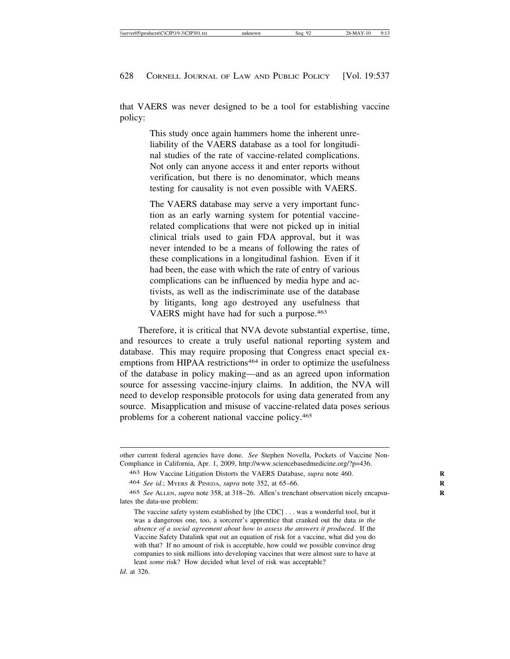that VAERS was never designed to be a tool for establishing vaccine policy:

> This study once again hammers home the inherent unreliability of the VAERS database as a tool for longitudinal studies of the rate of vaccine-related complications. Not only can anyone access it and enter reports without verification, but there is no denominator, which means testing for causality is not even possible with VAERS.

> The VAERS database may serve a very important function as an early warning system for potential vaccinerelated complications that were not picked up in initial clinical trials used to gain FDA approval, but it was never intended to be a means of following the rates of these complications in a longitudinal fashion. Even if it had been, the ease with which the rate of entry of various complications can be influenced by media hype and activists, as well as the indiscriminate use of the database by litigants, long ago destroyed any usefulness that VAERS might have had for such a purpose.463

Therefore, it is critical that NVA devote substantial expertise, time, and resources to create a truly useful national reporting system and database. This may require proposing that Congress enact special exemptions from HIPAA restrictions<sup>464</sup> in order to optimize the usefulness of the database in policy making—and as an agreed upon information source for assessing vaccine-injury claims. In addition, the NVA will need to develop responsible protocols for using data generated from any source. Misapplication and misuse of vaccine-related data poses serious problems for a coherent national vaccine policy.465

other current federal agencies have done. *See* Stephen Novella, Pockets of Vaccine Non-Compliance in California, Apr. 1, 2009, http://www.sciencebasedmedicine.org/?p=436.

<sup>463</sup> How Vaccine Litigation Distorts the VAERS Database, *supra* note 460. **R**

<sup>464</sup> *See id.*; MYERS & PINEDA, *supra* note 352, at 65–66. **R**

<sup>465</sup> *See* ALLEN, *supra* note 358, at 318–26. Allen's trenchant observation nicely encapsu- **R** lates the data-use problem:

The vaccine safety system established by [the CDC] . . . was a wonderful tool, but it was a dangerous one, too, a sorcerer's apprentice that cranked out the data *in the absence of a social agreement about how to assess the answers it produced*. If the Vaccine Safety Datalink spat out an equation of risk for a vaccine, what did you do with that? If no amount of risk is acceptable, how could we possible convince drug companies to sink millions into developing vaccines that were almost sure to have at least *some* risk? How decided what level of risk was acceptable?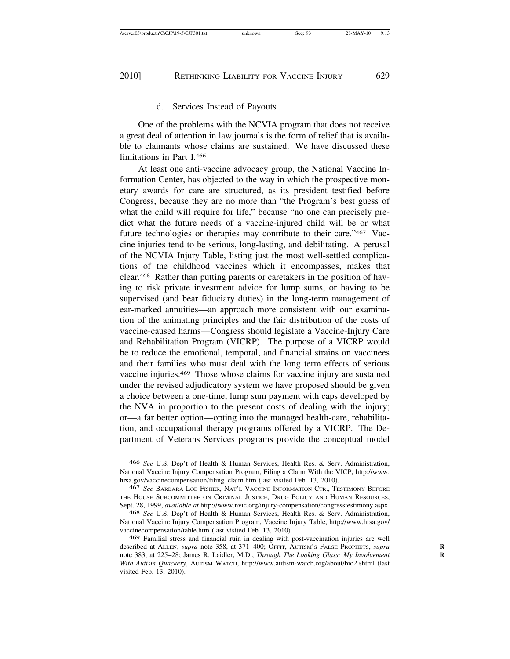#### d. Services Instead of Payouts

One of the problems with the NCVIA program that does not receive a great deal of attention in law journals is the form of relief that is available to claimants whose claims are sustained. We have discussed these limitations in Part I.466

At least one anti-vaccine advocacy group, the National Vaccine Information Center, has objected to the way in which the prospective monetary awards for care are structured, as its president testified before Congress, because they are no more than "the Program's best guess of what the child will require for life," because "no one can precisely predict what the future needs of a vaccine-injured child will be or what future technologies or therapies may contribute to their care."467 Vaccine injuries tend to be serious, long-lasting, and debilitating. A perusal of the NCVIA Injury Table, listing just the most well-settled complications of the childhood vaccines which it encompasses, makes that clear.468 Rather than putting parents or caretakers in the position of having to risk private investment advice for lump sums, or having to be supervised (and bear fiduciary duties) in the long-term management of ear-marked annuities—an approach more consistent with our examination of the animating principles and the fair distribution of the costs of vaccine-caused harms—Congress should legislate a Vaccine-Injury Care and Rehabilitation Program (VICRP). The purpose of a VICRP would be to reduce the emotional, temporal, and financial strains on vaccinees and their families who must deal with the long term effects of serious vaccine injuries.469 Those whose claims for vaccine injury are sustained under the revised adjudicatory system we have proposed should be given a choice between a one-time, lump sum payment with caps developed by the NVA in proportion to the present costs of dealing with the injury; or—a far better option—opting into the managed health-care, rehabilitation, and occupational therapy programs offered by a VICRP. The Department of Veterans Services programs provide the conceptual model

<sup>466</sup> *See* U.S. Dep't of Health & Human Services, Health Res. & Serv. Administration, National Vaccine Injury Compensation Program, Filing a Claim With the VICP, http://www. hrsa.gov/vaccinecompensation/filing\_claim.htm (last visited Feb. 13, 2010).

<sup>467</sup> *See* BARBARA LOE FISHER, NAT'L VACCINE INFORMATION CTR., TESTIMONY BEFORE THE HOUSE SUBCOMMITTEE ON CRIMINAL JUSTICE, DRUG POLICY AND HUMAN RESOURCES, Sept. 28, 1999, *available at* http://www.nvic.org/injury-compensation/congresstestimony.aspx.

<sup>468</sup> *See* U.S. Dep't of Health & Human Services, Health Res. & Serv. Administration, National Vaccine Injury Compensation Program, Vaccine Injury Table, http://www.hrsa.gov/ vaccinecompensation/table.htm (last visited Feb. 13, 2010).

<sup>469</sup> Familial stress and financial ruin in dealing with post-vaccination injuries are well described at ALLEN, *supra* note 358, at 371-400; OFFIT, AUTISM's FALSE PROPHETS, *supra* note 383, at 225-28; James R. Laidler, M.D., *Through The Looking Glass: My Involvement With Autism Quackery*, AUTISM WATCH, http://www.autism-watch.org/about/bio2.shtml (last visited Feb. 13, 2010).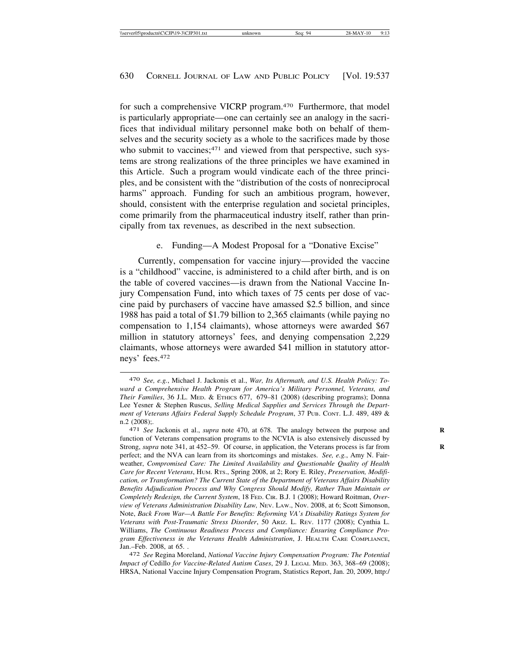for such a comprehensive VICRP program.470 Furthermore, that model is particularly appropriate—one can certainly see an analogy in the sacrifices that individual military personnel make both on behalf of themselves and the security society as a whole to the sacrifices made by those who submit to vaccines;<sup>471</sup> and viewed from that perspective, such systems are strong realizations of the three principles we have examined in this Article. Such a program would vindicate each of the three principles, and be consistent with the "distribution of the costs of nonreciprocal harms" approach. Funding for such an ambitious program, however, should, consistent with the enterprise regulation and societal principles, come primarily from the pharmaceutical industry itself, rather than principally from tax revenues, as described in the next subsection.

e. Funding—A Modest Proposal for a "Donative Excise"

Currently, compensation for vaccine injury—provided the vaccine is a "childhood" vaccine, is administered to a child after birth, and is on the table of covered vaccines—is drawn from the National Vaccine Injury Compensation Fund, into which taxes of 75 cents per dose of vaccine paid by purchasers of vaccine have amassed \$2.5 billion, and since 1988 has paid a total of \$1.79 billion to 2,365 claimants (while paying no compensation to 1,154 claimants), whose attorneys were awarded \$67 million in statutory attorneys' fees, and denying compensation 2,229 claimants, whose attorneys were awarded \$41 million in statutory attorneys' fees.472

<sup>470</sup> *See, e.g.*, Michael J. Jackonis et al., *War, Its Aftermath, and U.S. Health Policy: Toward a Comprehensive Health Program for America's Military Personnel, Veterans, and Their Families*, 36 J.L. MED. & ETHICS 677, 679–81 (2008) (describing programs); Donna Lee Yesner & Stephen Ruscus, *Selling Medical Supplies and Services Through the Department of Veterans Affairs Federal Supply Schedule Program*, 37 PUB. CONT. L.J. 489, 489 & n.2 (2008);.<br><sup>471</sup> *See Jackonis et al., <i>supra* note 470, at 678. The analogy between the purpose and

function of Veterans compensation programs to the NCVIA is also extensively discussed by Strong, *supra* note 341, at 452–59. Of course, in application, the Veterans process is far from perfect; and the NVA can learn from its shortcomings and mistakes. *See, e.g.*, Amy N. Fairweather, *Compromised Care: The Limited Availability and Questionable Quality of Health Care for Recent Veterans*, HUM. RTS., Spring 2008, at 2; Rory E. Riley, *Preservation, Modification, or Transformation? The Current State of the Department of Veterans Affairs Disability Benefits Adjudication Process and Why Congress Should Modify, Rather Than Maintain or Completely Redesign, the Current System*, 18 FED. CIR. B.J. 1 (2008); Howard Roitman, *Overview of Veterans Administration Disability Law,* NEV. LAW., Nov. 2008, at 6; Scott Simonson, Note, *Back From War—A Battle For Benefits: Reforming VA's Disability Ratings System for Veterans with Post-Traumatic Stress Disorder*, 50 ARIZ. L. REV. 1177 (2008); Cynthia L. Williams, *The Continuous Readiness Process and Compliance: Ensuring Compliance Program Effectiveness in the Veterans Health Administration*, J. HEALTH CARE COMPLIANCE, Jan.–Feb. 2008, at 65. . <sup>472</sup> *See* Regina Moreland, *National Vaccine Injury Compensation Program: The Potential*

*Impact of* Cedillo *for Vaccine-Related Autism Cases*, 29 J. LEGAL MED. 363, 368–69 (2008); HRSA, National Vaccine Injury Compensation Program, Statistics Report, Jan. 20, 2009, http:/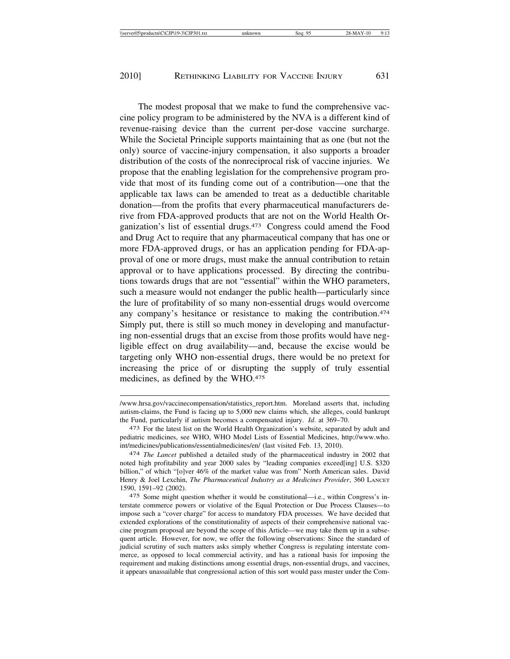The modest proposal that we make to fund the comprehensive vaccine policy program to be administered by the NVA is a different kind of revenue-raising device than the current per-dose vaccine surcharge. While the Societal Principle supports maintaining that as one (but not the only) source of vaccine-injury compensation, it also supports a broader distribution of the costs of the nonreciprocal risk of vaccine injuries. We propose that the enabling legislation for the comprehensive program provide that most of its funding come out of a contribution—one that the applicable tax laws can be amended to treat as a deductible charitable donation—from the profits that every pharmaceutical manufacturers derive from FDA-approved products that are not on the World Health Organization's list of essential drugs.473 Congress could amend the Food and Drug Act to require that any pharmaceutical company that has one or more FDA-approved drugs, or has an application pending for FDA-approval of one or more drugs, must make the annual contribution to retain approval or to have applications processed. By directing the contributions towards drugs that are not "essential" within the WHO parameters, such a measure would not endanger the public health—particularly since the lure of profitability of so many non-essential drugs would overcome any company's hesitance or resistance to making the contribution.474 Simply put, there is still so much money in developing and manufacturing non-essential drugs that an excise from those profits would have negligible effect on drug availability—and, because the excise would be targeting only WHO non-essential drugs, there would be no pretext for increasing the price of or disrupting the supply of truly essential medicines, as defined by the WHO.<sup>475</sup>

<sup>/</sup>www.hrsa.gov/vaccinecompensation/statistics\_report.htm. Moreland asserts that, including autism-claims, the Fund is facing up to 5,000 new claims which, she alleges, could bankrupt the Fund, particularly if autism becomes a compensated injury. *Id*. at 369–70.

<sup>473</sup> For the latest list on the World Health Organization's website, separated by adult and pediatric medicines, see WHO, WHO Model Lists of Essential Medicines, http://www.who. int/medicines/publications/essentialmedicines/en/ (last visited Feb. 13, 2010).

<sup>474</sup> *The Lancet* published a detailed study of the pharmaceutical industry in 2002 that noted high profitability and year 2000 sales by "leading companies exceed[ing] U.S. \$320 billion," of which "[o]ver 46% of the market value was from" North American sales. David Henry & Joel Lexchin, *The Pharmaceutical Industry as a Medicines Provider*, 360 LANCET 1590, 1591–92 (2002).

<sup>475</sup> Some might question whether it would be constitutional—i.e., within Congress's interstate commerce powers or violative of the Equal Protection or Due Process Clauses—to impose such a "cover charge" for access to mandatory FDA processes. We have decided that extended explorations of the constitutionality of aspects of their comprehensive national vaccine program proposal are beyond the scope of this Article—we may take them up in a subsequent article. However, for now, we offer the following observations: Since the standard of judicial scrutiny of such matters asks simply whether Congress is regulating interstate commerce, as opposed to local commercial activity, and has a rational basis for imposing the requirement and making distinctions among essential drugs, non-essential drugs, and vaccines, it appears unassailable that congressional action of this sort would pass muster under the Com-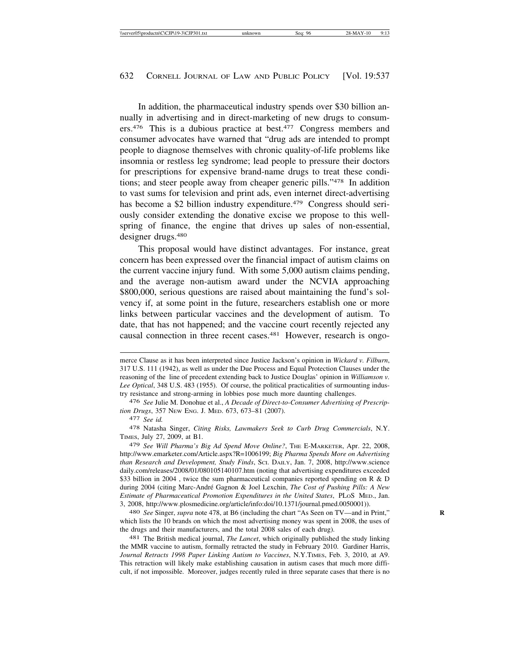In addition, the pharmaceutical industry spends over \$30 billion annually in advertising and in direct-marketing of new drugs to consumers.476 This is a dubious practice at best.477 Congress members and consumer advocates have warned that "drug ads are intended to prompt people to diagnose themselves with chronic quality-of-life problems like insomnia or restless leg syndrome; lead people to pressure their doctors for prescriptions for expensive brand-name drugs to treat these conditions; and steer people away from cheaper generic pills."478 In addition to vast sums for television and print ads, even internet direct-advertising has become a \$2 billion industry expenditure.<sup>479</sup> Congress should seriously consider extending the donative excise we propose to this wellspring of finance, the engine that drives up sales of non-essential, designer drugs.480

This proposal would have distinct advantages. For instance, great concern has been expressed over the financial impact of autism claims on the current vaccine injury fund. With some 5,000 autism claims pending, and the average non-autism award under the NCVIA approaching \$800,000, serious questions are raised about maintaining the fund's solvency if, at some point in the future, researchers establish one or more links between particular vaccines and the development of autism. To date, that has not happened; and the vaccine court recently rejected any causal connection in three recent cases.<sup>481</sup> However, research is ongo-

478 Natasha Singer, *Citing Risks, Lawmakers Seek to Curb Drug Commercials*, N.Y. TIMES, July 27, 2009, at B1.

479 *See Will Pharma's Big Ad Spend Move Online?*, THE E-MARKETER, Apr. 22, 2008, http://www.emarketer.com/Article.aspx?R=1006199; *Big Pharma Spends More on Advertising than Research and Development, Study Finds*, SCI. DAILY, Jan. 7, 2008, http://www.science daily.com/releases/2008/01/080105140107.htm (noting that advertising expenditures exceeded \$33 billion in 2004 , twice the sum pharmaceutical companies reported spending on R & D during 2004 (citing Marc-André Gagnon & Joel Lexchin, *The Cost of Pushing Pills: A New Estimate of Pharmaceutical Promotion Expenditures in the United States*, PLOS MED., Jan. 3, 2008, http://www.plosmedicine.org/article/info:doi/10.1371/journal.pmed.0050001)).

480 *See* Singer, *supra* note 478, at B6 (including the chart "As Seen on TV—and in Print," **R** which lists the 10 brands on which the most advertising money was spent in 2008, the uses of the drugs and their manufacturers, and the total 2008 sales of each drug).

481 The British medical journal, *The Lancet*, which originally published the study linking the MMR vaccine to autism, formally retracted the study in February 2010. Gardiner Harris, *Journal Retracts 1998 Paper Linking Autism to Vaccines*, N.Y.TIMES, Feb. 3, 2010, at A9. This retraction will likely make establishing causation in autism cases that much more difficult, if not impossible. Moreover, judges recently ruled in three separate cases that there is no

merce Clause as it has been interpreted since Justice Jackson's opinion in *Wickard v. Filburn*, 317 U.S. 111 (1942), as well as under the Due Process and Equal Protection Clauses under the reasoning of the line of precedent extending back to Justice Douglas' opinion in *Williamson v. Lee Optical*, 348 U.S. 483 (1955). Of course, the political practicalities of surmounting industry resistance and strong-arming in lobbies pose much more daunting challenges.

<sup>476</sup> *See* Julie M. Donohue et al., *A Decade of Direct-to-Consumer Advertising of Prescription Drugs*, 357 NEW ENG. J. MED. 673, 673–81 (2007).

<sup>477</sup> *See id.*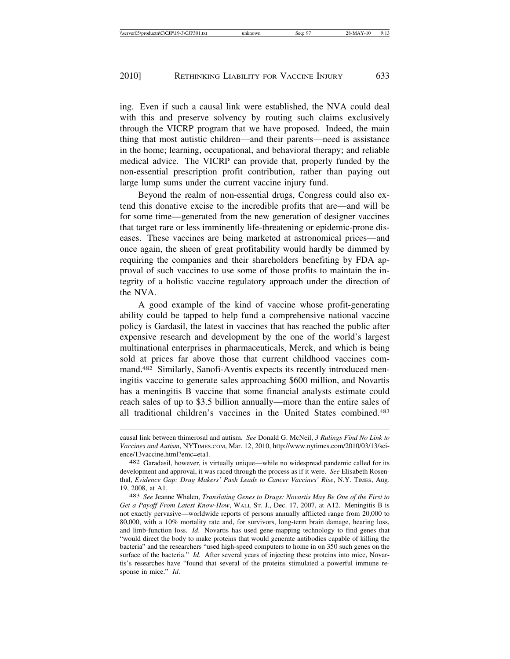ing. Even if such a causal link were established, the NVA could deal with this and preserve solvency by routing such claims exclusively through the VICRP program that we have proposed. Indeed, the main thing that most autistic children—and their parents—need is assistance in the home; learning, occupational, and behavioral therapy; and reliable medical advice. The VICRP can provide that, properly funded by the non-essential prescription profit contribution, rather than paying out large lump sums under the current vaccine injury fund.

Beyond the realm of non-essential drugs, Congress could also extend this donative excise to the incredible profits that are—and will be for some time—generated from the new generation of designer vaccines that target rare or less imminently life-threatening or epidemic-prone diseases. These vaccines are being marketed at astronomical prices—and once again, the sheen of great profitability would hardly be dimmed by requiring the companies and their shareholders benefiting by FDA approval of such vaccines to use some of those profits to maintain the integrity of a holistic vaccine regulatory approach under the direction of the NVA.

A good example of the kind of vaccine whose profit-generating ability could be tapped to help fund a comprehensive national vaccine policy is Gardasil, the latest in vaccines that has reached the public after expensive research and development by the one of the world's largest multinational enterprises in pharmaceuticals, Merck, and which is being sold at prices far above those that current childhood vaccines command.482 Similarly, Sanofi-Aventis expects its recently introduced meningitis vaccine to generate sales approaching \$600 million, and Novartis has a meningitis B vaccine that some financial analysts estimate could reach sales of up to \$3.5 billion annually—more than the entire sales of all traditional children's vaccines in the United States combined.483

causal link between thimerosal and autism. *See* Donald G. McNeil, *3 Rulings Find No Link to Vaccines and Autism*, NYTIMES.COM, Mar. 12, 2010, http://www.nytimes.com/2010/03/13/science/13vaccine.html?emc=eta1.

<sup>482</sup> Garadasil, however, is virtually unique—while no widespread pandemic called for its development and approval, it was raced through the process as if it were. *See* Elisabeth Rosenthal, *Evidence Gap: Drug Makers' Push Leads to Cancer Vaccines' Rise*, N.Y. TIMES, Aug. 19, 2008, at A1.

<sup>483</sup> *See* Jeanne Whalen, *Translating Genes to Drugs: Novartis May Be One of the First to Get a Payoff From Latest Know-How*, WALL ST. J., Dec. 17, 2007, at A12. Meningitis B is not exactly pervasive—worldwide reports of persons annually afflicted range from 20,000 to 80,000, with a 10% mortality rate and, for survivors, long-term brain damage, hearing loss, and limb-function loss. *Id*. Novartis has used gene-mapping technology to find genes that "would direct the body to make proteins that would generate antibodies capable of killing the bacteria" and the researchers "used high-speed computers to home in on 350 such genes on the surface of the bacteria." *Id*. After several years of injecting these proteins into mice, Novartis's researches have "found that several of the proteins stimulated a powerful immune response in mice." *Id*.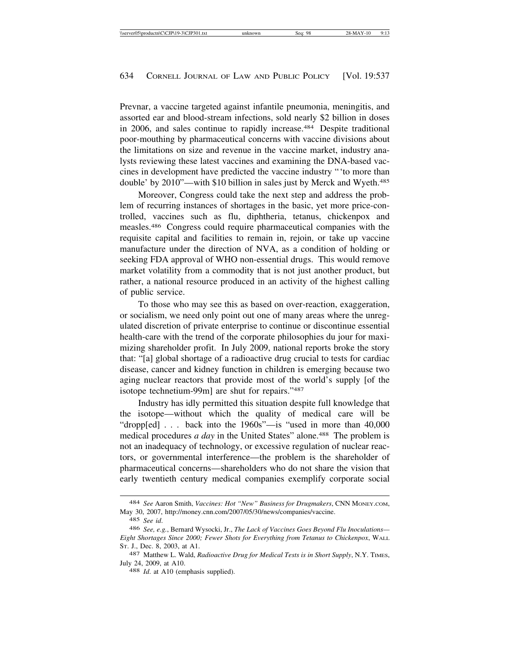Prevnar, a vaccine targeted against infantile pneumonia, meningitis, and assorted ear and blood-stream infections, sold nearly \$2 billion in doses in 2006, and sales continue to rapidly increase.484 Despite traditional poor-mouthing by pharmaceutical concerns with vaccine divisions about the limitations on size and revenue in the vaccine market, industry analysts reviewing these latest vaccines and examining the DNA-based vaccines in development have predicted the vaccine industry "'to more than double' by 2010"—with \$10 billion in sales just by Merck and Wyeth.<sup>485</sup>

Moreover, Congress could take the next step and address the problem of recurring instances of shortages in the basic, yet more price-controlled, vaccines such as flu, diphtheria, tetanus, chickenpox and measles.486 Congress could require pharmaceutical companies with the requisite capital and facilities to remain in, rejoin, or take up vaccine manufacture under the direction of NVA, as a condition of holding or seeking FDA approval of WHO non-essential drugs. This would remove market volatility from a commodity that is not just another product, but rather, a national resource produced in an activity of the highest calling of public service.

To those who may see this as based on over-reaction, exaggeration, or socialism, we need only point out one of many areas where the unregulated discretion of private enterprise to continue or discontinue essential health-care with the trend of the corporate philosophies du jour for maximizing shareholder profit. In July 2009, national reports broke the story that: "[a] global shortage of a radioactive drug crucial to tests for cardiac disease, cancer and kidney function in children is emerging because two aging nuclear reactors that provide most of the world's supply [of the isotope technetium-99m] are shut for repairs."487

Industry has idly permitted this situation despite full knowledge that the isotope—without which the quality of medical care will be "dropp[ed] . . . back into the 1960s"—is "used in more than 40,000 medical procedures *a day* in the United States" alone.<sup>488</sup> The problem is not an inadequacy of technology, or excessive regulation of nuclear reactors, or governmental interference—the problem is the shareholder of pharmaceutical concerns—shareholders who do not share the vision that early twentieth century medical companies exemplify corporate social

<sup>484</sup> *See* Aaron Smith, *Vaccines: Hot "New" Business for Drugmakers*, CNN MONEY.COM, May 30, 2007, http://money.cnn.com/2007/05/30/news/companies/vaccine.

<sup>485</sup> *See id*.

<sup>486</sup> *See, e.g.*, Bernard Wysocki, Jr., *The Lack of Vaccines Goes Beyond Flu Inoculations— Eight Shortages Since 2000; Fewer Shots for Everything from Tetanus to Chickenpox*, WALL ST. J., Dec. 8, 2003, at A1.

<sup>487</sup> Matthew L. Wald, *Radioactive Drug for Medical Tests is in Short Supply*, N.Y. TIMES, July 24, 2009, at A10. <sup>488</sup> *Id*. at A10 (emphasis supplied).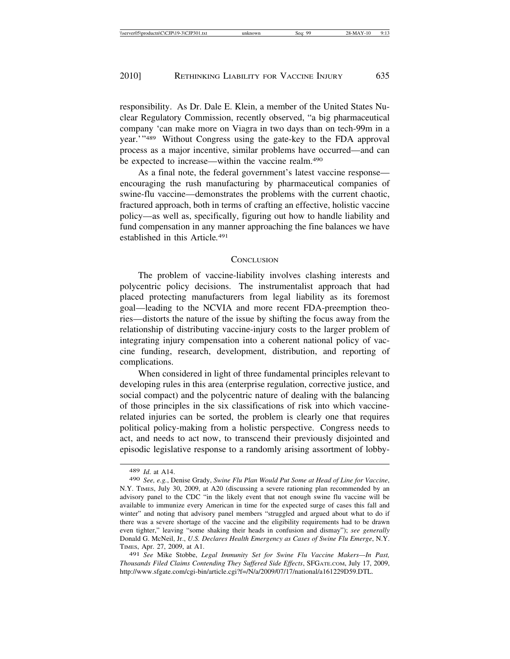responsibility. As Dr. Dale E. Klein, a member of the United States Nuclear Regulatory Commission, recently observed, "a big pharmaceutical company 'can make more on Viagra in two days than on tech-99m in a year.'"489 Without Congress using the gate-key to the FDA approval process as a major incentive, similar problems have occurred—and can be expected to increase—within the vaccine realm.490

As a final note, the federal government's latest vaccine response encouraging the rush manufacturing by pharmaceutical companies of swine-flu vaccine—demonstrates the problems with the current chaotic, fractured approach, both in terms of crafting an effective, holistic vaccine policy—as well as, specifically, figuring out how to handle liability and fund compensation in any manner approaching the fine balances we have established in this Article*.* 491

#### **CONCLUSION**

The problem of vaccine-liability involves clashing interests and polycentric policy decisions. The instrumentalist approach that had placed protecting manufacturers from legal liability as its foremost goal—leading to the NCVIA and more recent FDA-preemption theories—distorts the nature of the issue by shifting the focus away from the relationship of distributing vaccine-injury costs to the larger problem of integrating injury compensation into a coherent national policy of vaccine funding, research, development, distribution, and reporting of complications.

When considered in light of three fundamental principles relevant to developing rules in this area (enterprise regulation, corrective justice, and social compact) and the polycentric nature of dealing with the balancing of those principles in the six classifications of risk into which vaccinerelated injuries can be sorted, the problem is clearly one that requires political policy-making from a holistic perspective. Congress needs to act, and needs to act now, to transcend their previously disjointed and episodic legislative response to a randomly arising assortment of lobby-

<sup>489</sup> *Id*. at A14.

<sup>490</sup> *See, e.g.*, Denise Grady, *Swine Flu Plan Would Put Some at Head of Line for Vaccine*, N.Y. TIMES, July 30, 2009, at A20 (discussing a severe rationing plan recommended by an advisory panel to the CDC "in the likely event that not enough swine flu vaccine will be available to immunize every American in time for the expected surge of cases this fall and winter" and noting that advisory panel members "struggled and argued about what to do if there was a severe shortage of the vaccine and the eligibility requirements had to be drawn even tighter," leaving "some shaking their heads in confusion and dismay"); *see generally* Donald G. McNeil, Jr., *U.S. Declares Health Emergency as Cases of Swine Flu Emerge*, N.Y. TIMES, Apr. 27, 2009, at A1.

<sup>491</sup> *See* Mike Stobbe, *Legal Immunity Set for Swine Flu Vaccine Makers—In Past, Thousands Filed Claims Contending They Suffered Side Effects*, SFGATE.COM, July 17, 2009, http://www.sfgate.com/cgi-bin/article.cgi?f=/N/a/2009/07/17/national/a161229D59.DTL.